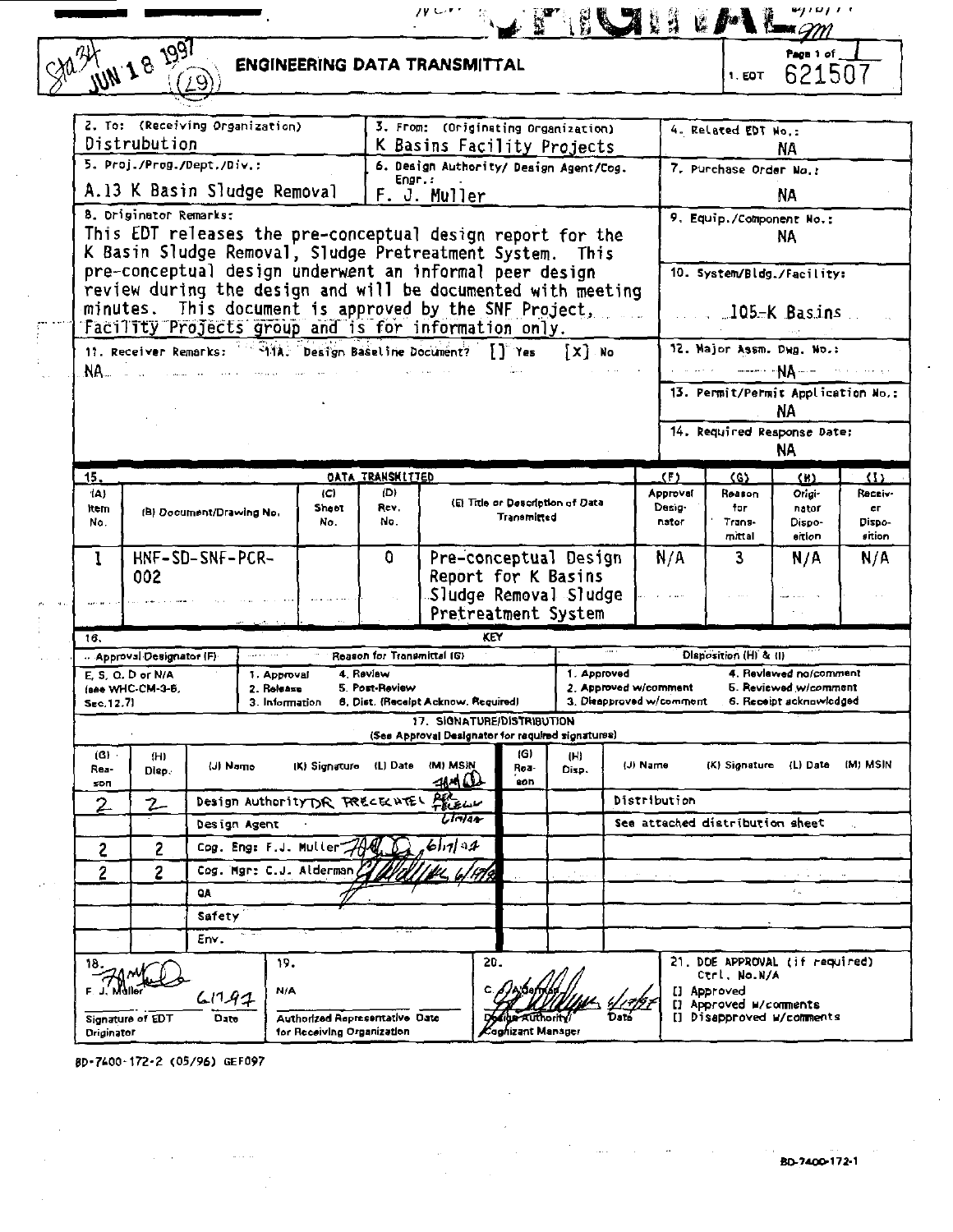| JUN 18 1991                                                                                                                                                                                 |              |                                               |                                             |                            | <b>ENGINEERING DATA TRANSMITTAL</b>                                |                                                                                              |     |                    |                             |                                   |                                                   | 1. EDT                                                | Paon 1 of<br>621507                                                        |                  |
|---------------------------------------------------------------------------------------------------------------------------------------------------------------------------------------------|--------------|-----------------------------------------------|---------------------------------------------|----------------------------|--------------------------------------------------------------------|----------------------------------------------------------------------------------------------|-----|--------------------|-----------------------------|-----------------------------------|---------------------------------------------------|-------------------------------------------------------|----------------------------------------------------------------------------|------------------|
| 2. To: (Receiving Organization)                                                                                                                                                             |              |                                               |                                             |                            |                                                                    | 3. From: (Originating Organization)                                                          |     |                    |                             |                                   |                                                   |                                                       |                                                                            |                  |
| Distrubution                                                                                                                                                                                |              |                                               |                                             |                            |                                                                    | K Basins Facility Projects                                                                   |     |                    |                             |                                   |                                                   | 4. Related EDT No.:                                   | NA.                                                                        |                  |
| 5. Proj./Prog./Dept./Div.:                                                                                                                                                                  |              |                                               |                                             |                            |                                                                    | 6. Design Authority/ Design Agent/Cog.                                                       |     |                    |                             |                                   |                                                   | 7. Purchase Order No.:                                |                                                                            |                  |
| A.13 K Basin Sludge Removal                                                                                                                                                                 |              |                                               |                                             |                            | Engr.:                                                             | F. J. Muller                                                                                 |     |                    |                             |                                   |                                                   |                                                       | NA                                                                         |                  |
| 8. Driginator Remarks:<br>This EDT releases the pre-conceptual design report for the<br>K Basin Sludge Removal, Sludge Pretreatment System. This                                            |              |                                               |                                             |                            |                                                                    |                                                                                              |     |                    |                             |                                   |                                                   |                                                       | 9. Equip./Component No.:<br>NA                                             |                  |
| pre-conceptual design underwent an informal peer design<br>review during the design and will be documented with meeting<br>minutes.<br>Facility Projects group and is for information only. |              | This document is approved by the SNF Project, |                                             |                            |                                                                    |                                                                                              |     |                    |                             |                                   |                                                   |                                                       | 10. System/Bldg./Facility:<br>. 105-K Basins                               |                  |
| 11. Receiver Remarks: 414, Design Baseline Document?                                                                                                                                        |              |                                               |                                             |                            |                                                                    |                                                                                              |     | IT Yes             | XI No                       |                                   |                                                   |                                                       | 12. Major Assm. Dwg. No.:                                                  |                  |
| 88.                                                                                                                                                                                         |              |                                               |                                             |                            |                                                                    |                                                                                              |     |                    |                             |                                   |                                                   |                                                       | $---NA---$<br>13. Permit/Permit Application No.:<br>NΑ                     |                  |
|                                                                                                                                                                                             |              |                                               |                                             |                            |                                                                    |                                                                                              |     |                    |                             |                                   |                                                   |                                                       | 14. Required Response Date:<br>NA.                                         |                  |
| 15,                                                                                                                                                                                         |              |                                               |                                             |                            | <b>DATA TRANSHITTED</b>                                            |                                                                                              |     |                    |                             |                                   | (F)                                               | (S)                                                   | $($ H)                                                                     | $\left(1\right)$ |
| (A)<br><b>item</b><br>No.                                                                                                                                                                   |              | (B) Document/Drawing No.                      |                                             | ١C١<br>Sheet<br>No.        | m<br>Rev.<br>No.                                                   | (E) Title or Description of Data<br>Transmitted                                              |     |                    | Approval<br>Desig-<br>nator | Reason<br>for<br>Trans-<br>mittal | Origi-<br>nator<br>Dispo-<br>eition               | Receiv-<br>er.<br>Dispo-<br>sition                    |                                                                            |                  |
| 1<br>002                                                                                                                                                                                    |              | HNF-SD-SNF-PCR-                               |                                             |                            | n                                                                  | Pre-conceptual Design<br>Report for K Basins<br>Sludge Removal Sludge<br>Pretreatment System |     |                    | N/A                         | 3                                 | N/A                                               | N/A                                                   |                                                                            |                  |
| 16.                                                                                                                                                                                         |              |                                               |                                             |                            |                                                                    |                                                                                              | KEY |                    |                             |                                   |                                                   |                                                       |                                                                            |                  |
| Approval Designator (F)                                                                                                                                                                     |              |                                               |                                             |                            | Reason for Transmittal (G)                                         |                                                                                              |     |                    |                             |                                   |                                                   | <b>Disposition (H) &amp; (I)</b>                      |                                                                            |                  |
| $E$ S. O. D or N/A<br>(see WHC-CM-3-6,<br>Sec. 12.71                                                                                                                                        |              |                                               | 1. Approval<br>2. Release<br>3. Information |                            | 4. Review<br>5. Post-Review<br>6. Dist. (Receipt Acknow, Required) |                                                                                              |     |                    | 1. Approved                 |                                   | 2. Approved w/comment<br>3. Diespproved w/comment |                                                       | 4. Reviewed no/comment<br>5. Reviewed w/comment<br>6. Receipt acknowledged |                  |
|                                                                                                                                                                                             |              |                                               |                                             |                            |                                                                    | 17. SIGNATURE/DISTRIBUTION<br>(See Approval Designator for required signatures)              |     |                    |                             |                                   |                                                   |                                                       |                                                                            |                  |
| $(6)$ .<br>Res-<br>son                                                                                                                                                                      | (H)<br>Diep. | (J) Namo                                      |                                             | (K) Signature (L) Date     |                                                                    | (M) MSIN<br>जन्म (1)                                                                         |     | (G)<br>Roa-<br>eon | (H)<br>Disp.                |                                   | (J) Name                                          | (K) Signature                                         | (L) Date (M) MSIN                                                          |                  |
| 2<br>2                                                                                                                                                                                      |              | Design Authority DR FRECELUTEL PELELLY        |                                             |                            |                                                                    |                                                                                              |     |                    |                             |                                   | Distribution                                      |                                                       |                                                                            |                  |
|                                                                                                                                                                                             |              | Design Agent                                  |                                             |                            |                                                                    | ानाक                                                                                         |     |                    |                             |                                   | See attached distribution sheet                   |                                                       |                                                                            |                  |
| 2                                                                                                                                                                                           | 2            | Cog. Eng: F.J. Muller                         |                                             |                            |                                                                    | 61.1194                                                                                      |     |                    |                             |                                   |                                                   |                                                       |                                                                            |                  |
| 2                                                                                                                                                                                           | 2            | Cog. Mgr: C.J. Alderman                       |                                             |                            |                                                                    |                                                                                              |     |                    |                             |                                   |                                                   |                                                       |                                                                            |                  |
|                                                                                                                                                                                             |              | <b>QA</b>                                     |                                             |                            |                                                                    |                                                                                              |     |                    |                             |                                   |                                                   |                                                       |                                                                            |                  |
|                                                                                                                                                                                             |              | Safety                                        |                                             |                            |                                                                    |                                                                                              |     |                    |                             |                                   |                                                   |                                                       |                                                                            |                  |
|                                                                                                                                                                                             |              | Env.                                          |                                             |                            |                                                                    |                                                                                              |     |                    |                             |                                   |                                                   |                                                       |                                                                            |                  |
|                                                                                                                                                                                             |              | 61141                                         | 19.<br>N/A                                  |                            |                                                                    |                                                                                              | 20. |                    |                             |                                   |                                                   | Ctrl, No.N/A<br>[] Approved<br>[] Approved W/comments | 21. DOE APPROVAL (if required)                                             |                  |
| Signature of EDT<br><b>Driginator</b>                                                                                                                                                       |              | Date                                          |                                             | for Receiving Organization | Authorized Representative Date                                     |                                                                                              |     | Coghizant Manager  |                             |                                   |                                                   |                                                       | [] Disapproved w/comments                                                  |                  |

**6D-74Q0-172-2 (05/96) GEF097**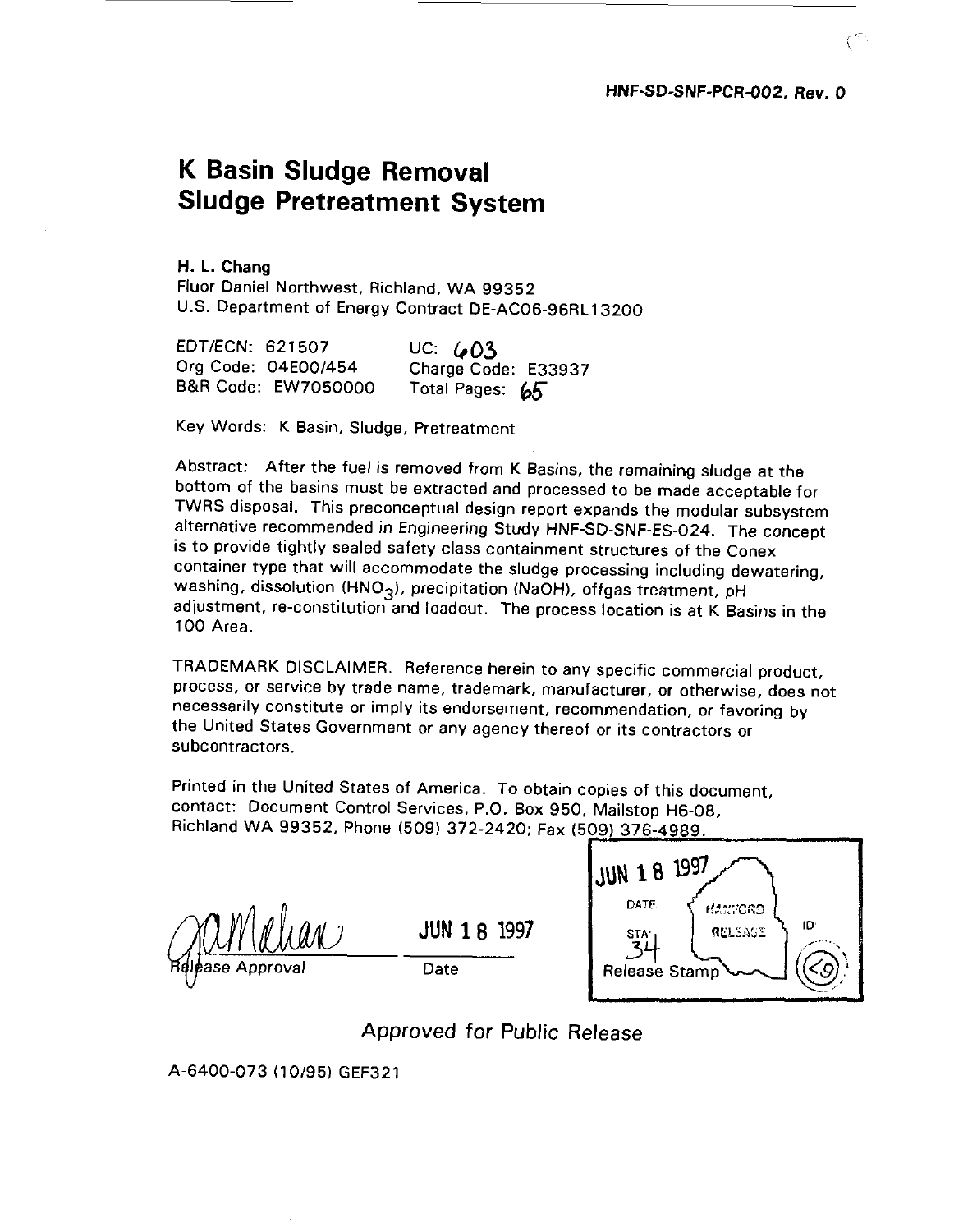## **K Basin Sludge Removal Sludge Pretreatment System**

**H. L. Chang** Fluor Daniel Northwest, Richland, WA 99352 U.S. Department of Energy Contract DE-AC06-96RL13200

| EDT/ECN: 621507     | UC: $603$           |
|---------------------|---------------------|
| Org Code: 04E00/454 | Charge Code: E33937 |
| B&R Code: EW7050000 | Total Pages: 65     |

Key Words: K Basin, Sludge, Pretreatment

Abstract: After the fuel is removed from K Basins, the remaining sludge at the bottom of the basins must be extracted and processed to be made acceptable for TWRS disposal. This preconceptual design report expands the modular subsystem alternative recommended in Engineering Study HNF-SD-SNF-ES-024. The concept is to provide tightly sealed safety class containment structures of the Conex container type that will accommodate the sludge processing including dewatering, washing, dissolution (HNO<sub>3</sub>), precipitation (NaOH), offgas treatment, pH adjustment, re-constitution and loadout. The process location is at K Basins in the 100 Area.

TRADEMARK DISCLAIMER. Reference herein to any specific commercial product, process, or service by trade name, trademark, manufacturer, or otherwise, does not necessarily constitute or imply its endorsement, recommendation, or favoring by the United States Government or any agency thereof or its contractors or subcontractors.

Printed in the United States of America. To obtain copies of this document, contact: Document Control Services, P.O. Box 950, Mailstop H6-08, Richland WA 99352, Phone (509) 372-2420; Fax (509) 376-4989.

**JUN 1 8 1997** Date



Approved for Public Release

A-6400-073 (10/95) GEF321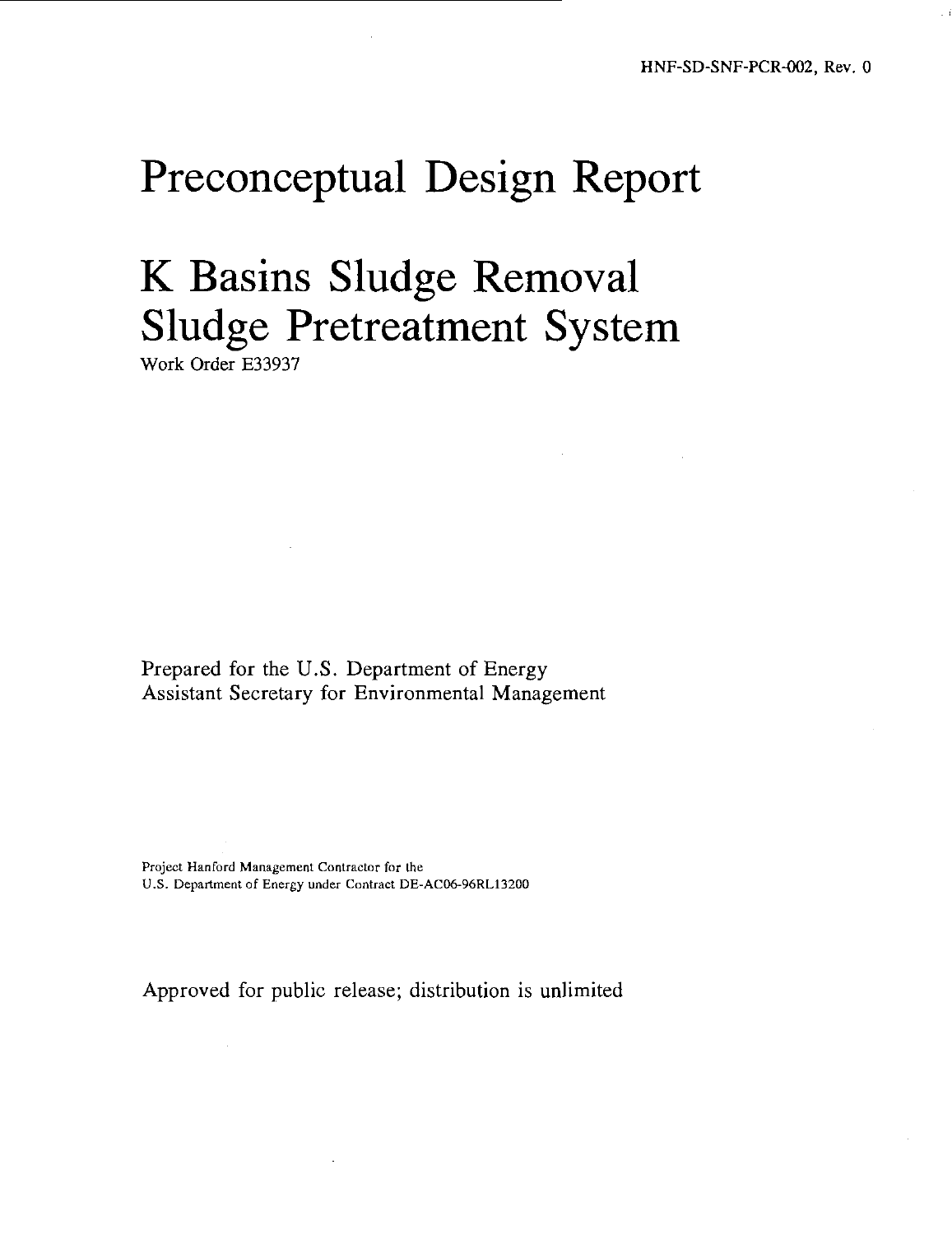# Preconceptual Design Report

# K Basins Sludge Removal Sludge Pretreatment System

Work Order E33937

Prepared for the U.S. Department of Energy Assistant Secretary for Environmental Management

Project Hanford Management Contractor for the U.S. Department of Energy under Contract DE-AC06-96RL13200

Approved for public release; distribution is unlimited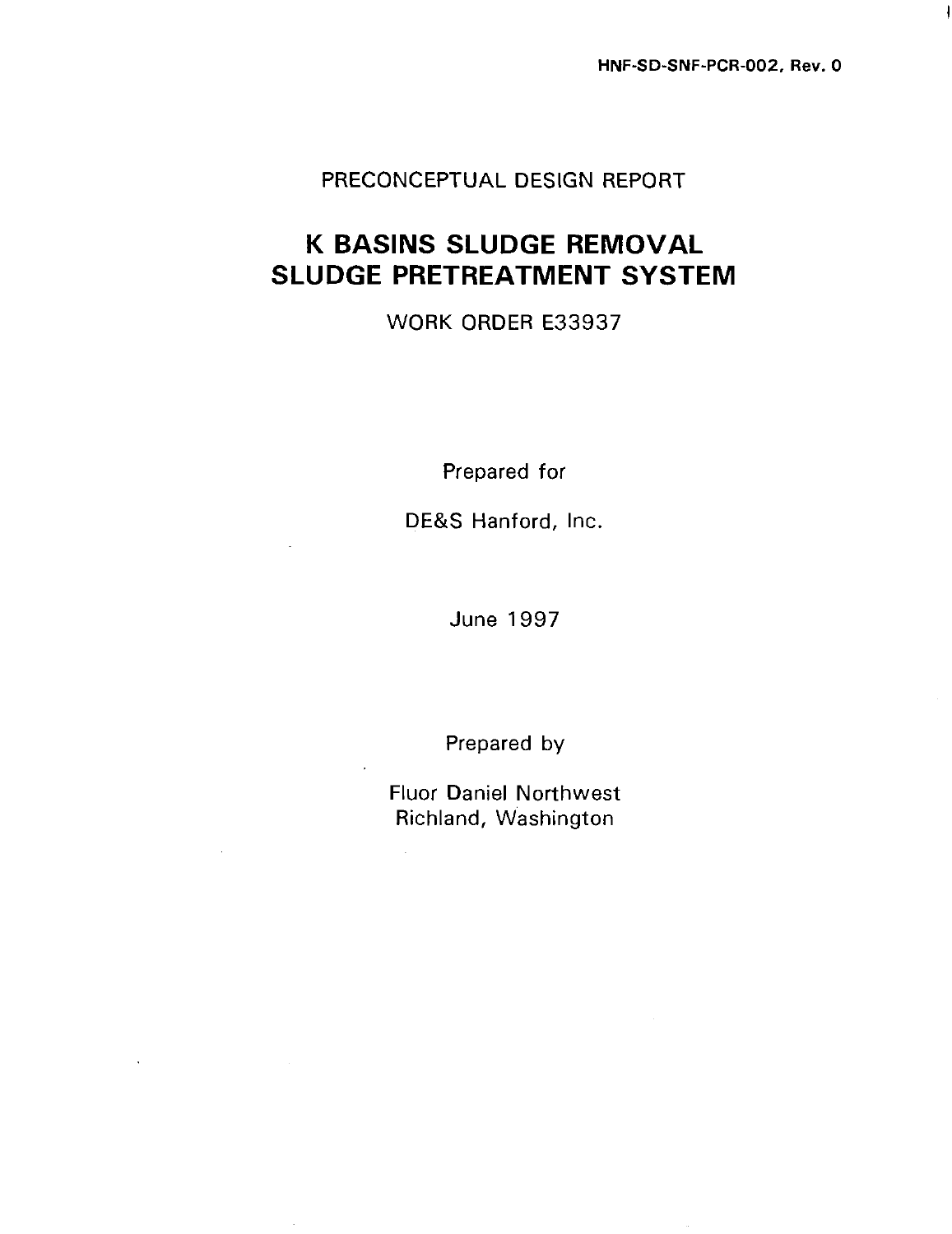**HNF-SD-SNF-PCR-002, Rev. 0**

I

## PRECONCEPTUAL DESIGN REPORT

## **K BASINS SLUDGE REMOVAL SLUDGE PRETREATMENT SYSTEM**

## WORK ORDER E33937

Prepared for

DE&S Hanford, Inc.

June 1997

Prepared by

Fluor Daniel Northwest Richland, Washington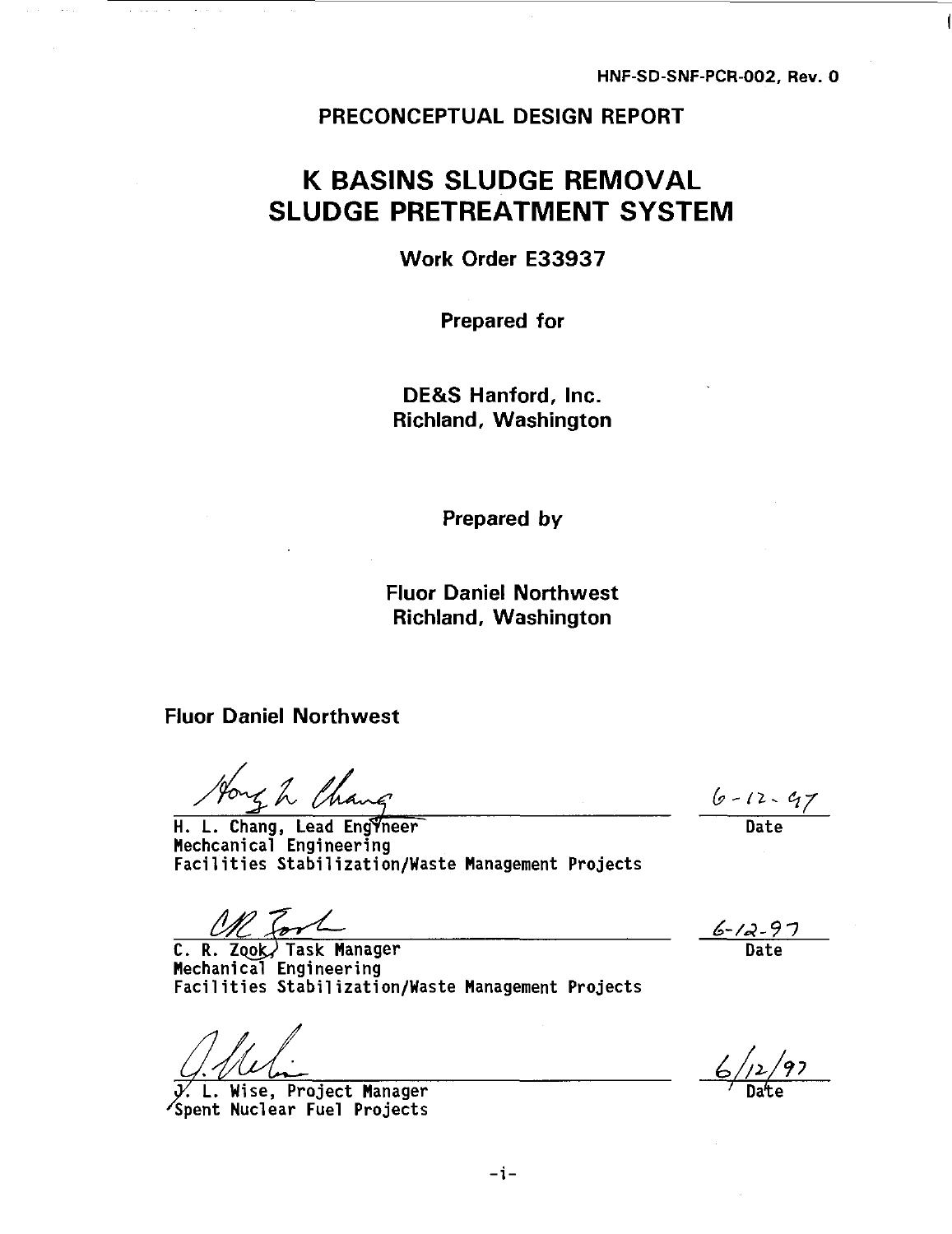### PRECONCEPTUAL DESIGN REPORT

## **K BASINS SLUDGE REMOVAL SLUDGE PRETREATMENT SYSTEM**

Work Order E33937

Prepared for

DE&S Hanford, Inc. Richland, Washington

Prepared by

Fluor Daniel Northwest Richland, Washington

**Fluor Daniel Northwest**

H. L. Chang, Lead Engineer Date **Mechcanical Engineering Facilities Stabilization/Waste Management Projects**

**C. R. Zook, Task Manager**<br>Mechanical Engineering Facilities Stabilization/Waste Management Projects **Facilities Stabilization/Waste Management Projects**

**/. L. Wise, Project Manager ' Date 'Spent Nuclear Fuel Projects**

 $6 - 12 - 97$ 

<u>6-12-97</u><br>Date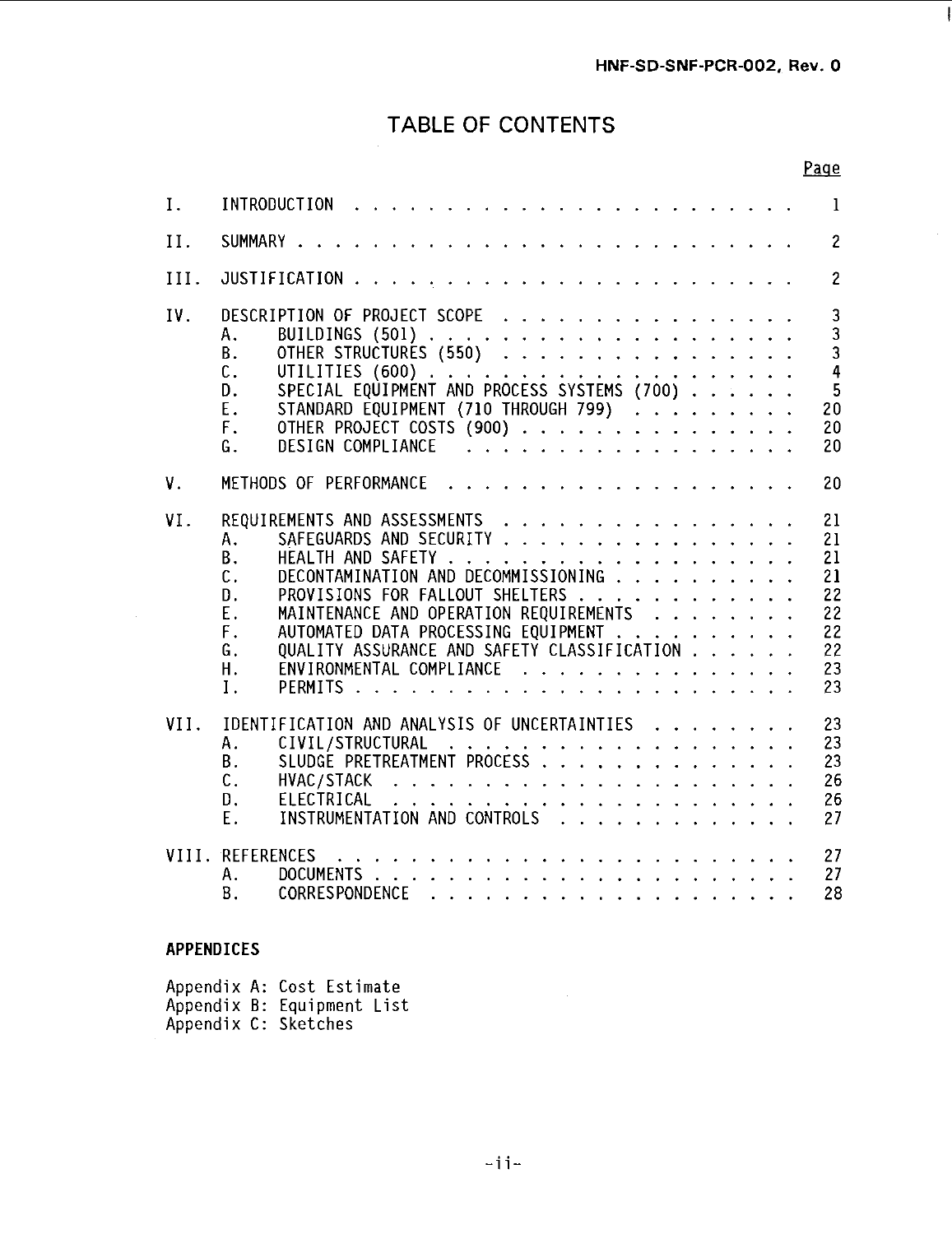## TABLE OF CONTENTS

|      | Page                                                                                                                                                                                                                                                                                                                                                                                                                               |  |
|------|------------------------------------------------------------------------------------------------------------------------------------------------------------------------------------------------------------------------------------------------------------------------------------------------------------------------------------------------------------------------------------------------------------------------------------|--|
| Ι.   | 1                                                                                                                                                                                                                                                                                                                                                                                                                                  |  |
| II.  | $\overline{c}$                                                                                                                                                                                                                                                                                                                                                                                                                     |  |
| III. | $\overline{2}$                                                                                                                                                                                                                                                                                                                                                                                                                     |  |
| IV.  | DESCRIPTION OF PROJECT SCOPE<br>3<br>3<br>Α.<br>$\overline{3}$<br><b>B.</b><br>OTHER STRUCTURES (550)<br>$\overline{4}$<br>c.<br>5<br>D.<br>STANDARD EQUIPMENT (710 THROUGH 799)<br>Ε.<br>20<br>OTHER PROJECT COSTS (900)<br>F.<br>20<br>DESIGN COMPLIANCE<br>G.<br>20                                                                                                                                                             |  |
| ٧.   | .<br>METHODS OF PERFORMANCE<br>20                                                                                                                                                                                                                                                                                                                                                                                                  |  |
| VI.  | REQUIREMENTS AND ASSESSMENTS<br>21<br>SAFEGUARDS AND SECURITY<br>Α.<br>21<br><b>B.</b><br>21<br>DECONTAMINATION AND DECOMMISSIONING<br>$\mathsf{C}$ .<br>21<br>D.<br>PROVISIONS FOR FALLOUT SHELTERS<br>MAINTENANCE AND OPERATION REQUIREMENTS<br>22<br>Ε.<br>22<br>F.<br>AUTOMATED DATA PROCESSING EQUIPMENT<br>22<br>QUALITY ASSURANCE AND SAFETY CLASSIFICATION<br>22<br>G.<br>ENVIRONMENTAL COMPLIANCE<br>23<br>Η.<br>Ι.<br>23 |  |
| VII. | IDENTIFICATION AND ANALYSIS OF UNCERTAINTIES<br>23<br>23<br>Α.<br>23<br><b>B.</b><br>$\mathsf{C}$ .<br>26<br>D.<br>ELECTRICAL<br>. The contract of the contract of the contract of the contract of the contract of the contract of the contract of the contract of the contract of the contract of the contract of the contract of the contract of the contrac<br>26<br>INSTRUMENTATION AND CONTROLS<br>Е.<br>27                   |  |
|      | VIII. REFERENCES<br>27<br>27<br>А.<br><b>B</b> .<br>28                                                                                                                                                                                                                                                                                                                                                                             |  |

### **APPENDICES**

Appendix A: Cost Estimate Appendix B: Equipment List Appendix C: Sketches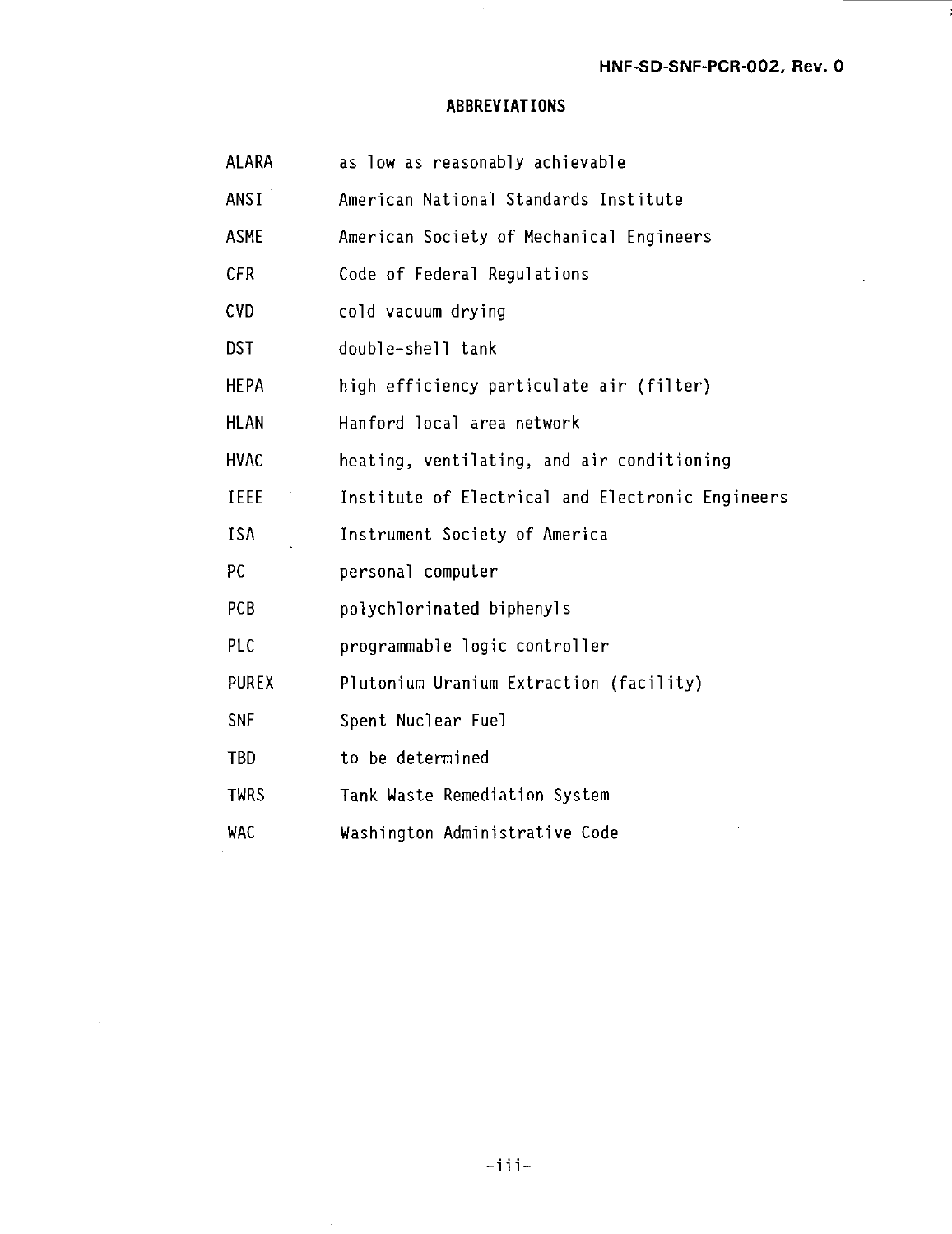### **ABBREVIATIONS**

| <b>ALARA</b> | as low as reasonably achievable                  |
|--------------|--------------------------------------------------|
| ANSI         | American National Standards Institute            |
| ASME         | American Society of Mechanical Engineers         |
| CFR          | Code of Federal Regulations                      |
| CVD          | cold vacuum drying                               |
| DST.         | double-shell tank                                |
| HEPA         | high efficiency particulate air (filter)         |
| HLAN         | Hanford local area network                       |
| HVAC         | heating, ventilating, and air conditioning       |
| IEEE         | Institute of Electrical and Electronic Engineers |
| ISA          | Instrument Society of America                    |
| PC           | personal computer                                |
| <b>PCB</b>   | polychlorinated biphenyls                        |
| PLC          | programmable logic controller                    |
| PUREX        | Plutonium Uranium Extraction (facility)          |
| SNF          | Spent Nuclear Fuel                               |
| TBD          | to be determined                                 |
| <b>TWRS</b>  | Tank Waste Remediation System                    |
| WAC          | Washington Administrative Code                   |
|              |                                                  |

 $\sim$  $-iii$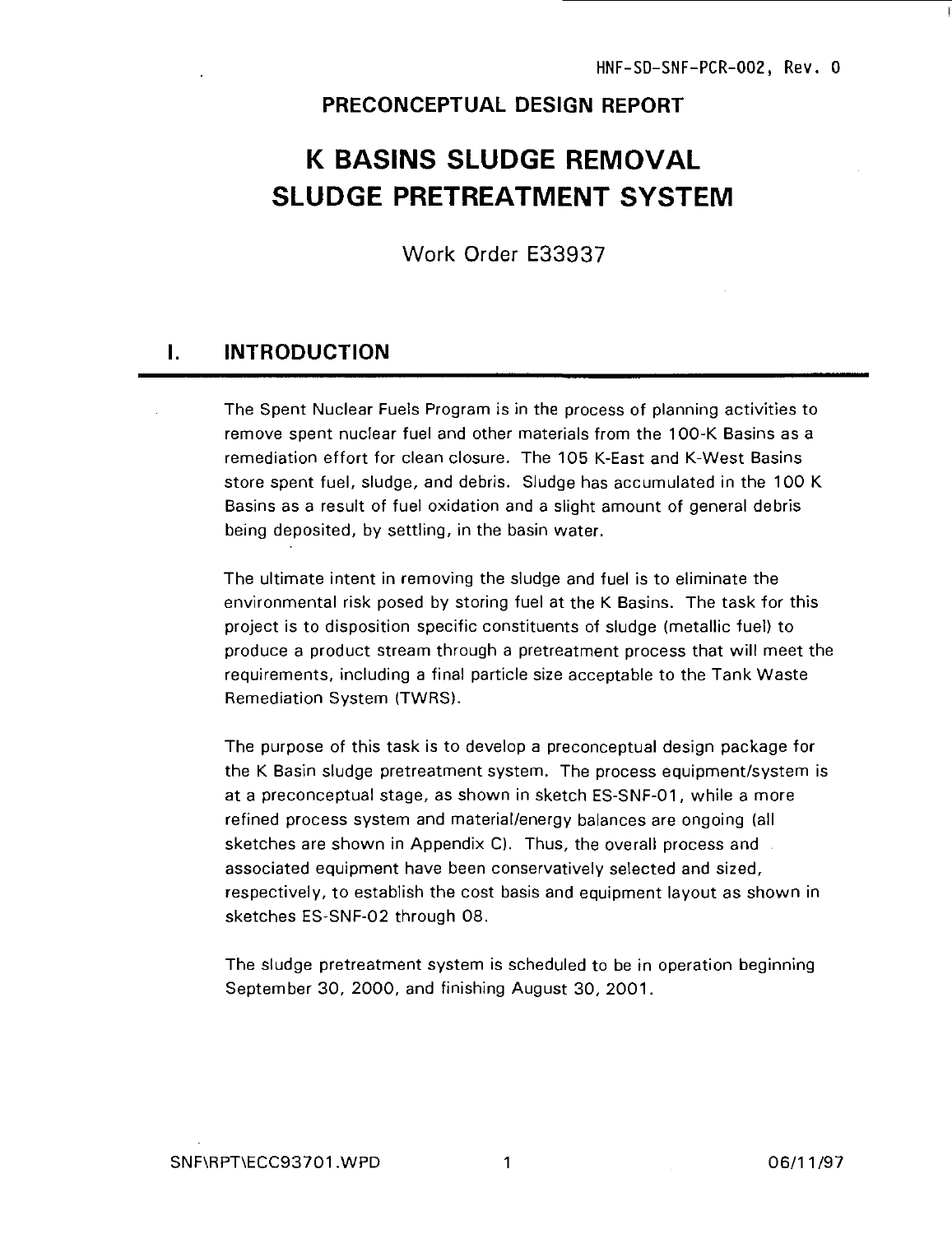#### PRECONCEPTUAL DESIGN REPORT

## **K BASINS SLUDGE REMOVAL SLUDGE PRETREATMENT SYSTEM**

Work Order E33937

#### $\mathbf{L}$ INTRODUCTION

The Spent Nuclear Fuels Program is in the process of planning activities to remove spent nuclear fuel and other materials from the 100-K Basins as a remediation effort for clean closure. The 105 K-East and K-West Basins store spent fuel, sludge, and debris. Sludge has accumulated in the 100 K Basins as a result of fuel oxidation and a slight amount of general debris being deposited, by settling, in the basin water.

The ultimate intent in removing the sludge and fuel is to eliminate the environmental risk posed by storing fuel at the K Basins. The task for this project is to disposition specific constituents of sludge (metallic fuel) to produce a product stream through a pretreatment process that will meet the requirements, including a final particle size acceptable to the Tank Waste Remediation System (TWRS).

The purpose of this task is to develop a preconceptual design package for the K Basin sludge pretreatment system. The process equipment/system is at a preconceptual stage, as shown in sketch ES-SNF-01, while a more refined process system and material/energy balances are ongoing (all sketches are shown in Appendix C). Thus, the overall process and associated equipment have been conservatively selected and sized, respectively, to establish the cost basis and equipment layout as shown in sketches ES-SNF-02 through 08.

The sludge pretreatment system is scheduled to be in operation beginning September 30, 2000, and finishing August 30, 2001.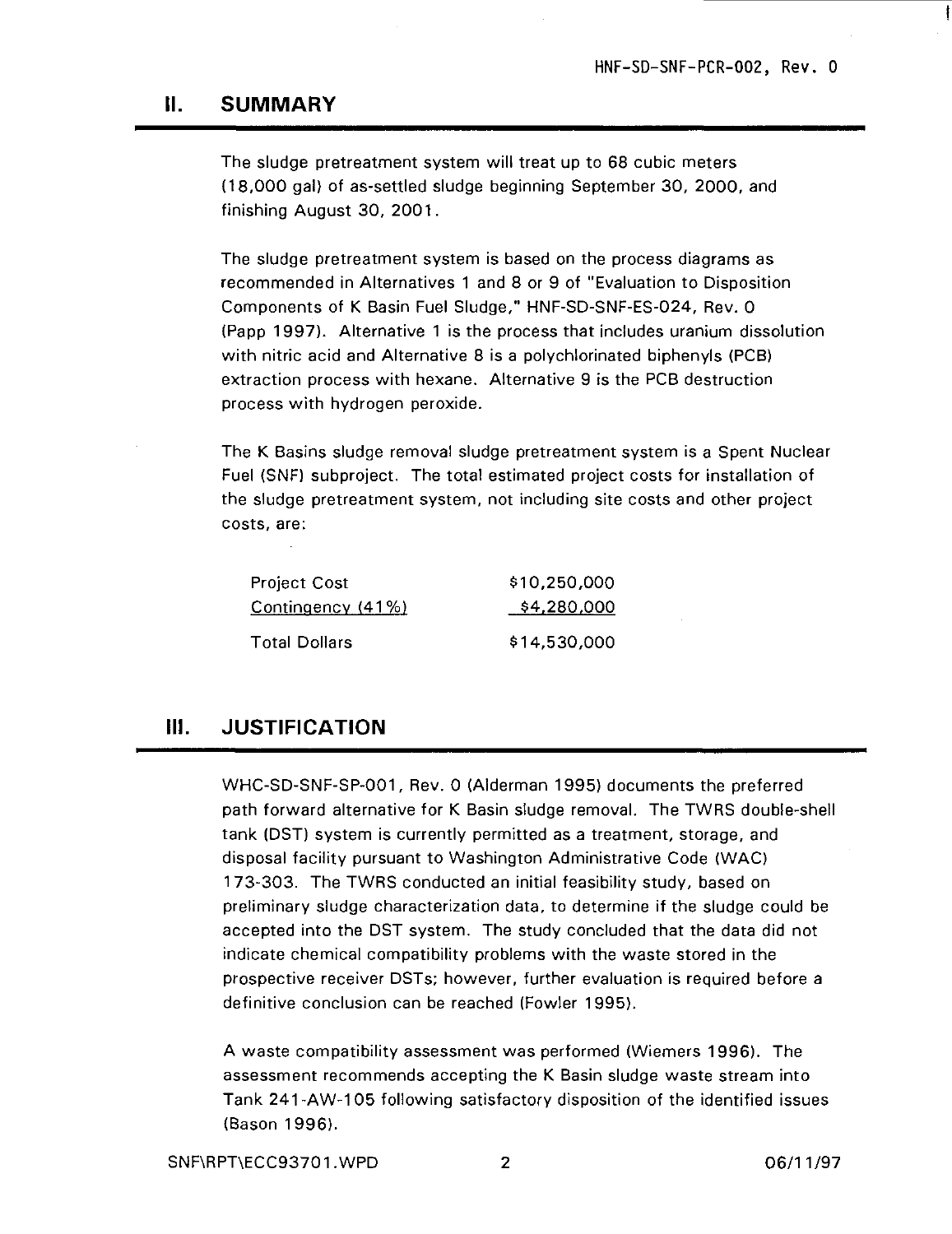#### **II. SUMMARY**

The sludge pretreatment system will treat up to 68 cubic meters (18,000 gal) of as-settled sludge beginning September 30, 2000, and finishing August 30, 2001.

The sludge pretreatment system is based on the process diagrams as recommended in Alternatives 1 and 8 or 9 of "Evaluation to Disposition Components of K Basin Fuel Sludge," HNF-SD-SNF-ES-024, Rev. 0 (Papp 1997). Alternative 1 is the process that includes uranium dissolution with nitric acid and Alternative 8 is a polychlorinated biphenyls (PCB) extraction process with hexane. Alternative 9 is the PCB destruction process with hydrogen peroxide.

The K Basins sludge removal sludge pretreatment system is a Spent Nuclear Fuel (SNF) subproject. The total estimated project costs for installation of the sludge pretreatment system, not including site costs and other project costs, are:

| <b>Project Cost</b>  | \$10,250,000 |
|----------------------|--------------|
| Contingency (41%)    | \$4,280,000  |
| <b>Total Dollars</b> | \$14,530,000 |

### **III. JUSTIFICATION**

WHC-SD-SNF-SP-001, Rev. 0 (Alderman 1995) documents the preferred path forward alternative for K Basin sludge removal. The TWRS double-shell tank (DST) system is currently permitted as a treatment, storage, and disposal facility pursuant to Washington Administrative Code (WAC) 1 73-303. The TWRS conducted an initial feasibility study, based on preliminary sludge characterization data, to determine if the sludge could be accepted into the DST system. The study concluded that the data did not indicate chemical compatibility problems with the waste stored in the prospective receiver DSTs; however, further evaluation is required before a definitive conclusion can be reached (Fowler 1995).

A waste compatibility assessment was performed (Wiemers 1996). The assessment recommends accepting the K Basin sludge waste stream into Tank 241-AW-105 following satisfactory disposition of the identified issues (Bason 1996).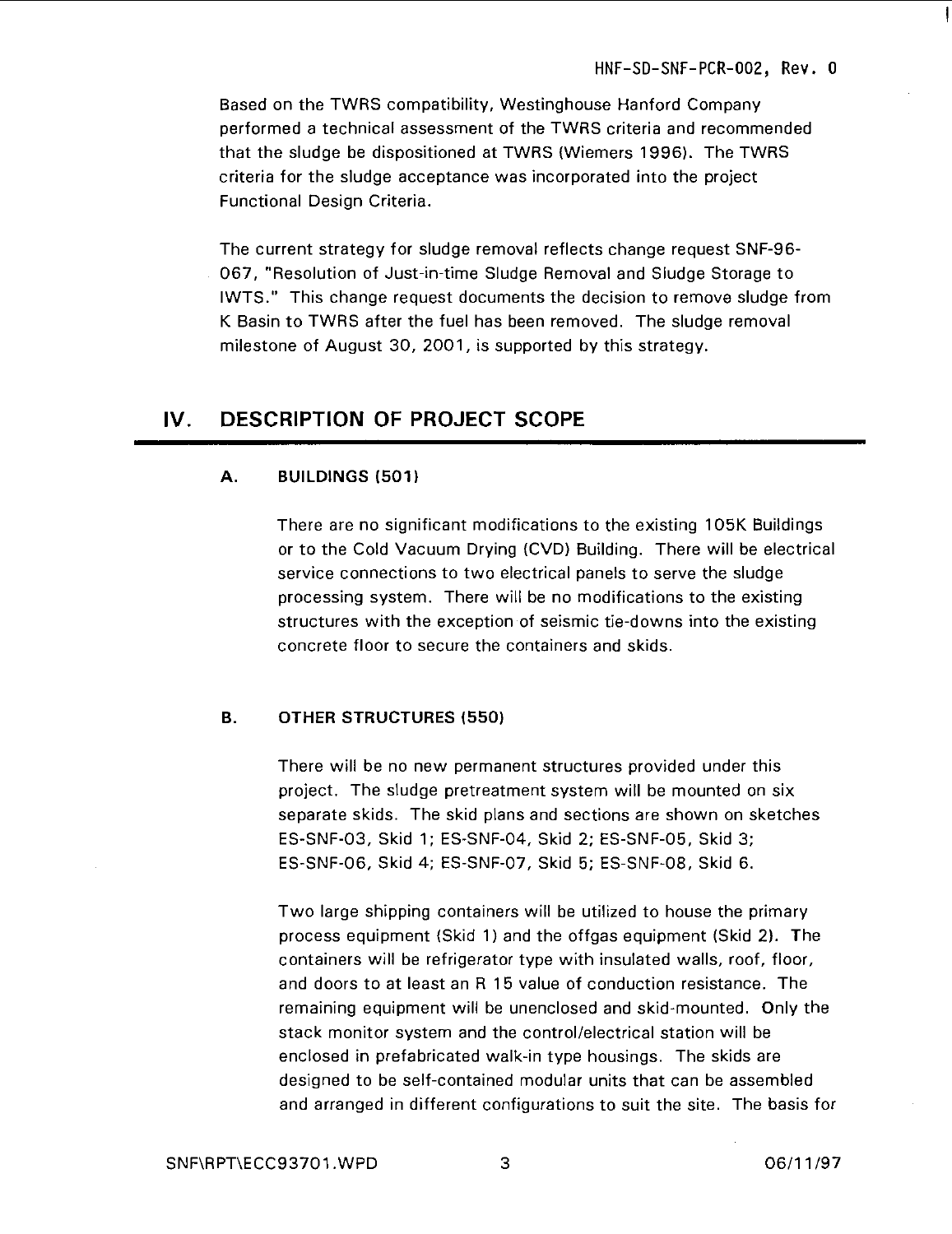Based on the TWRS compatibility, Westinghouse Hanford Company performed a technical assessment of the TWRS criteria and recommended that the sludge be dispositioned at TWRS (Wiemers 1996). The TWRS criteria for the sludge acceptance was incorporated into the project Functional Design Criteria.

The current strategy for sludge removal reflects change request SNF-96- 067, "Resolution of Just-in-time Sludge Removal and Sludge Storage to IWTS." This change request documents the decision to remove sludge from K Basin to TWRS after the fuel has been removed. The sludge removal milestone of August 30, 2001, is supported by this strategy.

### IV. DESCRIPTION OF PROJECT SCOPE

#### **A. BUILDINGS (501)**

There are no significant modifications to the existing 105K Buildings or to the Cold Vacuum Drying (CVD) Building. There will be electrical service connections to two electrical panels to serve the sludge processing system. There will be no modifications to the existing structures with the exception of seismic tie-downs into the existing concrete floor to secure the containers and skids.

#### **B. OTHER STRUCTURES (550)**

There will be no new permanent structures provided under this project. The sludge pretreatment system will be mounted on six separate skids. The skid plans and sections are shown on sketches ES-SNF-03, Skid 1; ES-SNF-04, Skid 2; ES-SNF-05, Skid 3; ES-SNF-06, Skid 4; ES-SNF-07, Skid 5; ES-SNF-08, Skid 6.

Two large shipping containers will be utilized to house the primary process equipment (Skid 1) and the offgas equipment (Skid 2). The containers will be refrigerator type with insulated walls, roof, floor, and doors to at least an R 15 value of conduction resistance. The remaining equipment will be unenclosed and skid-mounted. Only the stack monitor system and the control/electrical station will be enclosed in prefabricated walk-in type housings. The skids are designed to be self-contained modular units that can be assembled and arranged in different configurations to suit the site. The basis for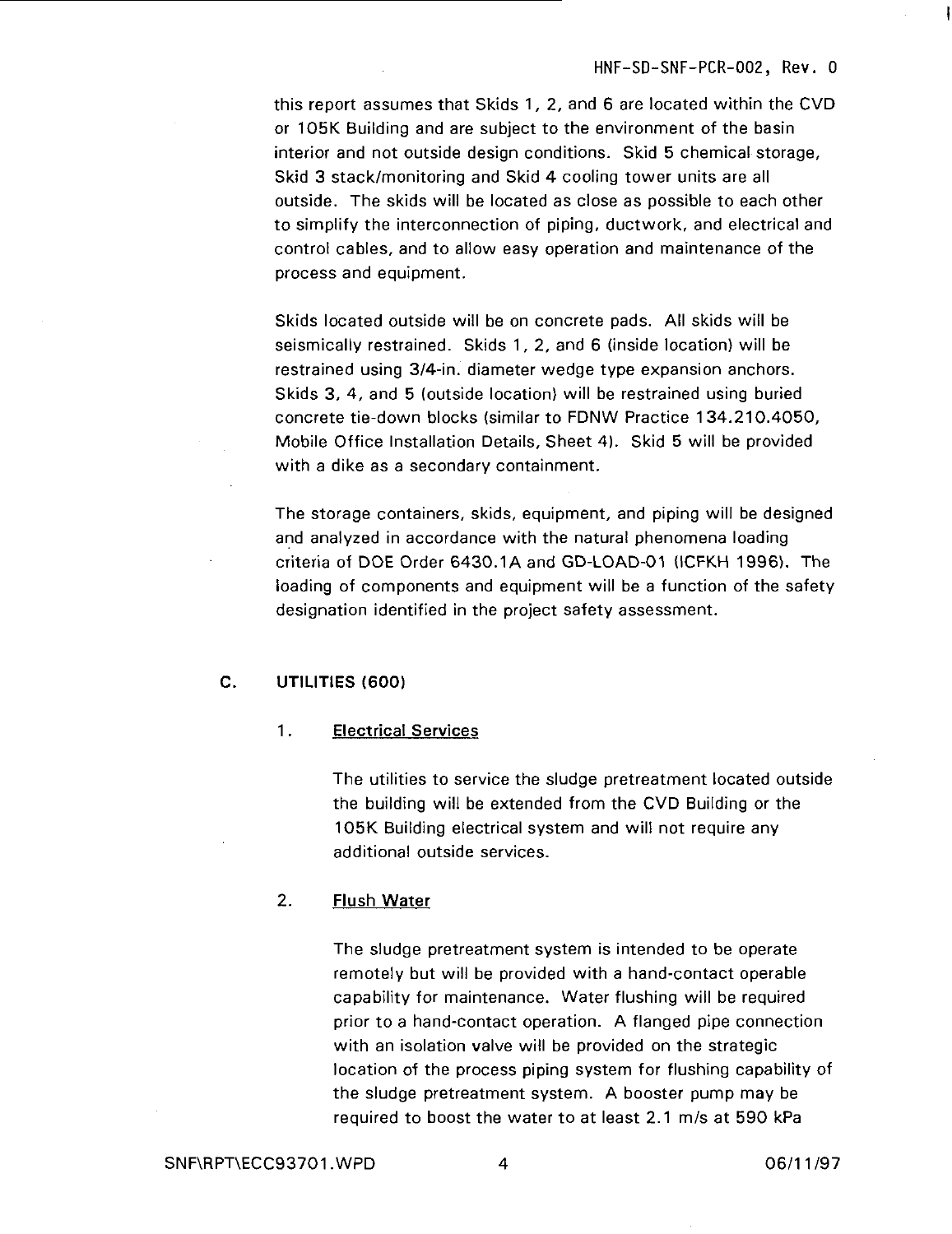this report assumes that Skids 1, 2, and 6 are located within the CVD or 105K Building and are subject to the environment of the basin interior and not outside design conditions. Skid 5 chemical storage, Skid 3 stack/monitoring and Skid 4 cooling tower units are all outside. The skids will be located as close as possible to each other to simplify the interconnection of piping, ductwork, and electrical and control cables, and to allow easy operation and maintenance of the process and equipment.

Skids located outside will be on concrete pads. All skids will be seismically restrained. Skids 1, 2, and 6 (inside location) will be restrained using 3/4-in. diameter wedge type expansion anchors. Skids 3, 4, and 5 (outside location) will be restrained using buried concrete tie-down blocks (similar to FDNW Practice 134.210.4050, Mobile Office Installation Details, Sheet 4). Skid 5 will be provided with a dike as a secondary containment.

The storage containers, skids, equipment, and piping will be designed and analyzed in accordance with the natural phenomena loading criteria of DOE Order 6430.1 A and GD-LOAD-01 (ICFKH 1996). The loading of components and equipment will be a function of the safety designation identified in the project safety assessment.

#### **C. UTILITIES (600)**

#### 1. **Electrical** Services

The utilities to service the sludge pretreatment located outside the building will be extended from the CVD Building or the 105K Building electrical system and will not require any additional outside services.

#### 2. **Flush Water**

The sludge pretreatment system is intended to be operate remotely but will be provided with a hand-contact operable capability for maintenance. Water flushing will be required prior to a hand-contact operation. A flanged pipe connection with an isolation valve will be provided on the strategic location of the process piping system for flushing capability of the sludge pretreatment system. A booster pump may be required to boost the water to at least 2.1 m/s at 590 kPa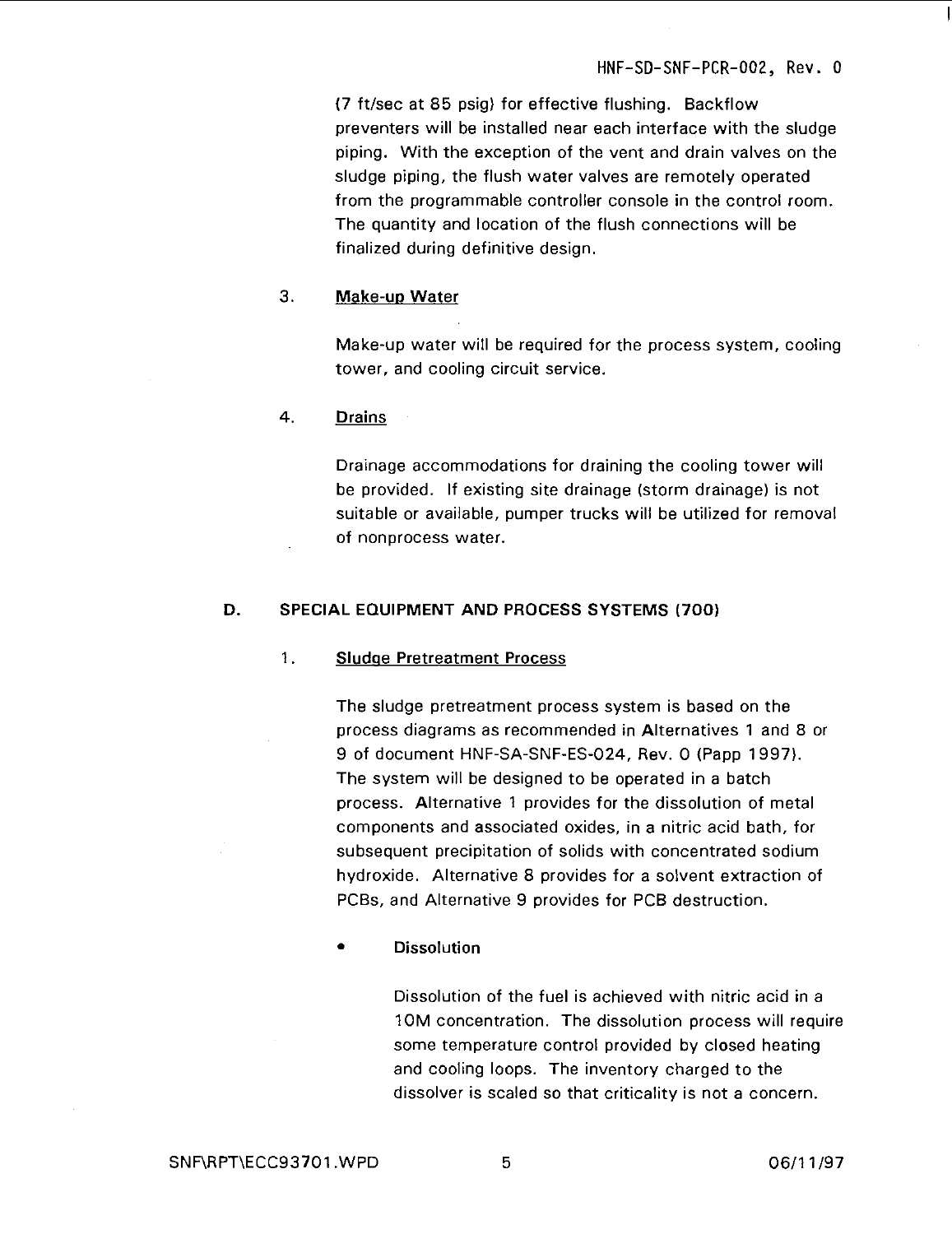(7 ft/sec at 85 psig) for effective flushing. Backflow preventers will be installed near each interface with the sludge piping. With the exception of the vent and drain valves on the sludge piping, the flush water valves are remotely operated from the programmable controller console in the control room. The quantity and location of the flush connections will be finalized during definitive design.

#### 3. **Make-up Water**

Make-up water will be required for the process system, cooling tower, and cooling circuit service.

#### 4. **Drains**

Drainage accommodations for draining the cooling tower will be provided. If existing site drainage (storm drainage) is not suitable or available, pumper trucks will be utilized for removal of nonprocess water.

#### **D. SPECIAL EQUIPMENT AND PROCESS SYSTEMS (700)**

#### 1. **Sludge Pretreatment Process**

The sludge pretreatment process system is based on the process diagrams as recommended in Alternatives 1 and 8 or 9 of document HNF-SA-SNF-ES-024, Rev. 0 (Papp 1997). The system will be designed to be operated in a batch process. Alternative 1 provides for the dissolution of metal components and associated oxides, in a nitric acid bath, for subsequent precipitation of solids with concentrated sodium hydroxide. Alternative 8 provides for a solvent extraction of PCBs, and Alternative 9 provides for PCB destruction.

• **Dissolution**

Dissolution of the fuel is achieved with nitric acid in a 10M concentration. The dissolution process will require some temperature control provided by closed heating and cooling loops. The inventory charged to the dissolver is scaled so that criticality is not a concern.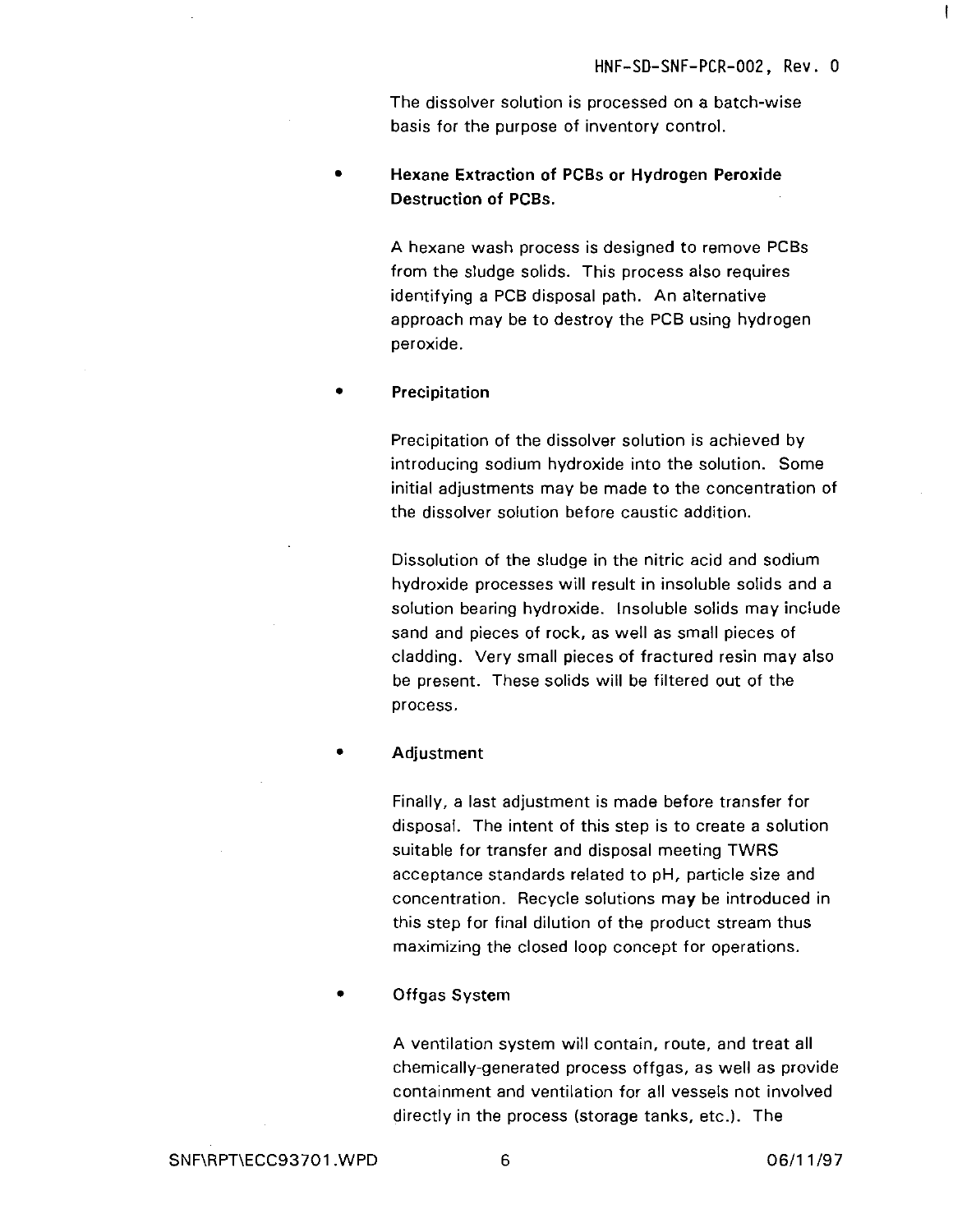ł

The dissolver solution is processed on a batch-wise basis for the purpose of inventory control.

• **Hexane Extraction of PCBs or Hydrogen Peroxide Destruction of PCBs.**

> A hexane wash process is designed to remove PCBs from the sludge solids. This process also requires identifying a PCB disposal path. An alternative approach may be to destroy the PCB using hydrogen peroxide.

• **Precipitation**

Precipitation of the dissolver solution is achieved by introducing sodium hydroxide into the solution. Some initial adjustments may be made to the concentration of the dissolver solution before caustic addition.

Dissolution of the sludge in the nitric acid and sodium hydroxide processes will result in insoluble solids and a solution bearing hydroxide. Insoluble solids may include sand and pieces of rock, as well as small pieces of cladding. Very small pieces of fractured resin may also be present. These solids will be filtered out of the process.

• **Adjustment**

Finally, a last adjustment is made before transfer for disposal. The intent of this step is to create a solution suitable for transfer and disposal meeting TWRS acceptance standards related to pH, particle size and concentration. Recycle solutions may be introduced in this step for final dilution of the product stream thus maximizing the closed loop concept for operations.

• **Offgas** System

A ventilation system will contain, route, and treat all chemically-generated process offgas, as well as provide containment and ventilation for all vessels not involved directly in the process (storage tanks, etc.). The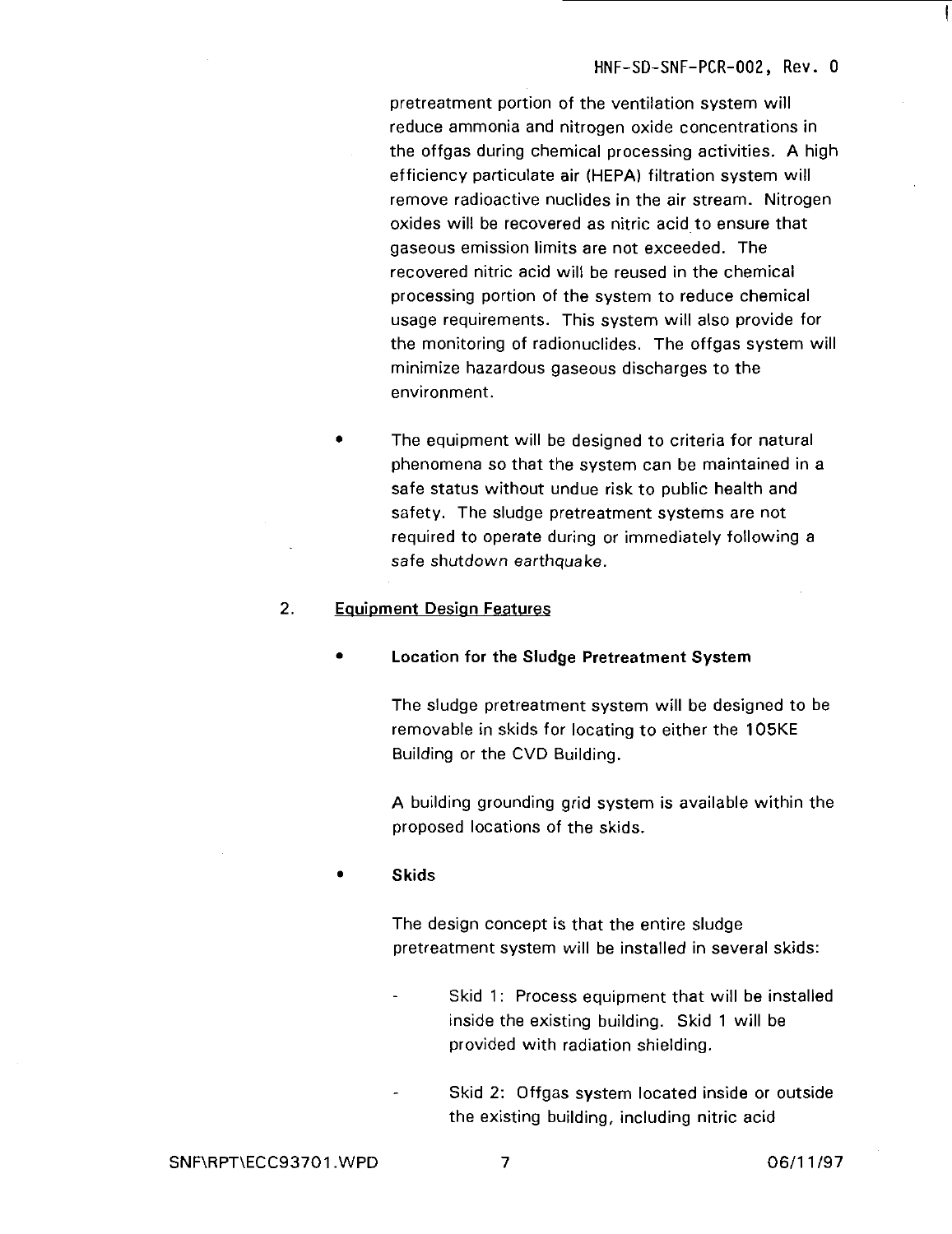pretreatment portion of the ventilation system will reduce ammonia and nitrogen oxide concentrations in the offgas during chemical processing activities. A high efficiency particulate air (HEPA) filtration system will remove radioactive nuclides in the air stream. Nitrogen oxides will be recovered as nitric acid to ensure that gaseous emission limits are not exceeded. The recovered nitric acid will be reused in the chemical processing portion of the system to reduce chemical usage requirements. This system will also provide for the monitoring of radionuclides. The offgas system will minimize hazardous gaseous discharges to the environment.

The equipment will be designed to criteria for natural phenomena so that the system can be maintained in a safe status without undue risk to public health and safety. The sludge pretreatment systems are not required to operate during or immediately following a safe shutdown earthquake.

#### 2. **Equipment Design Features**

**• Location for the Sludge Pretreatment System**

The sludge pretreatment system will be designed to be removable in skids for locating to either the 105KE Building or the CVD Building.

A building grounding grid system is available within the proposed locations of the skids.

#### • **Skids**

The design concept is that the entire sludge pretreatment system will be installed in several skids:

- Skid 1: Process equipment that will be installed inside the existing building. Skid 1 will be provided with radiation shielding.
	- Skid 2: Offgas system located inside or outside the existing building, including nitric acid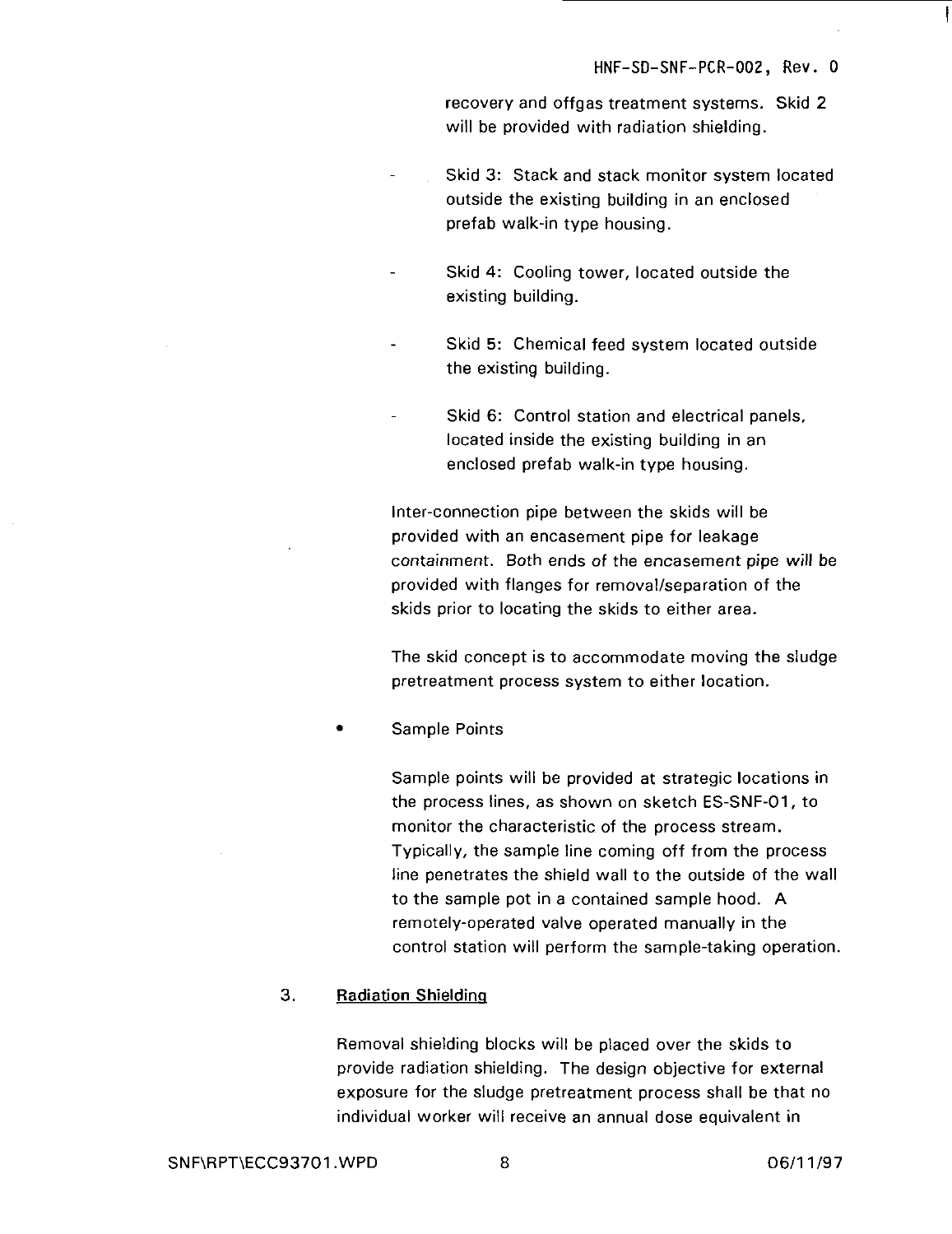recovery and offgas treatment systems. Skid 2 will be provided with radiation shielding.

- Skid 3: Stack and stack monitor system located outside the existing building in an enclosed prefab walk-in type housing.
- Skid 4: Cooling tower, located outside the existing building.
- Skid 5: Chemical feed system located outside the existing building.
- Skid 6: Control station and electrical panels, located inside the existing building in an enclosed prefab walk-in type housing.

Inter-connection pipe between the skids will be provided with an encasement pipe for leakage containment. Both ends of the encasement pipe will be provided with flanges for removal/separation of the skids prior to locating the skids to either area.

The skid concept is to accommodate moving the sludge pretreatment process system to either location.

Sample Points

Sample points will be provided at strategic locations in the process lines, as shown on sketch ES-SNF-O1, to monitor the characteristic of the process stream. Typically, the sample line coming off from the process line penetrates the shield wall to the outside of the wall to the sample pot in a contained sample hood. A remotely-operated valve operated manually in the control station will perform the sample-taking operation.

#### 3. Radiation Shielding

Removal shielding blocks will be placed over the skids to provide radiation shielding. The design objective for external exposure for the sludge pretreatment process shall be that no individual worker will receive an annual dose equivalent in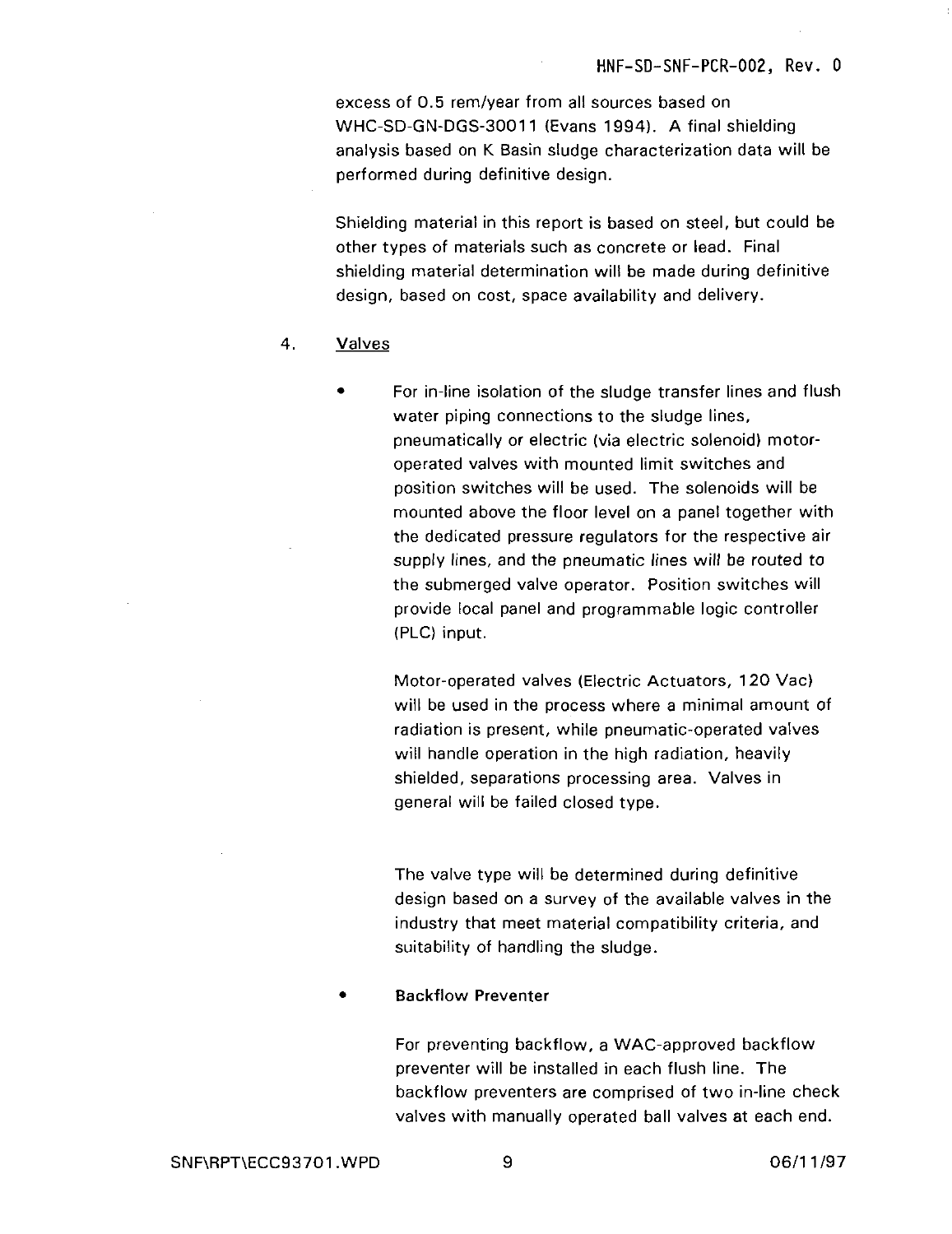excess of 0.5 rem/year from all sources based on WHC-SD-GN-DGS-30011 (Evans 1994). A final shielding analysis based on K Basin sludge characterization data will be performed during definitive design.

Shielding material in this report is based on steel, but could be other types of materials such as concrete or lead. Final shielding material determination will be made during definitive design, based on cost, space availability and delivery.

#### 4. Valves

For in-line isolation of the sludge transfer lines and flush water piping connections to the sludge lines, pneumatically or electric (via electric solenoid) motoroperated valves with mounted limit switches and position switches will be used. The solenoids will be mounted above the floor level on a panel together with the dedicated pressure regulators for the respective air supply lines, and the pneumatic lines will be routed to the submerged valve operator. Position switches will provide local panel and programmable logic controller (PLC) input.

Motor-operated valves (Electric Actuators, 120 Vac) will be used in the process where a minimal amount of radiation is present, while pneumatic-operated valves will handle operation in the high radiation, heavily shielded, separations processing area. Valves in general will be failed closed type.

The valve type will be determined during definitive design based on a survey of the available valves in the industry that meet material compatibility criteria, and suitability of handling the sludge.

#### • Backflow Preventer

For preventing backflow, a WAC-approved backflow preventer will be installed in each flush line. The backflow preventers are comprised of two in-line check valves with manually operated ball valves at each end.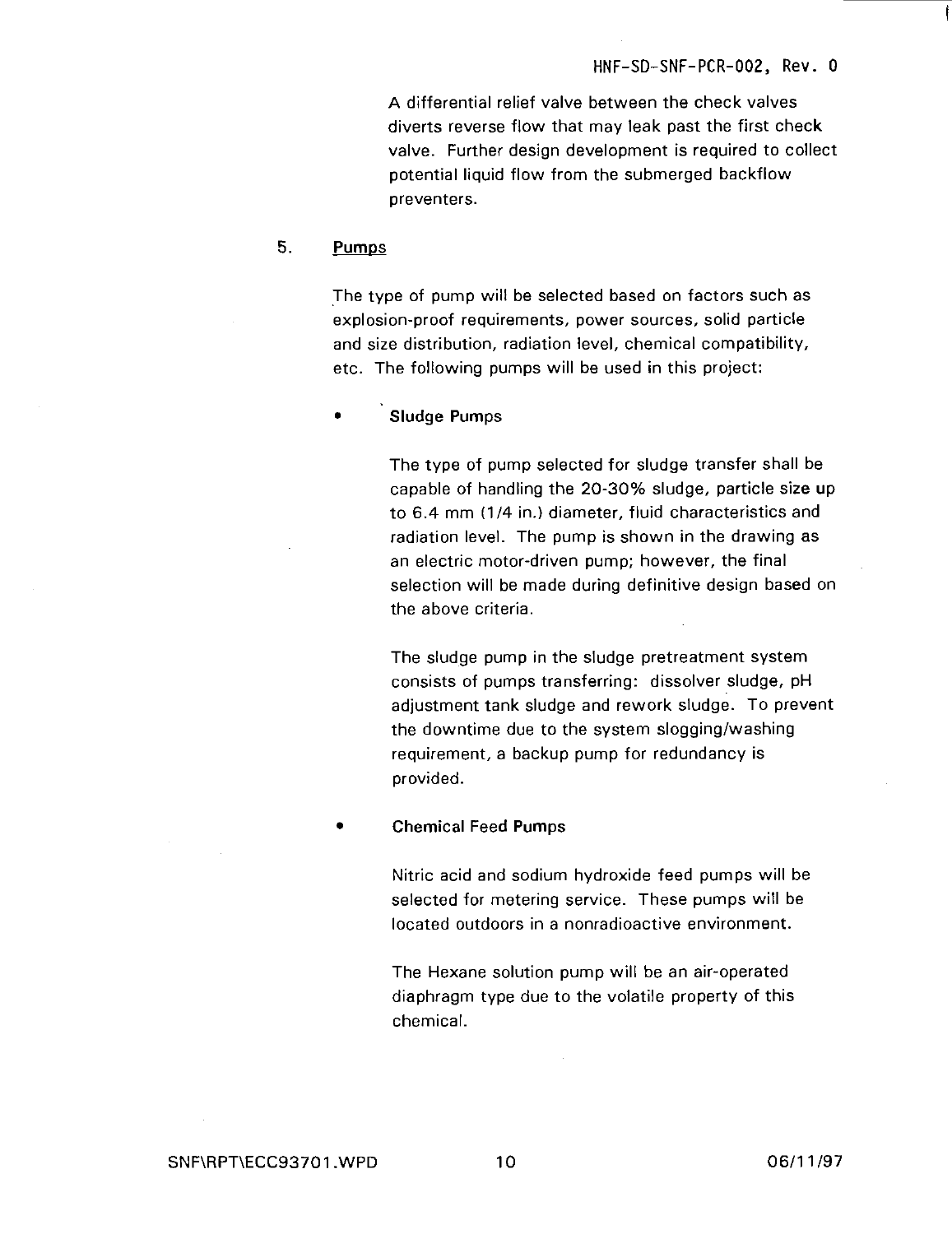A differential relief valve between the check valves diverts reverse flow that may leak past the first check valve. Further design development is required to collect potential liquid flow from the submerged backflow preventers.

#### 5. Pumps

The type of pump will be selected based on factors such as explosion-proof requirements, power sources, solid particle and size distribution, radiation level, chemical compatibility, etc. The following pumps will be used in this project:

#### Sludge Pumps

The type of pump selected for sludge transfer shall be capable of handling the 20-30% sludge, particle size up to 6.4 mm (1/4 in.) diameter, fluid characteristics and radiation level. The pump is shown in the drawing as an electric motor-driven pump; however, the final selection will be made during definitive design based on the above criteria.

The sludge pump in the sludge pretreatment system consists of pumps transferring: dissolver sludge, pH adjustment tank sludge and rework sludge. To prevent the downtime due to the system slogging/washing requirement, a backup pump for redundancy is provided.

#### • Chemical Feed Pumps

Nitric acid and sodium hydroxide feed pumps will be selected for metering service. These pumps will be located outdoors in a nonradioactive environment.

The Hexane solution pump will be an air-operated diaphragm type due to the volatile property of this chemical.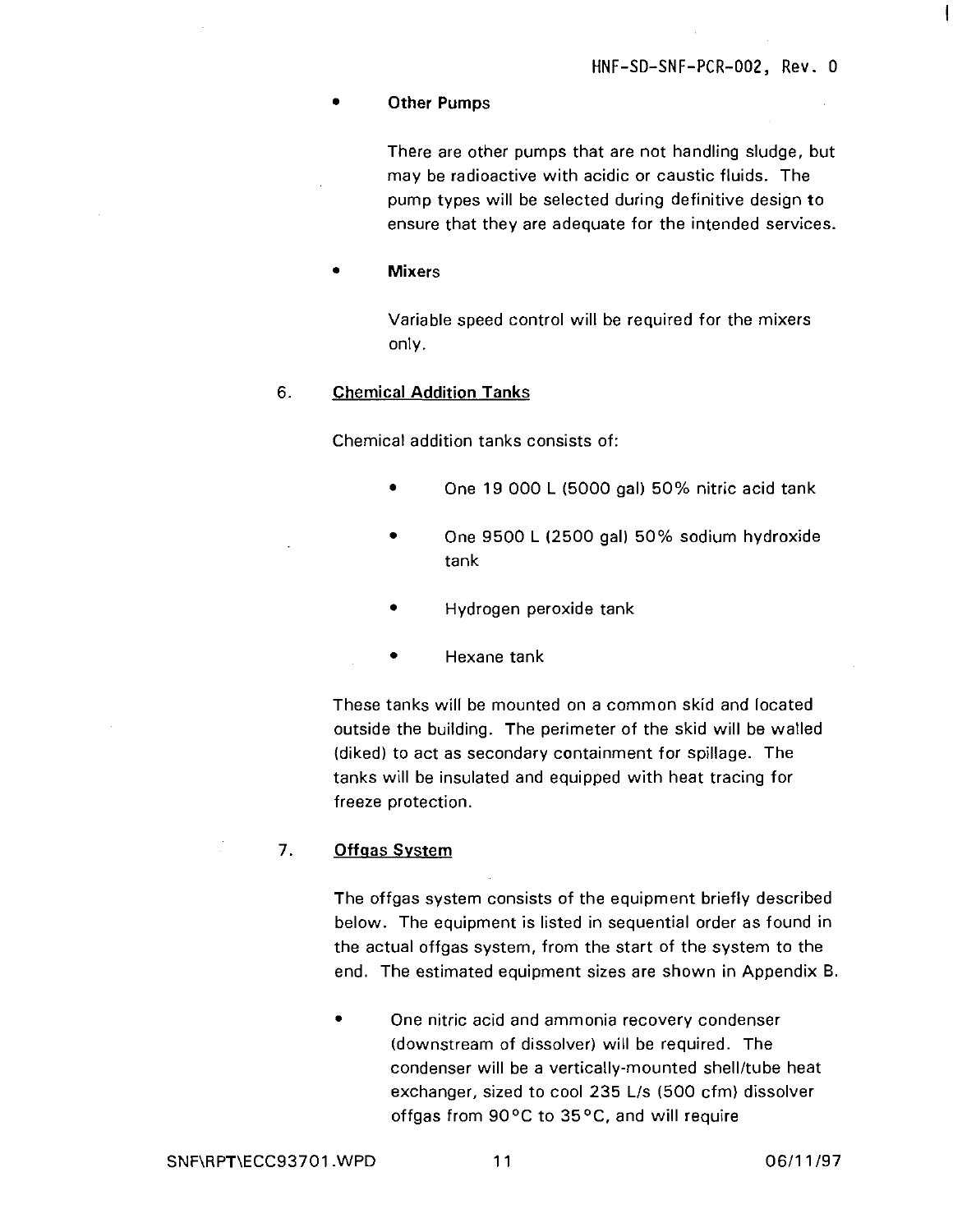1

#### **• Other Pumps**

There are other pumps that are not handling sludge, but may be radioactive with acidic or caustic fluids. The pump types will be selected during definitive design to ensure that they are adequate for the intended services.

• **Mixers**

Variable speed control will be required for the mixers only.

#### 6. **Chemical Addition Tanks**

Chemical addition tanks consists of:

- One 19 000 L (5000 gal) 50% nitric acid tank
- One 9500 L (2500 gal) 50% sodium hydroxide tank
- Hydrogen peroxide tank
- Hexane tank

These tanks will be mounted on a common skid and located outside the building. The perimeter of the skid will be walled (diked) to act as secondary containment for spillage. The tanks will be insulated and equipped with heat tracing for freeze protection.

#### **7. Offqas System**

The offgas system consists of the equipment briefly described below. The equipment is listed in sequential order as found in the actual offgas system, from the start of the system to the end. The estimated equipment sizes are shown in Appendix B.

One nitric acid and ammonia recovery condenser (downstream of dissolver) will be required. The condenser will be a vertically-mounted shell/tube heat exchanger, sized to cool 235 L/s (500 cfm) dissolver offgas from 90°C to 35°C, and will require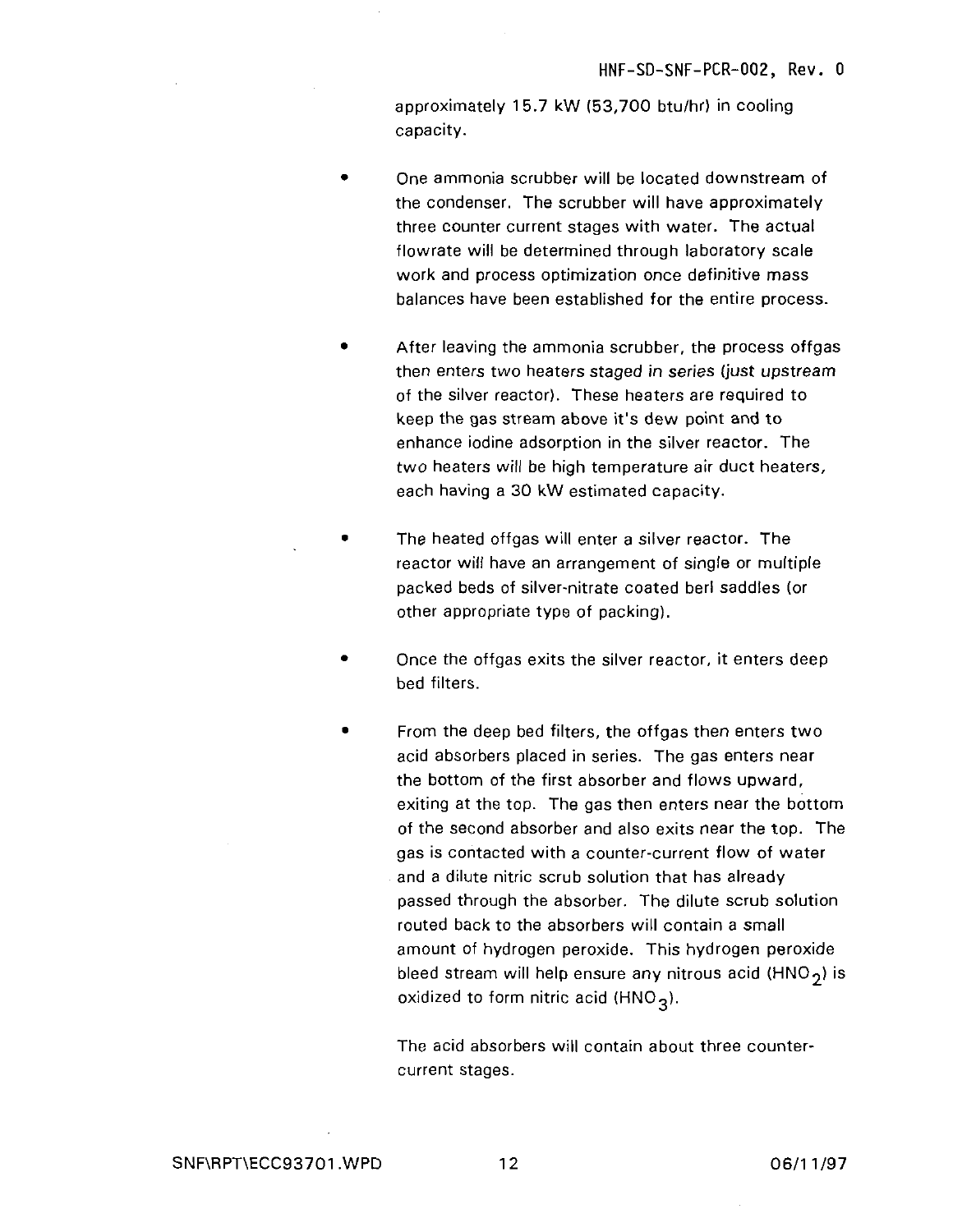approximately 15.7 kW (53,700 btu/hr) in cooling capacity.

- One ammonia scrubber will be located downstream of the condenser. The scrubber will have approximately three counter current stages with water. The actual flowrate will be determined through laboratory scale work and process optimization once definitive mass balances have been established for the entire process.
- After leaving the ammonia scrubber, the process offgas then enters two heaters staged in series (just upstream of the silver reactor). These heaters are required to keep the gas stream above it's dew point and to enhance iodine adsorption in the silver reactor. The two heaters will be high temperature air duct heaters, each having a 30 kW estimated capacity.
- The heated offgas will enter a silver reactor. The  $\blacksquare$ reactor will have an arrangement of single or multiple packed beds of silver-nitrate coated berl saddles (or other appropriate type of packing).
- Once the offgas exits the silver reactor, it enters deep bed filters.
- From the deep bed filters, the offgas then enters two acid absorbers placed in series. The gas enters near the bottom of the first absorber and flows upward, exiting at the top. The gas then enters near the bottom of the second absorber and also exits near the top. The gas is contacted with a counter-current flow of water and a dilute nitric scrub solution that has already passed through the absorber. The dilute scrub solution routed back to the absorbers will contain a small amount of hydrogen peroxide. This hydrogen peroxide bleed stream will help ensure any nitrous acid (HNO<sub>2</sub>) is oxidized to form nitric acid (HNO<sub>2</sub>).

The acid absorbers will contain about three countercurrent stages.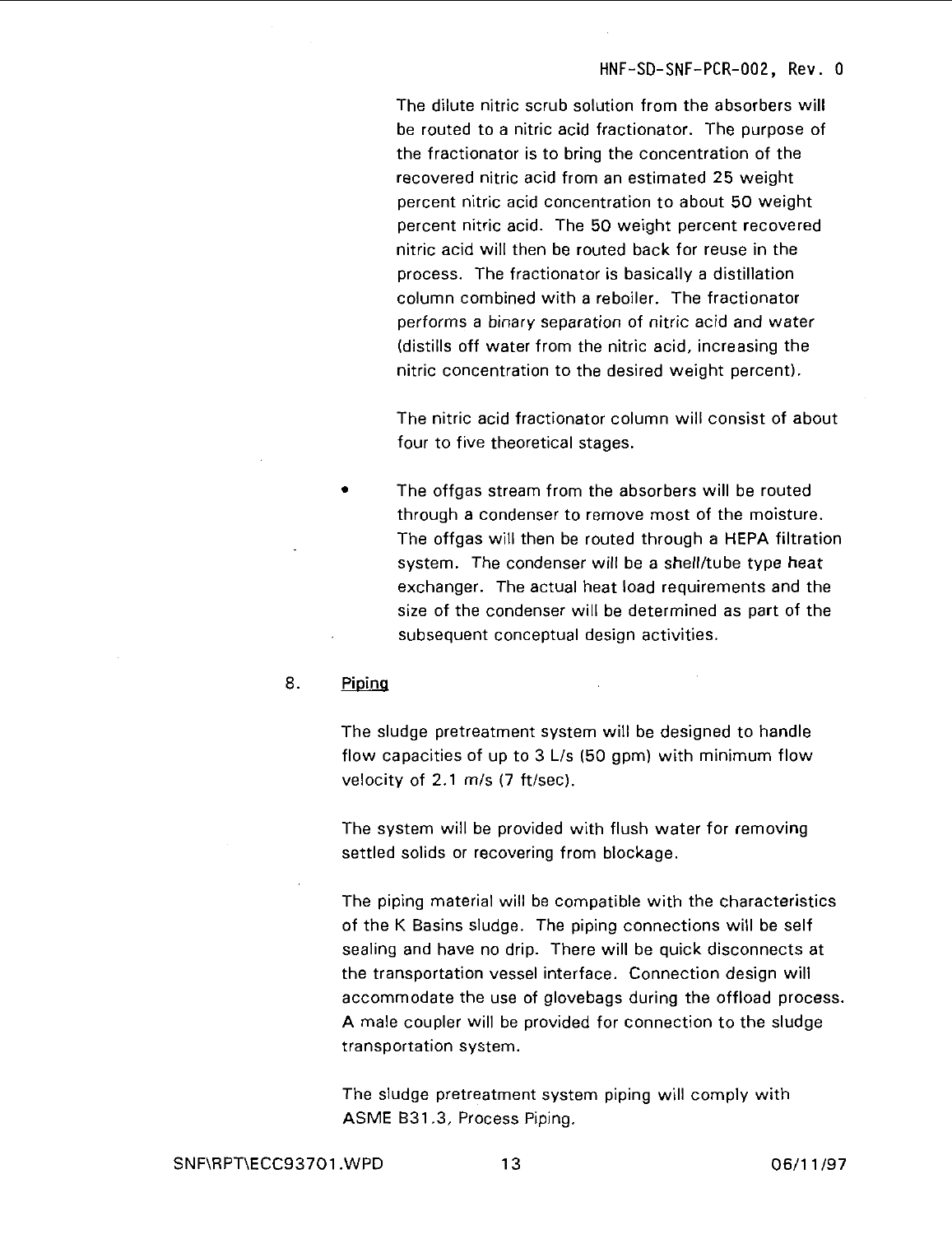The dilute nitric scrub solution from the absorbers will be routed to a nitric acid fractionator. The purpose of the fractionator is to bring the concentration of the recovered nitric acid from an estimated 25 weight percent nitric acid concentration to about 50 weight percent nitric acid. The 50 weight percent recovered nitric acid will then be routed back for reuse in the process. The fractionator is basically a distillation column combined with a reboiler. The fractionator performs a binary separation of nitric acid and water (distills off water from the nitric acid, increasing the nitric concentration to the desired weight percent).

The nitric acid fractionator column will consist of about four to five theoretical stages.

The offgas stream from the absorbers will be routed through a condenser to remove most of the moisture. The offgas will then be routed through a HEPA filtration system. The condenser will be a shell/tube type heat exchanger. The actual heat load requirements and the size of the condenser will be determined as part of the subsequent conceptual design activities.

#### 8. Piping

The sludge pretreatment system will be designed to handle flow capacities of up to 3 L/s (50 gpm) with minimum flow velocity of 2.1 m/s (7 ft/sec).

The system will be provided with flush water for removing settled solids or recovering from blockage.

The piping material will be compatible with the characteristics of the K Basins sludge. The piping connections will be self sealing and have no drip. There will be quick disconnects at the transportation vessel interface. Connection design will accommodate the use of glovebags during the offload process. A male coupler will be provided for connection to the sludge transportation system.

The sludge pretreatment system piping will comply with ASME B31.3, Process Piping.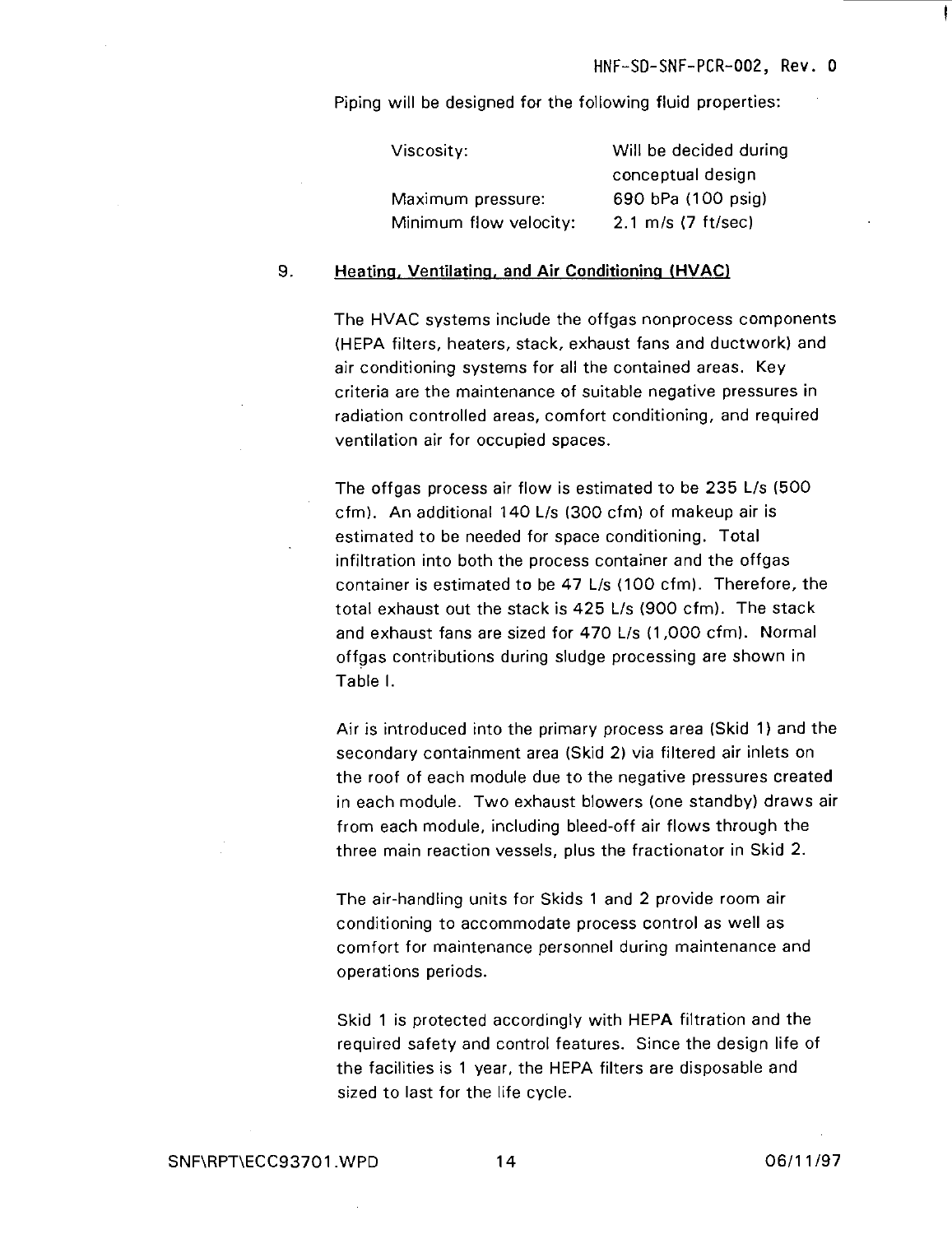Piping will be designed for the following fluid properties:

| Viscosity:             | Will be decided during         |
|------------------------|--------------------------------|
|                        | conceptual design              |
| Maximum pressure:      | 690 bPa (100 psig)             |
| Minimum flow velocity: | $2.1 \, \text{m/s}$ (7 ft/sec) |

#### 9. **Heating. Ventilating, and Air Conditioning (HVAC)**

The HVAC systems include the offgas nonprocess components (HEPA filters, heaters, stack, exhaust fans and ductwork) and air conditioning systems for all the contained areas. Key criteria are the maintenance of suitable negative pressures in radiation controlled areas, comfort conditioning, and required ventilation air for occupied spaces.

The offgas process air flow is estimated to be 235 L/s (500 cfm). An additional 140 L/s (300 cfm) of makeup air is estimated to be needed for space conditioning. Total infiltration into both the process container and the offgas container is estimated to be 47 L/s (100 cfm). Therefore, the total exhaust out the stack is 425 L/s (900 cfm). The stack and exhaust fans are sized for 470 L/s (1,000 cfm). Normal offgas contributions during sludge processing are shown in Table I.

Air is introduced into the primary process area (Skid 1) and the secondary containment area (Skid 2) via filtered air inlets on the roof of each module due to the negative pressures created in each module. Two exhaust blowers (one standby) draws air from each module, including bleed-off air flows through the three main reaction vessels, plus the fractionator in Skid 2.

The air-handling units for Skids 1 and 2 provide room air conditioning to accommodate process control as well as comfort for maintenance personnel during maintenance and operations periods.

Skid 1 is protected accordingly with HEPA filtration and the required safety and control features. Since the design life of the facilities is 1 year, the HEPA filters are disposable and sized to last for the life cycle.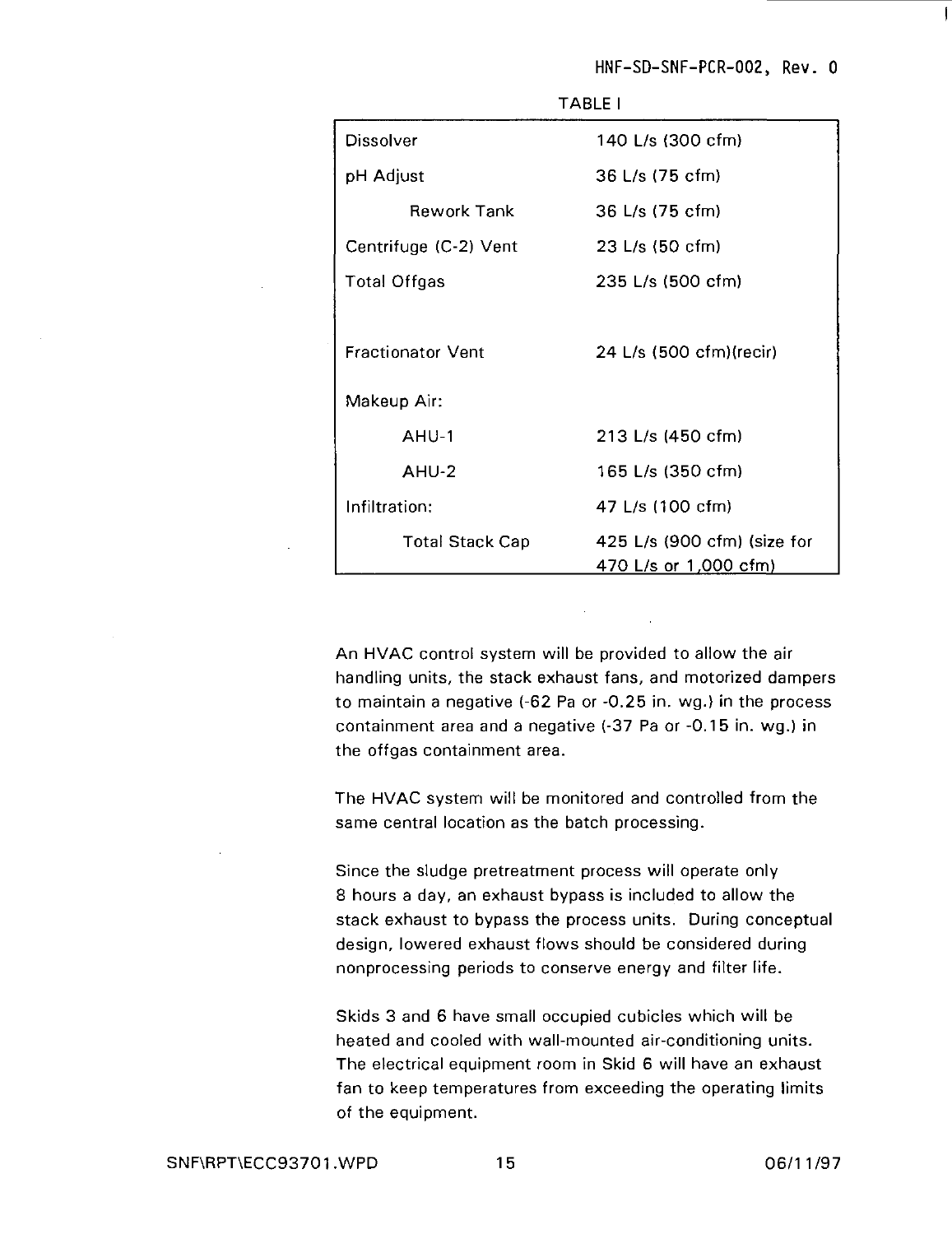HNF-SD-SNF-PCR-002, Rev. 0

 $\mathbf{I}$ 

| Dissolver                | 140 L/s (300 cfm)                                    |
|--------------------------|------------------------------------------------------|
| pH Adjust                | 36 L/s (75 cfm)                                      |
| Rework Tank              | 36 L/s (75 cfm)                                      |
| Centrifuge (C-2) Vent    | 23 L/s (50 cfm)                                      |
| <b>Total Offgas</b>      | 235 L/s (500 cfm)                                    |
|                          |                                                      |
| <b>Fractionator Vent</b> | 24 L/s (500 cfm)(recir)                              |
| Makeup Air:              |                                                      |
| $AHU-1$                  | 213 L/s (450 cfm)                                    |
| AHU-2                    | 165 L/s (350 cfm)                                    |
| Infiltration:            | 47 L/s (100 cfm)                                     |
| <b>Total Stack Cap</b>   | 425 L/s (900 cfm) (size for<br>470 L/s or 1,000 cfm) |

TABLE I

An HVAC control system will be provided to allow the air handling units, the stack exhaust fans, and motorized dampers to maintain a negative (-62 Pa or -0.25 in. wg.) in the process containment area and a negative (-37 Pa or -0.15 in. wg.) in the offgas containment area.

The HVAC system will be monitored and controlled from the same central location as the batch processing.

Since the sludge pretreatment process will operate only 8 hours a day, an exhaust bypass is included to allow the stack exhaust to bypass the process units. During conceptual design, lowered exhaust flows should be considered during nonprocessing periods to conserve energy and filter life.

Skids 3 and 6 have small occupied cubicles which will be heated and cooled with wall-mounted air-conditioning units. The electrical equipment room in Skid 6 will have an exhaust fan to keep temperatures from exceeding the operating limits of the equipment.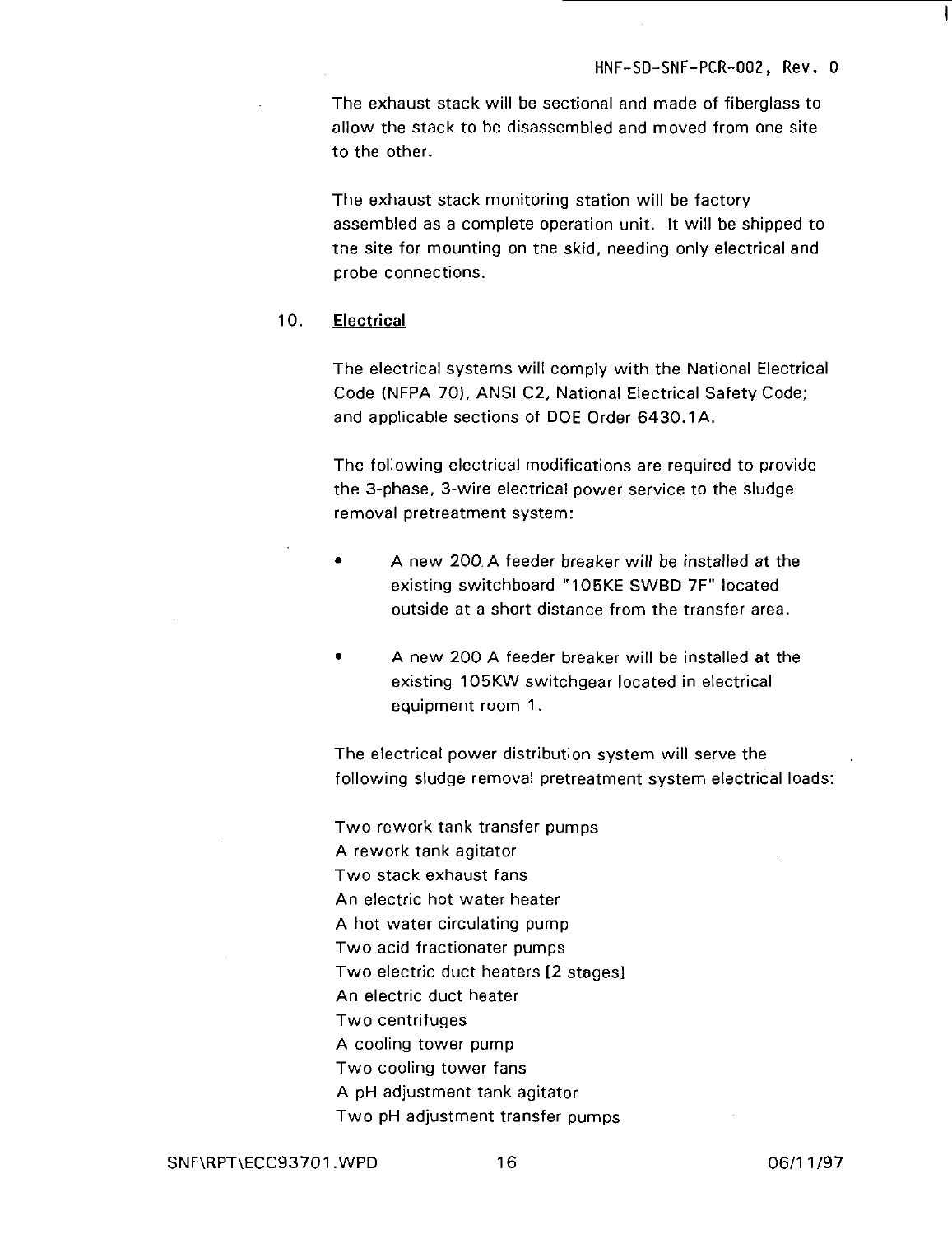The exhaust stack will be sectional and made of fiberglass to allow the stack to be disassembled and moved from one site to the other.

The exhaust stack monitoring station will be factory assembled as a complete operation unit. It will be shipped to the site for mounting on the skid, needing only electrical and probe connections.

#### 10. **Electrical**

The electrical systems will comply with the National Electrical Code (NFPA 70), ANSI C2, National Electrical Safety Code; and applicable sections of DOE Order 6430.1A.

The following electrical modifications are required to provide the 3-phase, 3-wire electrical power service to the sludge removal pretreatment system:

- A new 200. A feeder breaker will be installed at the existing switchboard "105KE SWBD 7F" located outside at a short distance from the transfer area.
- A new 200 A feeder breaker will be installed at the existing 105KW switchgear located in electrical equipment room 1.

The electrical power distribution system will serve the following sludge removal pretreatment system electrical loads:

Two rework tank transfer pumps A rework tank agitator Two stack exhaust fans An electric hot water heater A hot water circulating pump Two acid fractionater pumps Two electric duct heaters [2 stages] An electric duct heater Two centrifuges A cooling tower pump Two cooling tower fans A pH adjustment tank agitator Two pH adjustment transfer pumps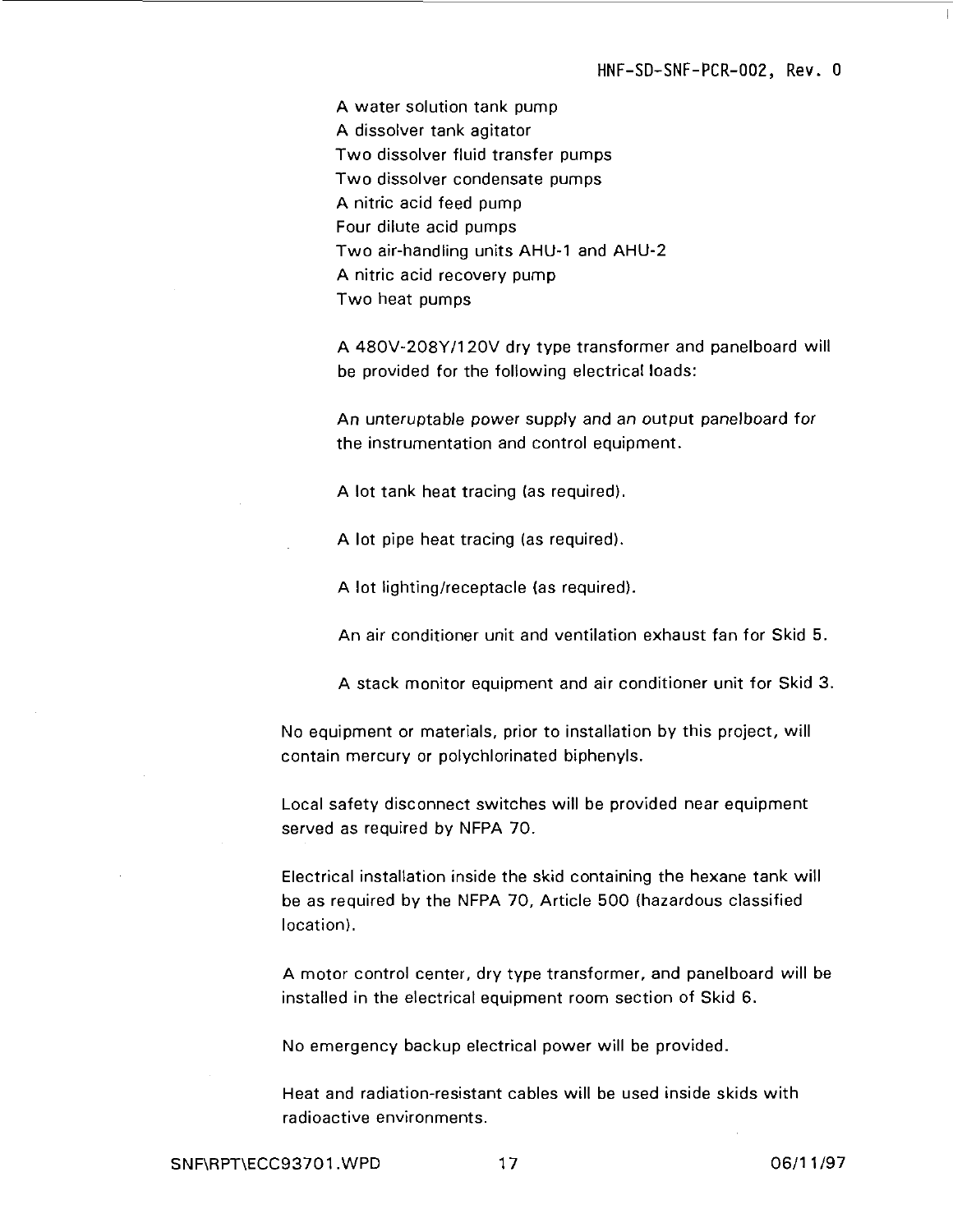A water solution tank pump A dissolver tank agitator Two dissolver fluid transfer pumps Two dissolver condensate pumps A nitric acid feed pump Four dilute acid pumps Two air-handling units AHU-1 and AHU-2 A nitric acid recovery pump Two heat pumps

A 480V-208Y/120V dry type transformer and panelboard will be provided for the following electrical loads:

An unteruptable power supply and an output panelboard for the instrumentation and control equipment.

A lot tank heat tracing (as required).

A lot pipe heat tracing (as required).

A lot lighting/receptacle (as required).

An air conditioner unit and ventilation exhaust fan for Skid 5.

A stack monitor equipment and air conditioner unit for Skid 3.

No equipment or materials, prior to installation by this project, will contain mercury or polychlorinated biphenyls.

Local safety disconnect switches will be provided near equipment served as required by NFPA 70.

Electrical installation inside the skid containing the hexane tank will be as required by the NFPA 70, Article 500 (hazardous classified location).

A motor control center, dry type transformer, and panelboard will be installed in the electrical equipment room section of Skid 6.

No emergency backup electrical power will be provided.

Heat and radiation-resistant cables will be used inside skids with radioactive environments.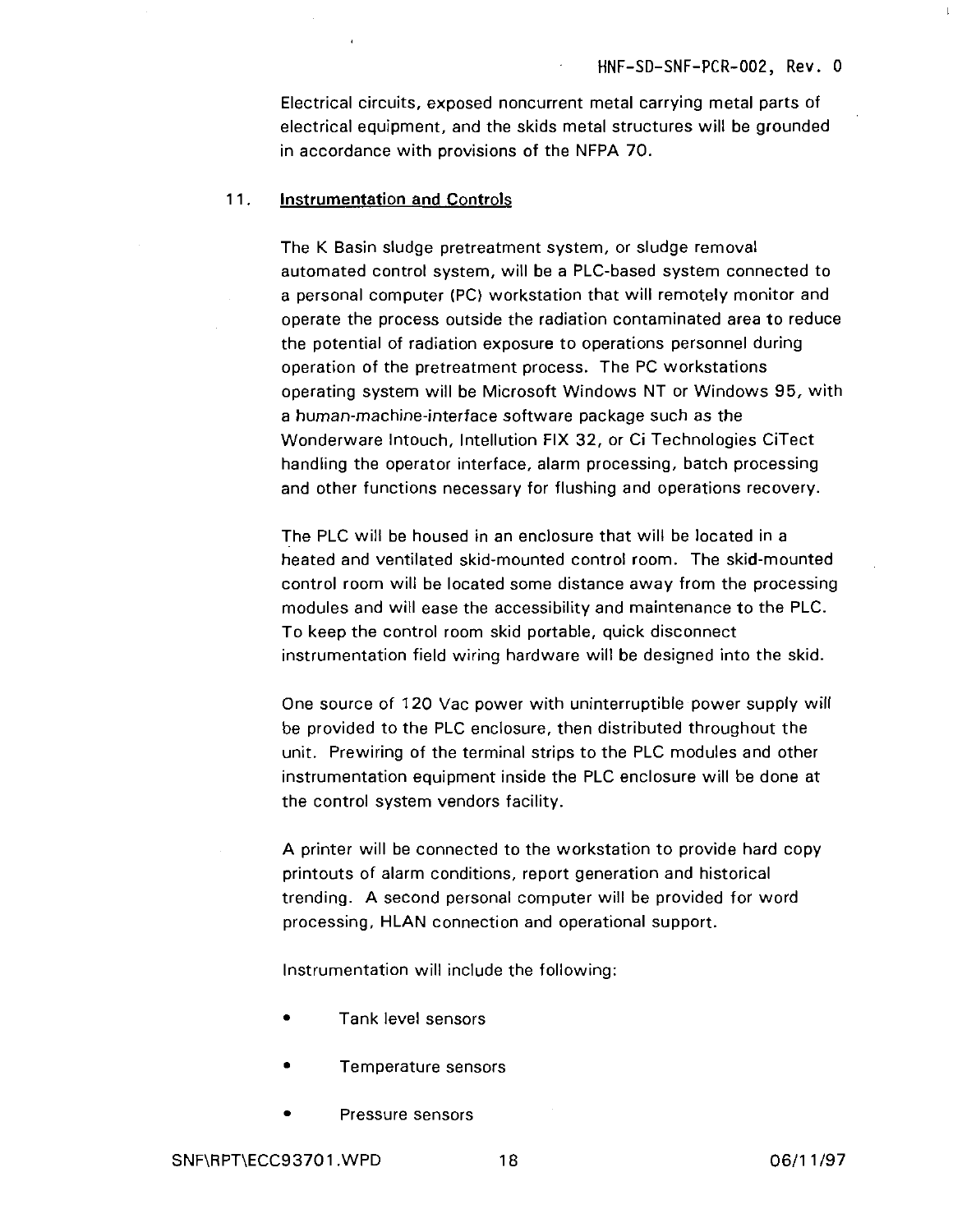Electrical circuits, exposed noncurrent metal carrying metal parts of electrical equipment, and the skids metal structures will be grounded in accordance with provisions of the NFPA 70.

#### 1 1. **Instrumentation and Controls**

The K Basin sludge pretreatment system, or sludge removal automated control system, will be a PLC-based system connected to a personal computer (PC) workstation that will remotely monitor and operate the process outside the radiation contaminated area to reduce the potential of radiation exposure to operations personnel during operation of the pretreatment process. The PC workstations operating system will be Microsoft Windows NT or Windows 95, with a human-machine-interface software package such as the Wonderware Intouch, Intellution FIX 32, or Ci Technologies CiTect handling the operator interface, alarm processing, batch processing and other functions necessary for flushing and operations recovery.

The PLC will be housed in an enclosure that will be located in a heated and ventilated skid-mounted control room. The skid-mounted control room will be located some distance away from the processing modules and will ease the accessibility and maintenance to the PLC. To keep the control room skid portable, quick disconnect instrumentation field wiring hardware will be designed into the skid.

One source of 120 Vac power with uninterruptible power supply will be provided to the PLC enclosure, then distributed throughout the unit. Prewiring of the terminal strips to the PLC modules and other instrumentation equipment inside the PLC enclosure will be done at the control system vendors facility.

A printer will be connected to the workstation to provide hard copy printouts of alarm conditions, report generation and historical trending. A second personal computer will be provided for word processing, HLAN connection and operational support.

Instrumentation will include the following:

- Tank level sensors
- Temperature sensors
- Pressure sensors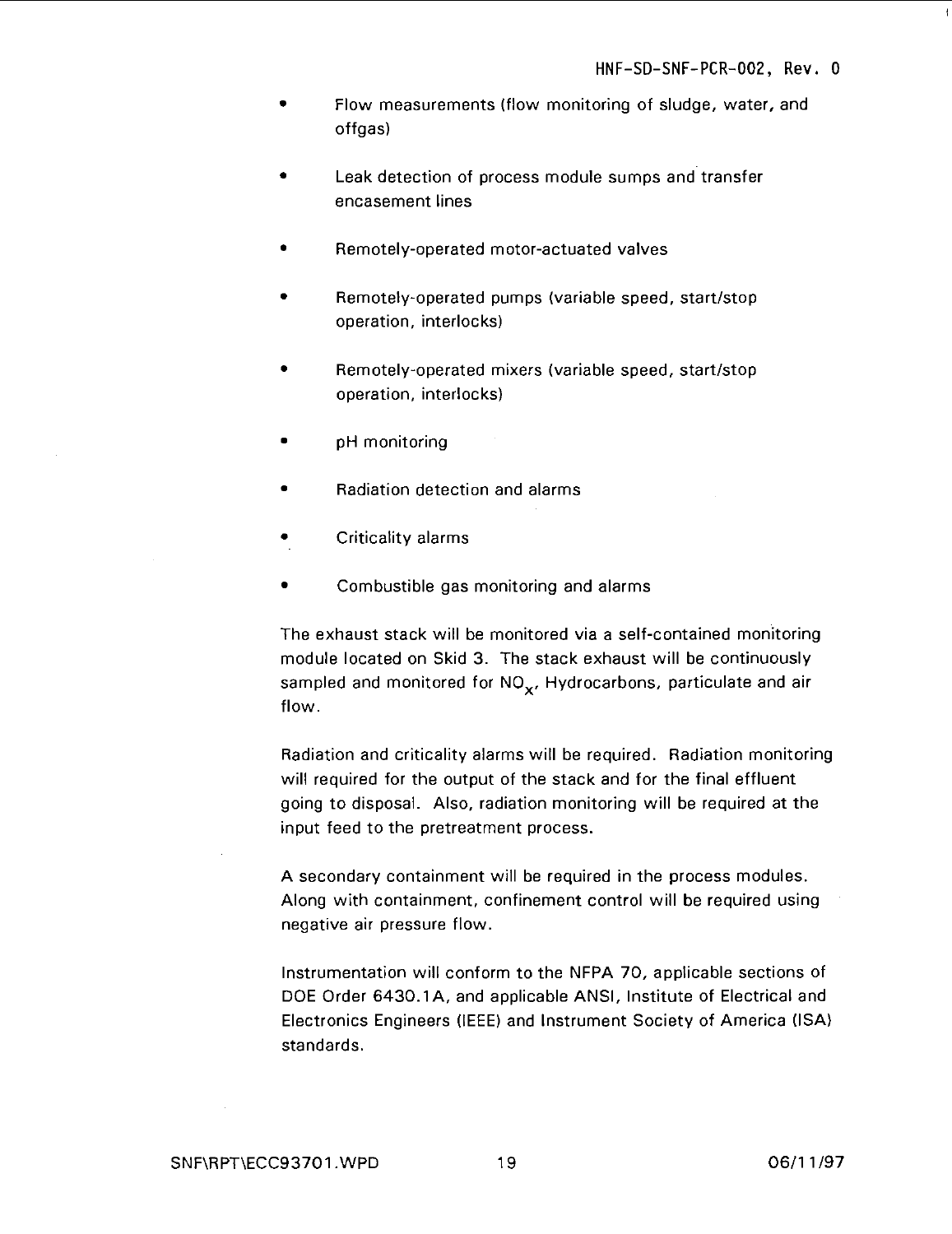- Flow measurements (flow monitoring of sludge, water, and offgas)
- Leak detection of process module sumps and transfer encasement lines
- Remotely-operated motor-actuated valves
- Remotely-operated pumps (variable speed, start/stop operation, interlocks)
- Remotely-operated mixers (variable speed, start/stop operation, interlocks)
- pH monitoring
- Radiation detection and alarms
- Criticality alarms
- Combustible gas monitoring and alarms

The exhaust stack will be monitored via a self-contained monitoring module located on Skid 3. The stack exhaust will be continuously sampled and monitored for  $NO_{x}$ , Hydrocarbons, particulate and air flow.

Radiation and criticality alarms will be required. Radiation monitoring will required for the output of the stack and for the final effluent going to disposal. Also, radiation monitoring will be required at the input feed to the pretreatment process.

A secondary containment will be required in the process modules. Along with containment, confinement control will be required using negative air pressure flow.

Instrumentation will conform to the NFPA 70, applicable sections of DOE Order 6430.1A, and applicable ANSI, Institute of Electrical and Electronics Engineers (IEEE) and Instrument Society of America (ISA) standards.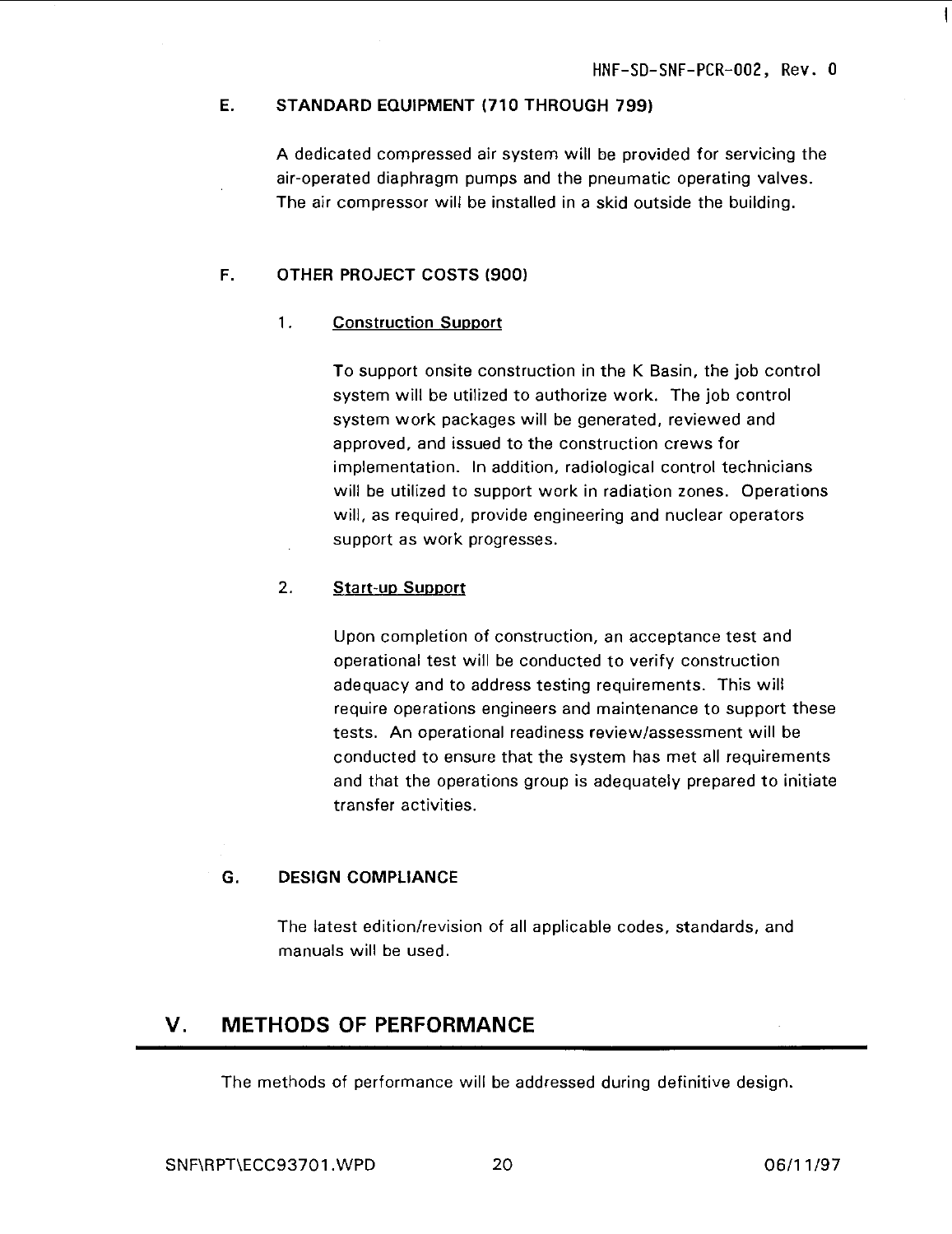#### **E. STANDARD EQUIPMENT (710 THROUGH 799)**

A dedicated compressed air system will be provided for servicing the air-operated diaphragm pumps and the pneumatic operating valves. The air compressor will be installed in a skid outside the building.

#### **F. OTHER PROJECT COSTS (900)**

#### 1. **Construction Support**

To support onsite construction in the K Basin, the job control system will be utilized to authorize work. The job control system work packages will be generated, reviewed and approved, and issued to the construction crews for implementation. In addition, radiological control technicians will be utilized to support work in radiation zones. Operations will, as required, provide engineering and nuclear operators support as work progresses.

#### 2. **Start-up Support**

Upon completion of construction, an acceptance test and operational test will be conducted to verify construction adequacy and to address testing requirements. This will require operations engineers and maintenance to support these tests. An operational readiness review/assessment will be conducted to ensure that the system has met all requirements and that the operations group is adequately prepared to initiate transfer activities.

#### G. **DESIGN COMPLIANCE**

The latest edition/revision of all applicable codes, standards, and manuals will be used.

### V. METHODS OF PERFORMANCE

The methods of performance will be addressed during definitive design.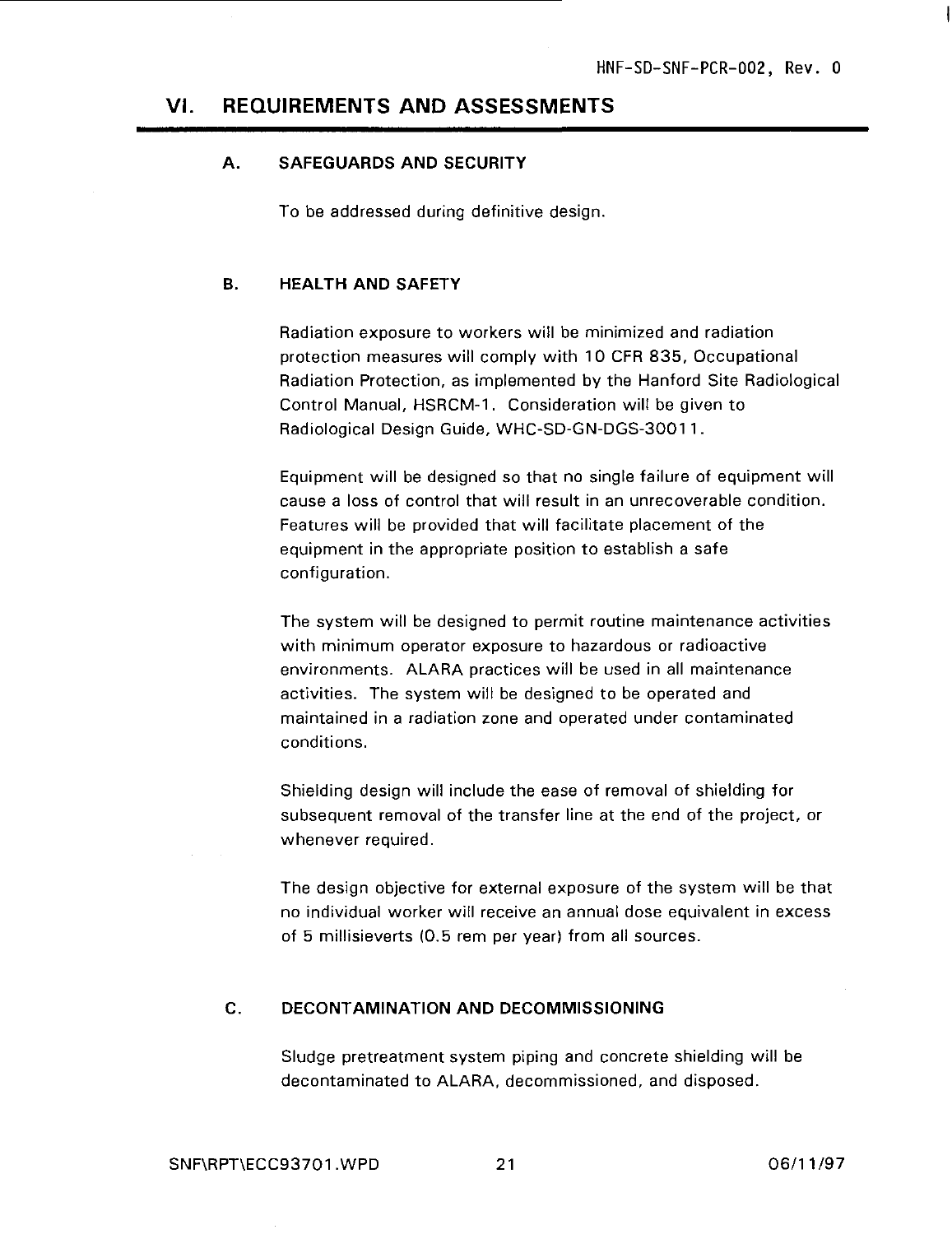#### VI. REQUIREMENTS AND ASSESSMENTS

#### **A. SAFEGUARDS AND SECURITY**

To be addressed during definitive design.

#### **B. HEALTH AND SAFETY**

Radiation exposure to workers will be minimized and radiation protection measures will comply with 10 CFR 835, Occupational Radiation Protection, as implemented by the Hanford Site Radiological Control Manual, HSRCM-1. Consideration will be given to Radiological Design Guide, WHC-SD-GN-DGS-30011.

Equipment will be designed so that no single failure of equipment will cause a loss of control that will result in an unrecoverable condition. Features will be provided that will facilitate placement of the equipment in the appropriate position to establish a safe configuration.

The system will be designed to permit routine maintenance activities with minimum operator exposure to hazardous or radioactive environments. ALARA practices will be used in all maintenance activities. The system will be designed to be operated and maintained in a radiation zone and operated under contaminated conditions.

Shielding design will include the ease of removal of shielding for subsequent removal of the transfer line at the end of the project, or whenever required.

The design objective for external exposure of the system will be that no individual worker will receive an annual dose equivalent in excess of 5 millisieverts (0.5 rem per year) from all sources.

#### **C. DECONTAMINATION AND DECOMMISSIONING**

Sludge pretreatment system piping and concrete shielding will be decontaminated to ALARA, decommissioned, and disposed.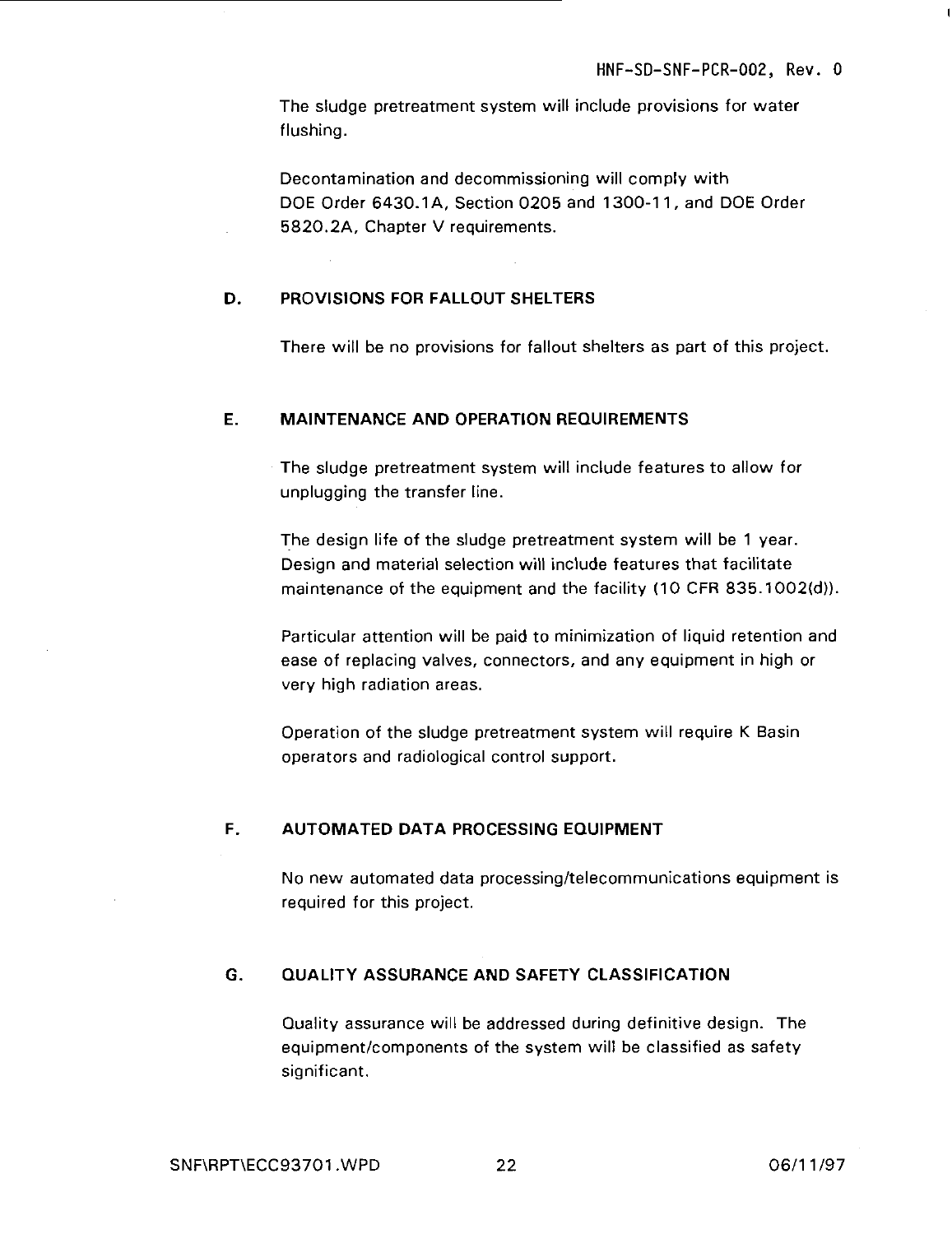The sludge pretreatment system will include provisions for water flushing.

Decontamination and decommissioning will comply with DOE Order 6430.1 A, Section 0205 and 1300-11, and DOE Order 5820.2A, Chapter V requirements.

#### **D. PROVISIONS FOR FALLOUT SHELTERS**

There will be no provisions for fallout shelters as part of this project.

#### **E. MAINTENANCE AND OPERATION REQUIREMENTS**

The sludge pretreatment system will include features to allow for unplugging the transfer line.

The design life of the sludge pretreatment system will be 1 year. Design and material selection will include features that facilitate maintenance of the equipment and the facility (10 CFR 835.1002(d)).

Particular attention will be paid to minimization of liquid retention and ease of replacing valves, connectors, and any equipment in high or very high radiation areas.

Operation of the sludge pretreatment system will require K Basin operators and radiological control support.

#### **F. AUTOMATED DATA PROCESSING EQUIPMENT**

No new automated data processing/telecommunications equipment is required for this project.

#### **G. QUALITY ASSURANCE AND SAFETY CLASSIFICATION**

Quality assurance will be addressed during definitive design. The equipment/components of the system will be classified as safety significant.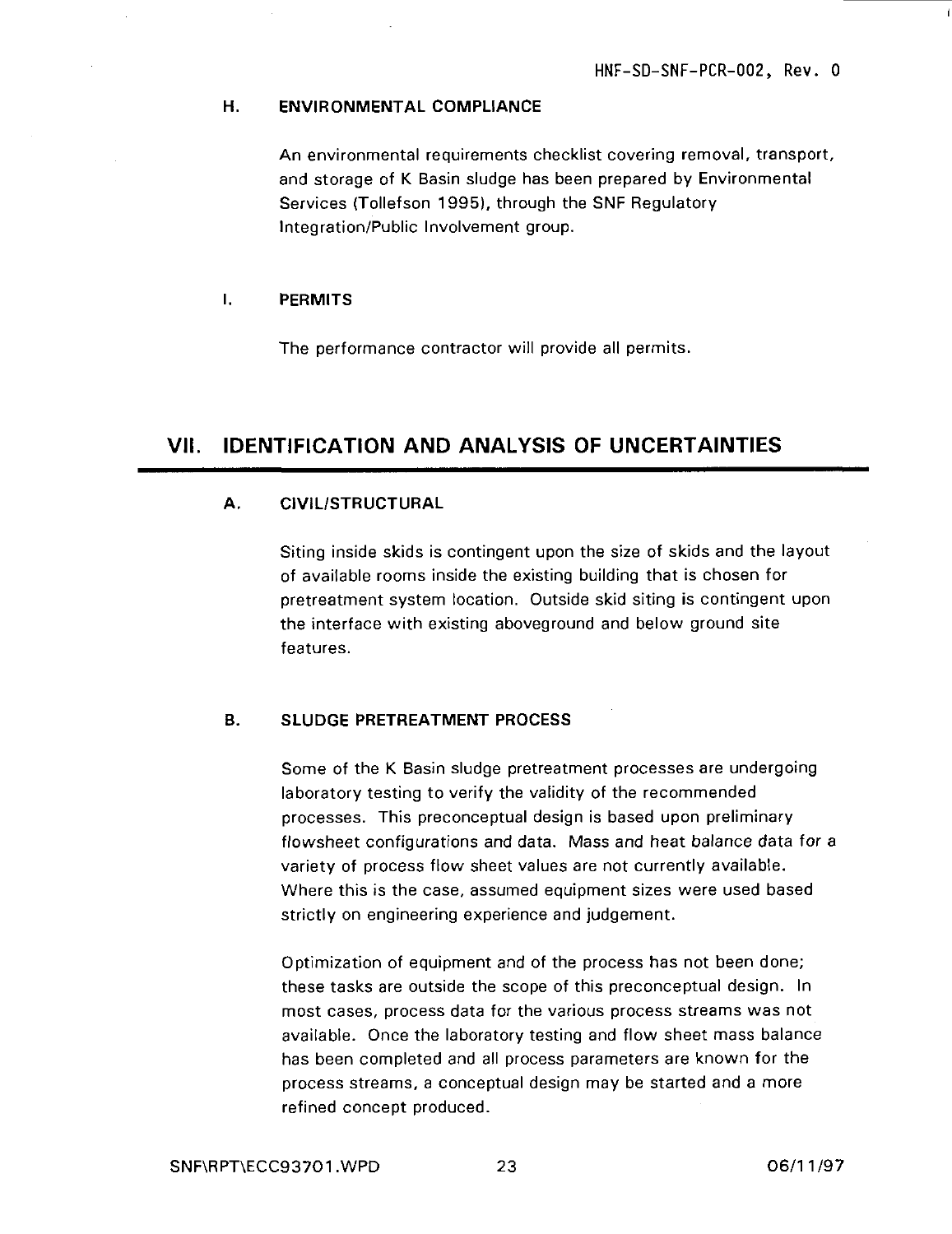#### **H. ENVIRONMENTAL COMPLIANCE**

An environmental requirements checklist covering removal, transport, and storage of K Basin sludge has been prepared by Environmental Services (Tollefson 1995), through the SNF Regulatory Integration/Public Involvement group.

#### **I. PERMITS**

The performance contractor will provide all permits.

### **VII. IDENTIFICATION AND ANALYSIS OF UNCERTAINTIES**

#### **A. CIVIL/STRUCTURAL**

Siting inside skids is contingent upon the size of skids and the layout of available rooms inside the existing building that is chosen for pretreatment system location. Outside skid siting is contingent upon the interface with existing aboveground and below ground site features.

#### **B. SLUDGE PRETREATMENT PROCESS**

Some of the K Basin sludge pretreatment processes are undergoing laboratory testing to verify the validity of the recommended processes. This preconceptual design is based upon preliminary flowsheet configurations and data. Mass and heat balance data for a variety of process flow sheet values are not currently available. Where this is the case, assumed equipment sizes were used based strictly on engineering experience and judgement.

Optimization of equipment and of the process has not been done; these tasks are outside the scope of this preconceptual design. In most cases, process data for the various process streams was not available. Once the laboratory testing and flow sheet mass balance has been completed and all process parameters are known for the process streams, a conceptual design may be started and a more refined concept produced.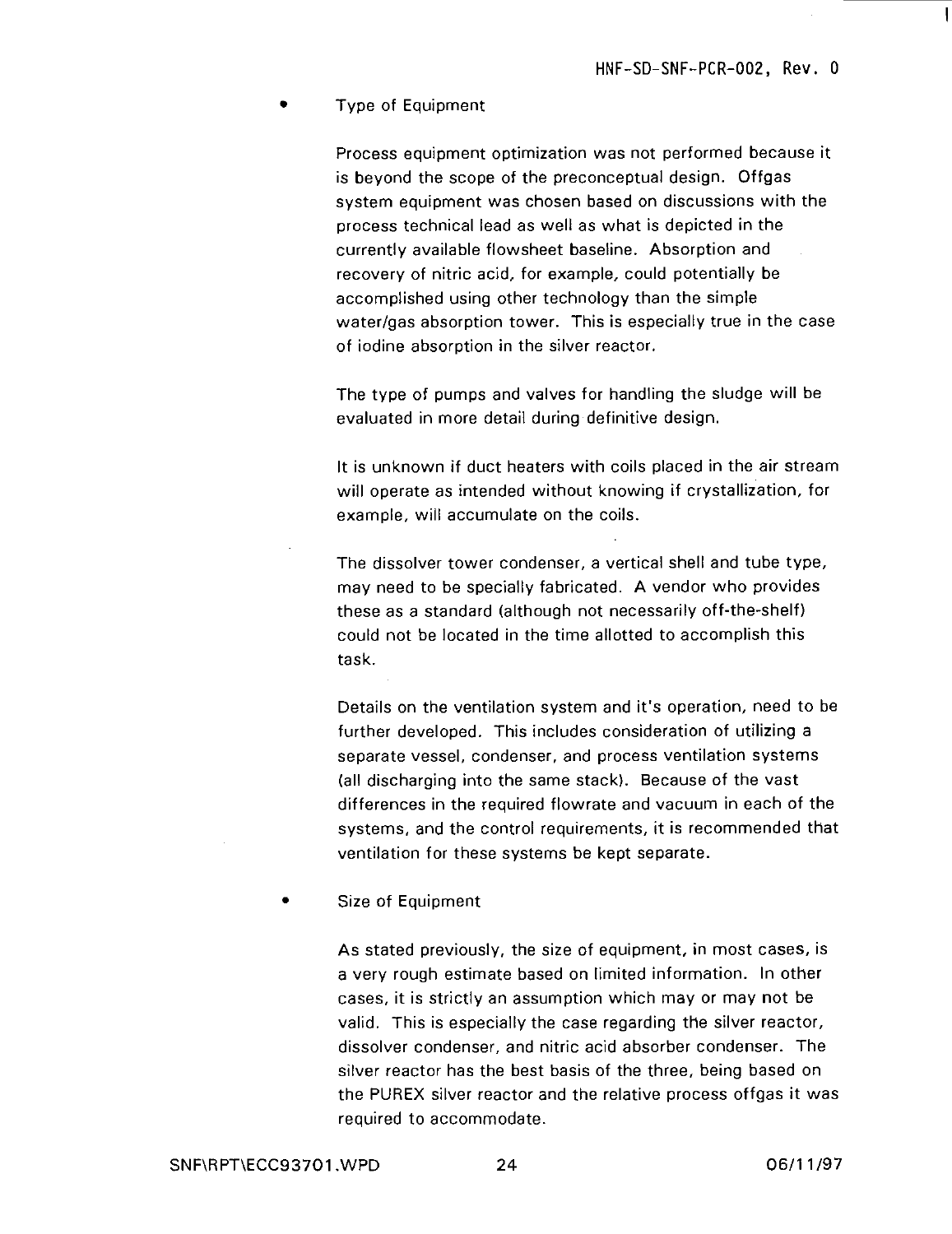#### • Type of Equipment

Process equipment optimization was not performed because it is beyond the scope of the preconceptual design. Offgas system equipment was chosen based on discussions with the process technical lead as well as what is depicted in the currently available flowsheet baseline. Absorption and recovery of nitric acid, for example, could potentially be accomplished using other technology than the simple water/gas absorption tower. This is especially true in the case of iodine absorption in the silver reactor.

The type of pumps and valves for handling the sludge will be evaluated in more detail during definitive design.

It is unknown if duct heaters with coils placed in the air stream will operate as intended without knowing if crystallization, for example, will accumulate on the coils.

The dissolver tower condenser, a vertical shell and tube type, may need to be specially fabricated. A vendor who provides these as a standard (although not necessarily off-the-shelf) could not be located in the time allotted to accomplish this task.

Details on the ventilation system and it's operation, need to be further developed. This includes consideration of utilizing a separate vessel, condenser, and process ventilation systems (all discharging into the same stack). Because of the vast differences in the required flowrate and vacuum in each of the systems, and the control requirements, it is recommended that ventilation for these systems be kept separate.

• Size of Equipment

As stated previously, the size of equipment, in most cases, is a very rough estimate based on limited information. In other cases, it is strictly an assumption which may or may not be valid. This is especially the case regarding the silver reactor, dissolver condenser, and nitric acid absorber condenser. The silver reactor has the best basis of the three, being based on the PUREX silver reactor and the relative process offgas it was required to accommodate.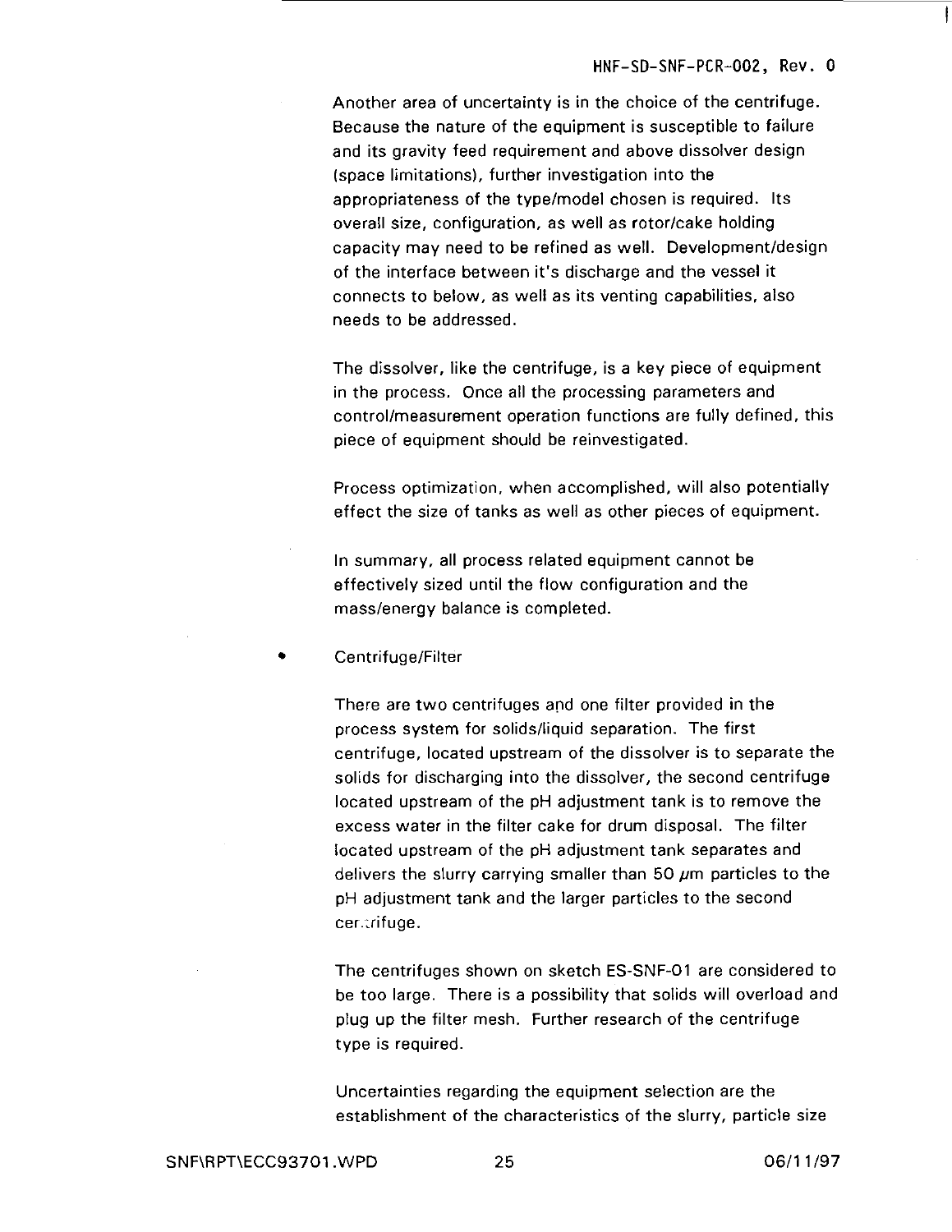Another area of uncertainty is in the choice of the centrifuge. Because the nature of the equipment is susceptible to failure and its gravity feed requirement and above dissolver design (space limitations), further investigation into the appropriateness of the type/model chosen is required. Its overall size, configuration, as well as rotor/cake holding capacity may need to be refined as well. Development/design of the interface between it's discharge and the vessel it connects to below, as well as its venting capabilities, also needs to be addressed.

The dissolver, like the centrifuge, is a key piece of equipment in the process. Once all the processing parameters and control/measurement operation functions are fully defined, this piece of equipment should be reinvestigated.

Process optimization, when accomplished, will also potentially effect the size of tanks as well as other pieces of equipment.

In summary, all process related equipment cannot be effectively sized until the flow configuration and the mass/energy balance is completed.

#### • Centrifuge/Filter

There are two centrifuges and one filter provided in the process system for solids/liquid separation. The first centrifuge, located upstream of the dissolver is to separate the solids for discharging into the dissolver, the second centrifuge located upstream of the pH adjustment tank is to remove the excess water in the filter cake for drum disposal. The filter located upstream of the pH adjustment tank separates and delivers the slurry carrying smaller than 50  $\mu$ m particles to the pH adjustment tank and the larger particles to the second cer.trifuge.

The centrifuges shown on sketch ES-SNF-01 are considered to be too large. There is a possibility that solids will overload and plug up the filter mesh. Further research of the centrifuge type is required.

Uncertainties regarding the equipment selection are the establishment of the characteristics of the slurry, particle size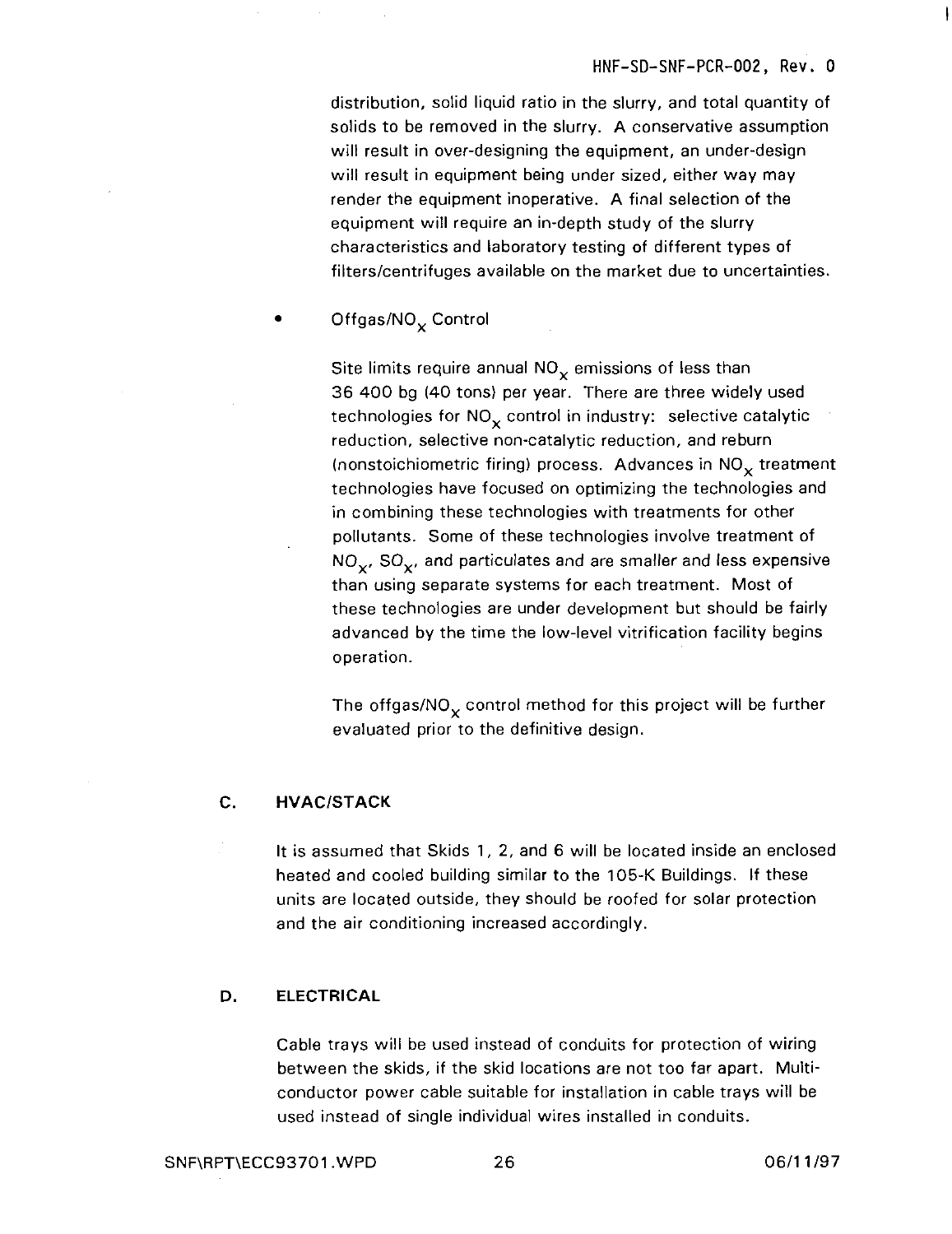distribution, solid liquid ratio in the slurry, and total quantity of solids to be removed in the slurry. A conservative assumption will result in over-designing the equipment, an under-design will result in equipment being under sized, either way may render the equipment inoperative. A final selection of the equipment will require an in-depth study of the slurry characteristics and laboratory testing of different types of filters/centrifuges available on the market due to uncertainties.

Offgas/NO<sub>x</sub> Control

Site limits require annual  $NO<sub>x</sub>$  emissions of less than 36 400 bg (40 tons) per year. There are three widely used technologies for  $NO_x$  control in industry: selective catalytic reduction, selective non-catalytic reduction, and reburn (nonstoichiometric firing) process. Advances in  $NO<sub>x</sub>$  treatment technologies have focused on optimizing the technologies and in combining these technologies with treatments for other pollutants. Some of these technologies involve treatment of  $NO_{x}$ , SO<sub>x</sub>, and particulates and are smaller and less expensive than using separate systems for each treatment. Most of these technologies are under development but should be fairly advanced by the time the low-level vitrification facility begins operation.

The offgas/NO<sub> $\sim$ </sub> control method for this project will be further evaluated prior to the definitive design.

#### **C. HVAC/STACK**

It is assumed that Skids 1, 2, and 6 will be located inside an enclosed heated and cooled building similar to the 105-K Buildings. If these units are located outside, they should be roofed for solar protection and the air conditioning increased accordingly.

#### **D. ELECTRICAL**

Cable trays will be used instead of conduits for protection of wiring between the skids, if the skid locations are not too far apart. Multiconductor power cable suitable for installation in cable trays will be used instead of single individual wires installed in conduits.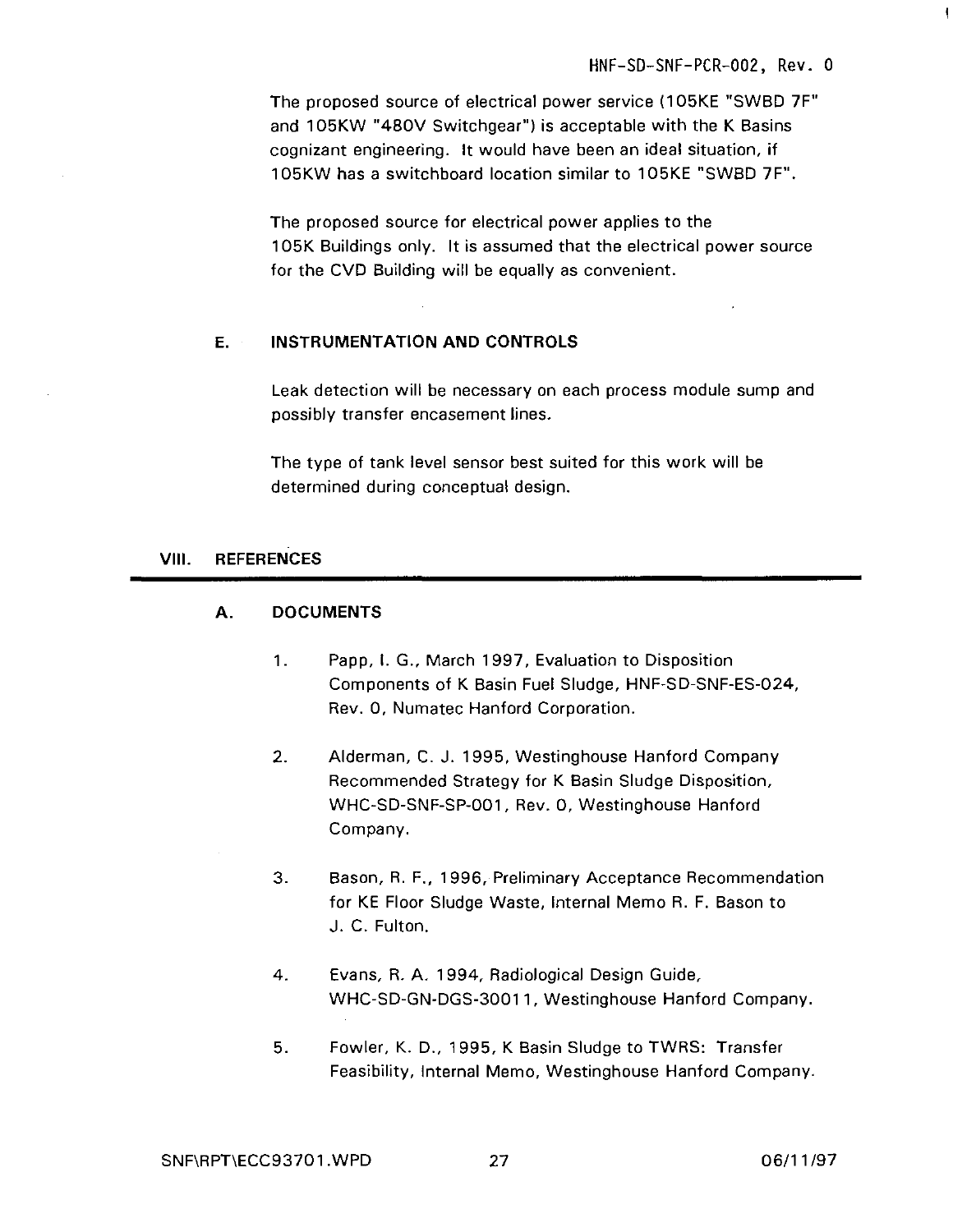ţ

The proposed source of electrical power service (1O5KE "SWBD 7F" and 105KW "480V Switchgear") is acceptable with the K Basins cognizant engineering. It would have been an ideal situation, if 105KW has a switchboard location similar to 1O5KE "SWBD 7F".

The proposed source for electrical power applies to the 105K Buildings only. It is assumed that the electrical power source for the CVD Building will be equally as convenient.

#### **E. INSTRUMENTATION AND CONTROLS**

Leak detection will be necessary on each process module sump and possibly transfer encasement lines.

The type of tank level sensor best suited for this work will be determined during conceptual design.

#### **VIM. REFERENCES**

#### **A. DOCUMENTS**

- 1. Papp, I. G., March 1997, Evaluation to Disposition Components of K Basin Fuel Sludge, HNF-SD-SNF-ES-024, Rev. 0, Numatec Hanford Corporation.
- 2. Alderman, C. J. 1995, Westinghouse Hanford Company Recommended Strategy for K Basin Sludge Disposition, WHC-SD-SNF-SP-001, Rev. 0, Westinghouse Hanford Company.
- 3. Bason, R. F., 1996, Preliminary Acceptance Recommendation for KE Floor Sludge Waste, Internal Memo R. F. Bason to J. C. Fulton.
- 4. Evans, R. A. 1994, Radiological Design Guide, WHC-SD-GN-DGS-30011, Westinghouse Hanford Company.
- 5. Fowler, K. D., 1995, K Basin Sludge to TWRS: Transfer Feasibility, Internal Memo, Westinghouse Hanford Company.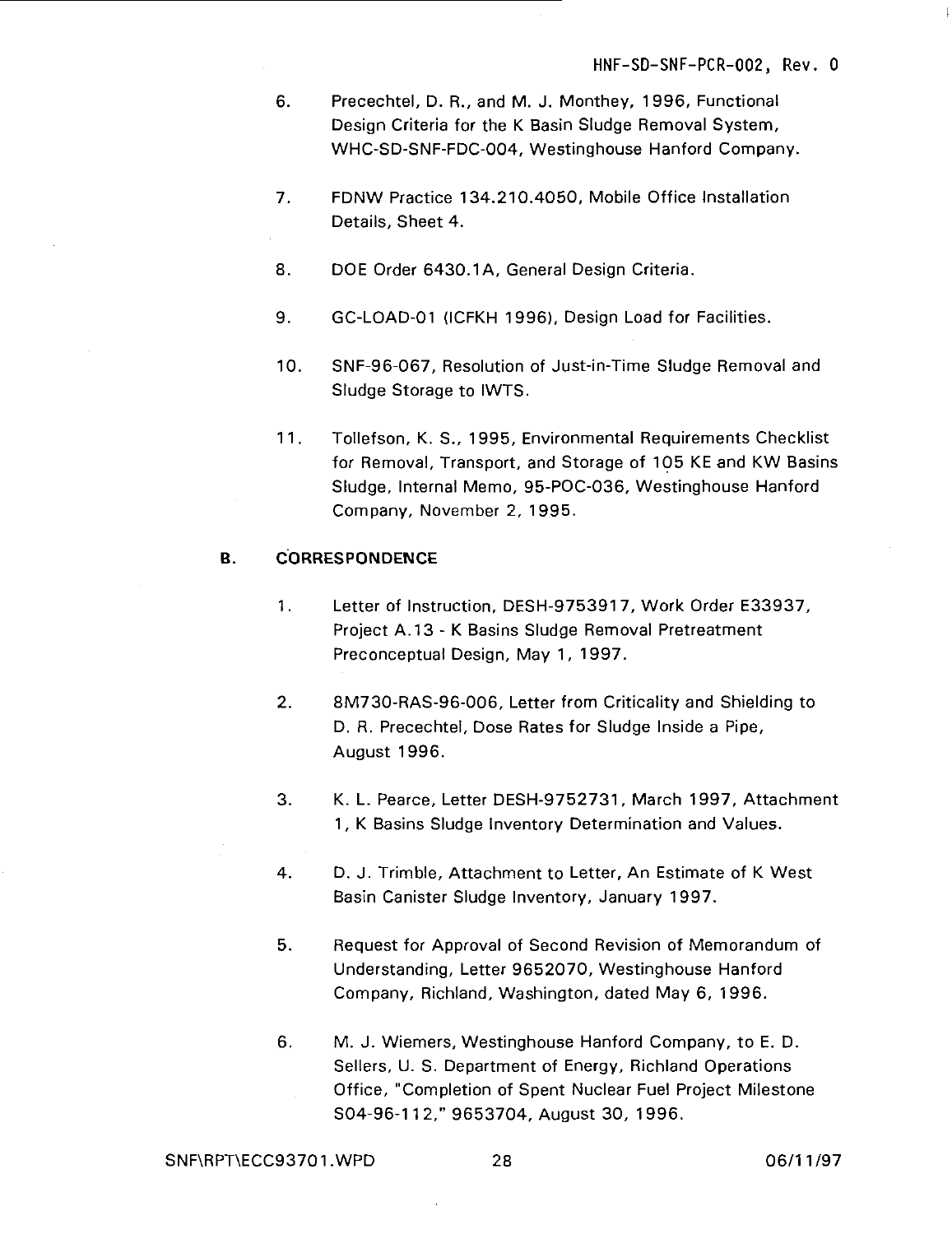- 6. Precechtel, D. R., and M. J. Monthey, 1996, Functional Design Criteria for the K Basin Sludge Removal System, WHC-SD-SNF-FDC-004, Westinghouse Hanford Company.
- 7. FDNW Practice 134.210.4050, Mobile Office Installation Details, Sheet 4.
- 8. DOE Order 6430.1A, General Design Criteria.
- 9. GC-LOAD-01 (ICFKH 1996), Design Load for Facilities.
- 10. SNF-96-067, Resolution of Just-in-Time Sludge Removal and Sludge Storage to IWTS.
- 11. Tollefson, K. S., 1995, Environmental Requirements Checklist for Removal, Transport, and Storage of 105 KE and KW Basins Sludge, Internal Memo, 95-POC-036, Westinghouse Hanford Company, November 2, 1995.

#### **B. CORRESPONDENCE**

- 1. Letter of Instruction, DESH-9753917, Work Order E33937, Project A. 13 - K Basins Sludge Removal Pretreatment Preconceptual Design, May 1, 1997.
- 2. 8M730-RAS-96-006, Letter from Criticality and Shielding to D. R. Precechtel, Dose Rates for Sludge Inside a Pipe, August 1996.
- 3. K. L. Pearce, Letter DESH-9752731, March 1997, Attachment 1, K Basins Sludge Inventory Determination and Values.
- 4. D. J. Trimble, Attachment to Letter, An Estimate of K West Basin Canister Sludge Inventory, January 1997.
- 5. Request for Approval of Second Revision of Memorandum of Understanding, Letter 9652070, Westinghouse Hanford Company, Richland, Washington, dated May 6, 1996.
- 6. M. J. Wiemers, Westinghouse Hanford Company, to E. D. Sellers, U. S. Department of Energy, Richland Operations Office, "Completion of Spent Nuclear Fuel Project Milestone S04-96-11 2," 9653704, August 30, 1996.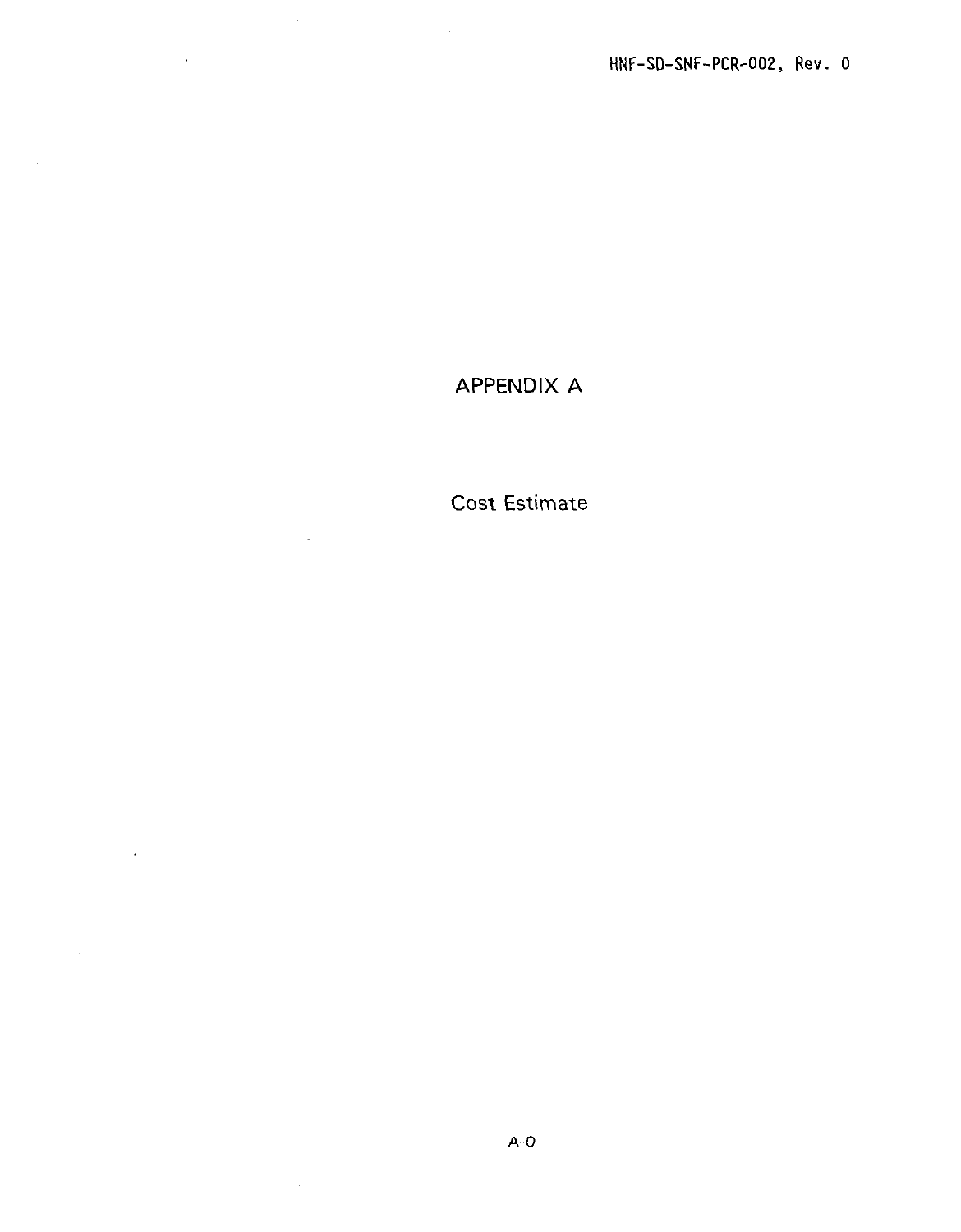## APPENDIX A

 $\sim 10$ 

 $\mathcal{L}(\mathcal{L}^{\text{max}})$  and  $\mathcal{L}^{\text{max}}$ 

 $\sim$   $\sim$ 

Cost Estimate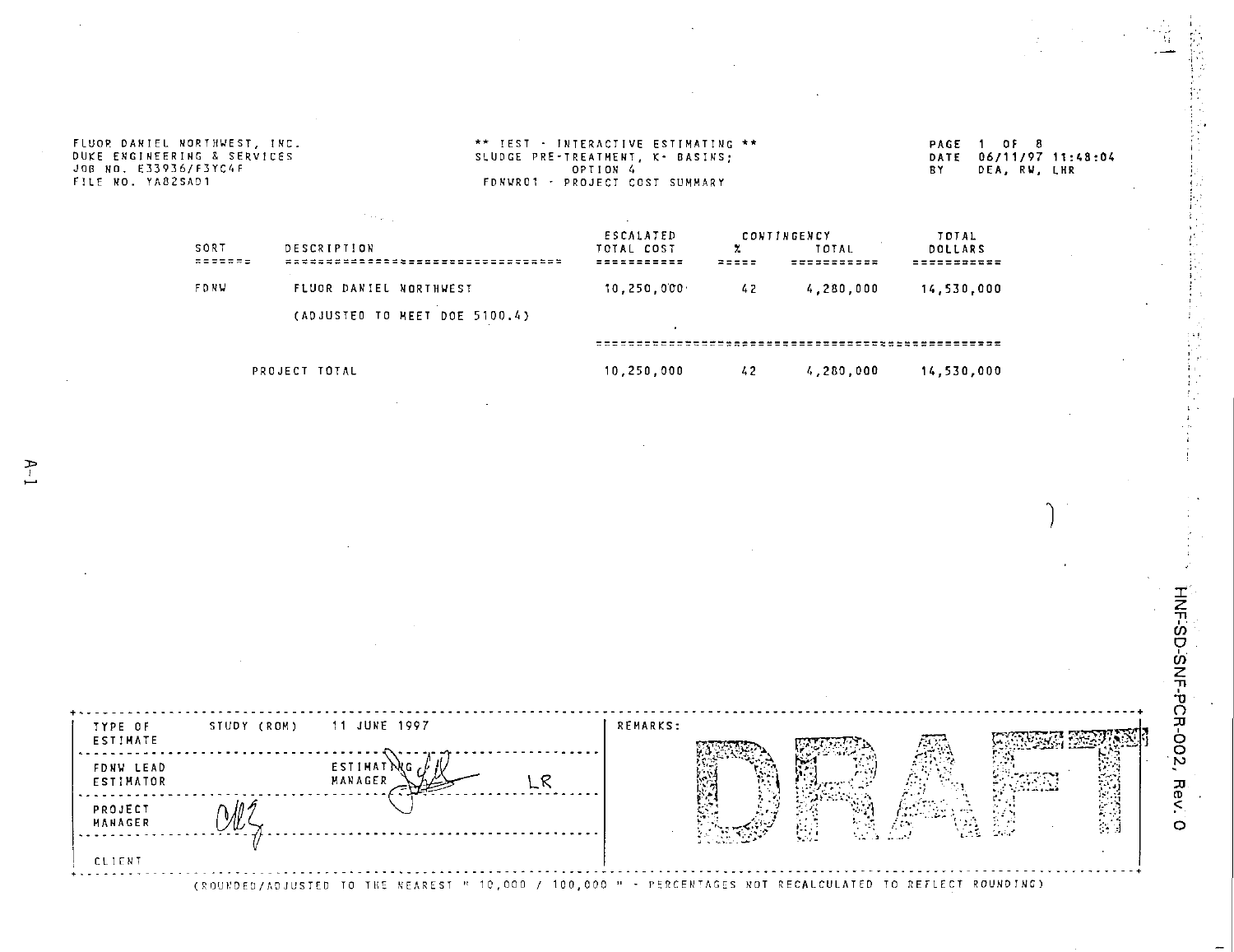|             |                                 | ESCALATED    |       | <b>CONTINGENCY</b> | TOTAL       |  |
|-------------|---------------------------------|--------------|-------|--------------------|-------------|--|
| SORT        | DESCRIPTION                     | TOTAL COST   |       | <b>TOTAL</b>       | DOLLARS     |  |
|             | ******************************* | -----------  | 22555 | -----------        | ----------- |  |
| <b>FDNU</b> | FLUOR DANIEL NORTHWEST          | 10, 250, 000 | 42    | 4,280,000          | 14,530,000  |  |
|             | (ADJUSTED TO MEET DOE 5100.4)   |              |       |                    |             |  |
|             |                                 |              |       |                    |             |  |

PROJECT TOTAL 10,250,000 42 4,280,000 14,530,000



(ROUKDED/ADJUSTED TO THE NEAREST " 10,000 / 100,000 " - PERCENTAGES NOT RECALCULATED TO REFLECT ROUNDING)

D-SNF-PCR-002, I

 $\ddot{\circ}$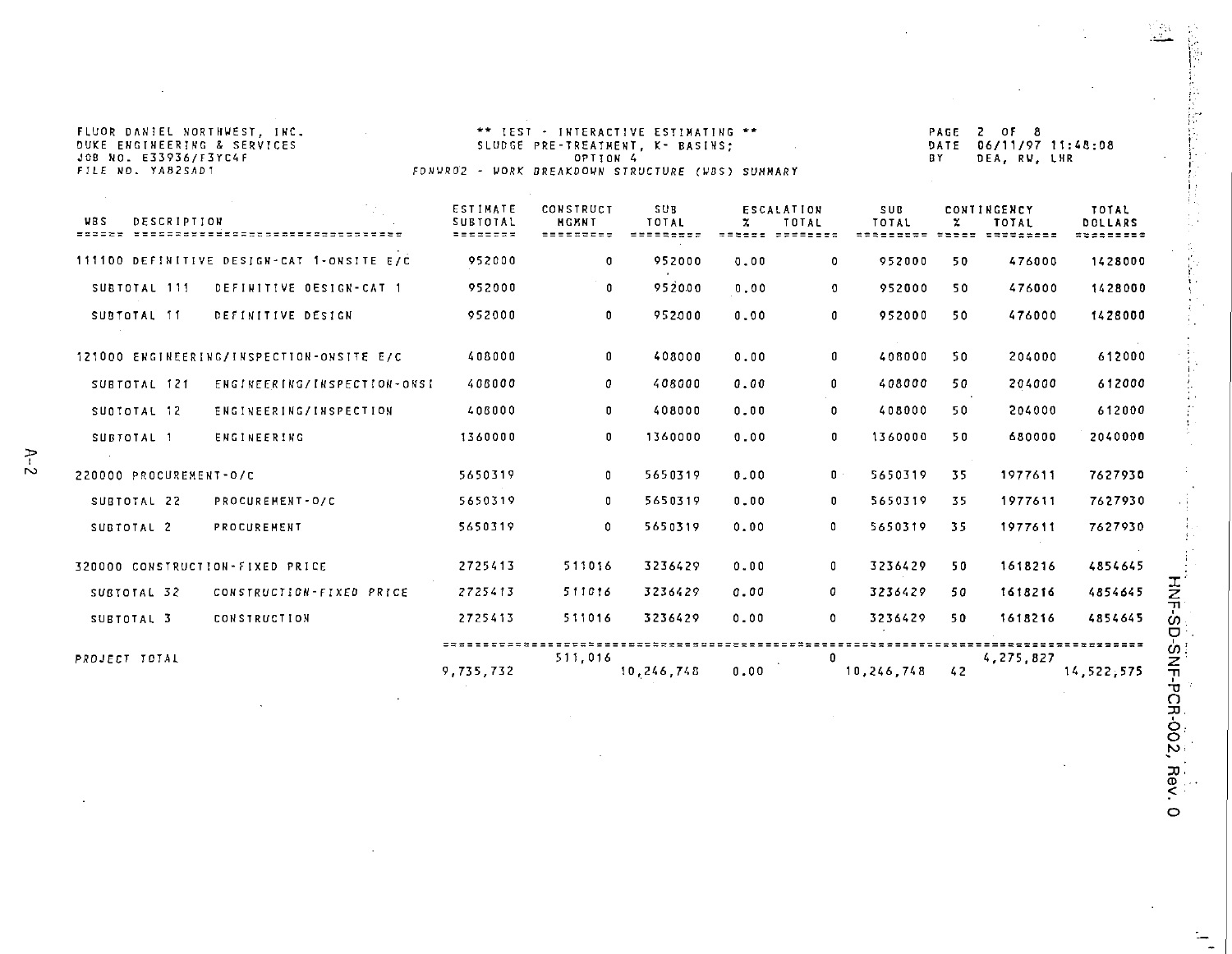| FLUOR DANIEL NORTHWEST, INC.<br>DUKE ENGINEERING & SERVICES<br>JOB NO. E33936/F3YC4F<br>FILE NO. YAB2SAD1 | FONWROZ - WORK BREAKDOWN STRUCTURE (WBS) SUNMARY | ** IEST - INTERACTIVE ESTIMATING **<br>SLUDGE PRE-TREATMENT, K- BASINS;<br>OPTION 4 |                                         |      |                                              |                     | PAGE<br>DATE<br>BY | 2 OF 8<br>06/11/97 11:48:08<br>DEA, RV, LHR       |                               |
|-----------------------------------------------------------------------------------------------------------|--------------------------------------------------|-------------------------------------------------------------------------------------|-----------------------------------------|------|----------------------------------------------|---------------------|--------------------|---------------------------------------------------|-------------------------------|
| <b>VBS</b><br><b>DESCRIPTION</b>                                                                          | ESTIMATE<br><b>SUBTOTAL</b><br><b>BEEDDDR</b>    | CONSTRUCT<br><b>NGMNT</b><br>=========                                              | <b>SUB</b><br>TOTAL<br><b>SHEERSSES</b> | z.   | <b>ESCALATION</b><br>TOTAL<br>sabeet saddeed | <b>SUB</b><br>TOTAL | z                  | CONTINGENCY<br>TOTAL<br>********* ***** ********* | TOTAL<br>DOLLARS<br>********* |
| 111100 DEFINITIVE DESIGN-CAT 1-ONSITE E/C                                                                 | 952000                                           | 0                                                                                   | 952000                                  | 0.00 | $\mathbf 0$                                  | 952000              | 50                 | 476000                                            | 1428000                       |
| DEFINITIVE DESIGN-CAT 1<br>SUBTOTAL 111                                                                   | 952000                                           | 0                                                                                   | 952000                                  | 0.00 | 0                                            | 952000              | 50                 | 476000                                            | 1428000                       |
| DEFINITIVE DESIGN<br>SUBTOTAL 11                                                                          | 952000                                           | 0                                                                                   | 952000                                  | 0.00 | 0                                            | 952000              | 50                 | 476000                                            | 1428000                       |
| 121000 ENGINEERING/INSPECTION-ONSITE E/C                                                                  | 408000                                           | 0                                                                                   | 408000                                  | 0.00 | 0                                            | 408000              | 50                 | 204000                                            | 612000                        |
| SUBTOTAL 121<br>ENGINEERING/INSPECTION-ONSI                                                               | 408000                                           | 0                                                                                   | 408000                                  | 0.00 | 0                                            | 408000              | 50                 | 204000                                            | 612000                        |
| ENGINEERING/INSPECTION<br>SUBTOTAL 12                                                                     | 408000                                           | n                                                                                   | 408000                                  | 0.00 | 0                                            | 408000              | 50                 | 204000                                            | 612000                        |
| <b>ENGINEERING</b><br>SUBTOTAL 1                                                                          | 1360000                                          | 0                                                                                   | 1360000                                 | 0.00 | 0                                            | 1360000             | 50                 | 680000                                            | 2040000                       |
| 220000 PROCUREMENT-0/C                                                                                    | 5650319                                          | 0                                                                                   | 5650319                                 | 0.00 | $\mathbf{0}$                                 | 5650319             | 35                 | 1977611                                           | 7627930                       |
| SUBTOTAL 22<br>PROCUREMENT-O/C                                                                            | 5650319                                          | 0                                                                                   | 5650319                                 | 0.00 | 0                                            | 5650319             | 35.                | 1977611                                           | 7627930                       |
| SUBTOTAL 2<br>PROCUREMENT                                                                                 | 5650319                                          | 0                                                                                   | 5650319                                 | 0.00 | 0                                            | 5650319             | -35                | 1977611                                           | 7627930                       |
| 320000 CONSTRUCTION-FIXED PRICE                                                                           | 2725413                                          | 511016                                                                              | 3236429                                 | 0.00 | 0                                            | 3236429             | 50                 | 1618216                                           | 4854645                       |
| CONSTRUCTION-FIXED PRICE<br>SUBTOTAL 32                                                                   | 2725413                                          | 511016                                                                              | 3236429                                 | 0.00 | o                                            | 3236429             | 50                 | 1618216                                           | 4854645                       |
| <b>CONSTRUCTION</b><br>SUBTOTAL 3                                                                         | 2725413                                          | 511016                                                                              | 3236429                                 | 0.00 | $\mathbf{0}$                                 | 3236429             | 50                 | 1618216                                           | 4854645                       |
| PROJECT TOTAL                                                                                             | 9,735,732                                        | 511.016                                                                             | 10.246.748                              | 0.00 | $\Omega$                                     | 10,246.748          | 42                 | 4,275.827                                         | 14.522.575                    |

 $\cdot$ 

 $\bar{z}$ 

X **:-SD "0** n **3J.** 6. o

 $\boldsymbol{\beta}$ 

 $\mathbf{r}$ 

Ó.

ý,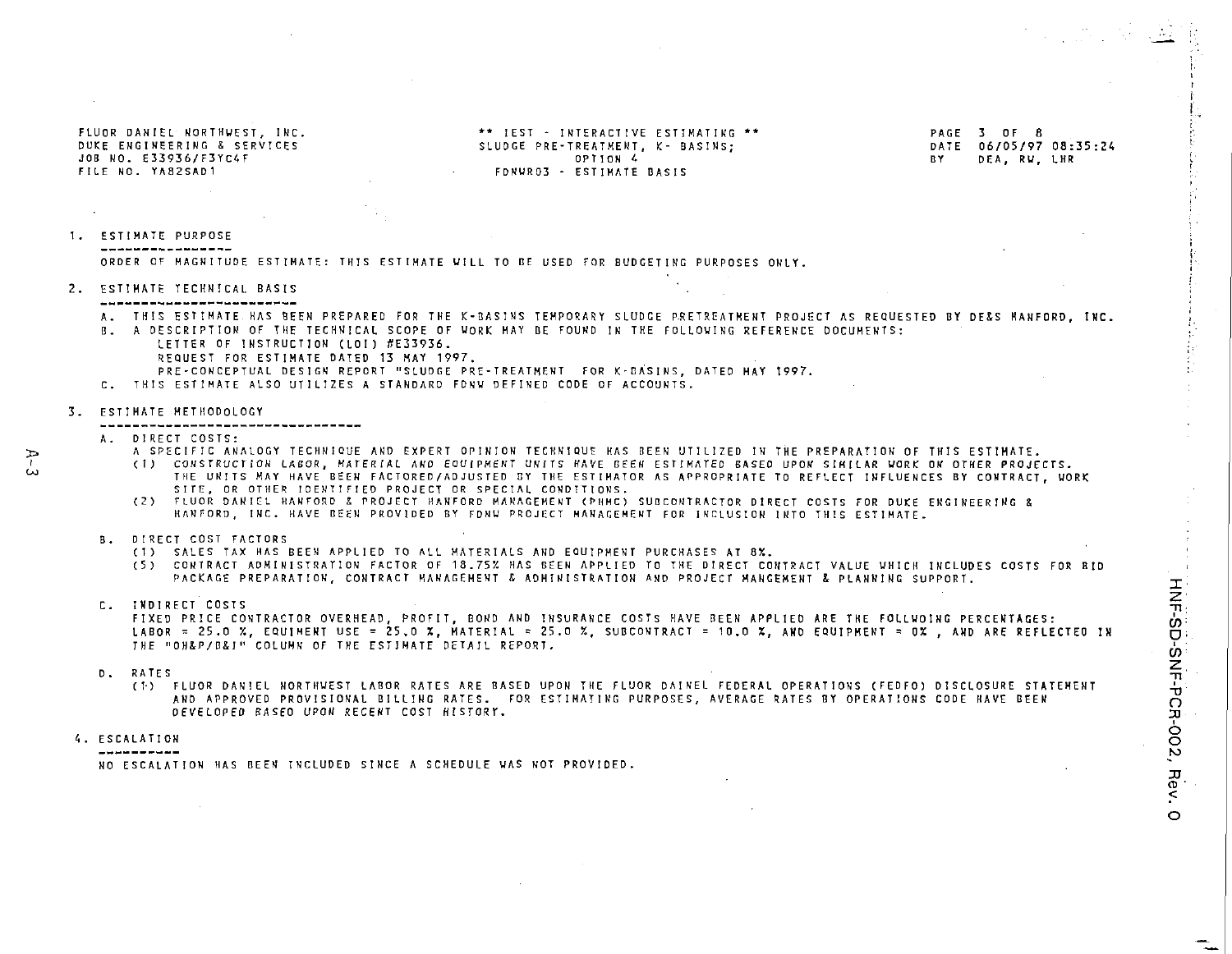JOB NO. E33936/F3YC4F<br>Filf No. Ya82SAD1

FLUO R DANIE L NORTHUEST , INC . \*\* 1ES T - INTERACTIV E ESTIHATIK G \*\* PAG E 3 O F 8 OUDGE PRE-TREATHENT, K- BASINS;<br>
OPTION 4<br>
OPTION 4<br>
OPTION 4 FDNWR03 - ESTIMATE BASIS

1. ESTIMATE PURPOSE -----------------ORDER OF MAGNITUDE ESTIMATE: THIS ESTIMATE WILL TO BE USED FOR BUDGETING PURPOSES ONLY.

2. ESTIMATE TECHNICAL BASIS

- A. THIS ESTIMATE HAS BEEN PREPARED FOR THE K-BASINS TEMPORARY SLUDGE PRETREATMENT PROJECT AS REQUESTED BY DE&S HANFORD, INC.
- B. A DESCRIPTION OF THE TECHNICAL SCOPE OF WORK MAY BE FOUND IN THE FOLLOWING REFERENCE DOCUMENTS:
	- LETTER OF INSTRUCTION (LOI) #E33936. REQUEST FOR ESTIMATE DATED 13 MAY 1997.
	-
	- PRE-CONCEPTUAL DESIGN REPORT "SLUDGE PRE-TREATMENT FOR K-BASINS, DATED HAY 1997.
- C . THIS ESTIMATE ALSO UTILIZES A STANDARD FDNU DEFINED CODE OF ACCOUNTS.

#### 3. ESTIMATE METHODOLOGY

#### ----------------------------------

A. DIRECT COSTS:

 $\Rightarrow$ å.

- A SPECIFIC ANALOGY TECHNIQUE AND EXPERT OPINION TECHNIQUE HAS BEEN UTILIZED IN THE PREPARATION OF THIS ESTIMATE.
- (1) CONSTRUCTION LABOR, MATERIAL AND EQUIPMENT UNITS HAVE REEN ESTIMATED BASED UPON SIMILAR WORK ON OTHER PROJECTS. THE UNITS MAY HAVE BEEN FACTORED/ADJUSTED BY THE ESTIMATOR AS APPROPRIATE TO REFLECT INFLUENCES BY CONTRACT, WORK<br>SITE, OR OTHER IDENTIFIED PROJECT OR SPECIAL CONDITIONS.
- (2) FLUOR DANIEL HANFORD & PROJECT HANFORD MANAGEMENT (PHMC) SUBCONTRACTOR DIRECT COSTS FOR DUKE ENGINEERING & HANFORD, INC. HAVE BEEN PROVIDED BY FDNU PROJECT MANAGEMENT FOR INCLUSION INTO THIS ESTIMATE.
- B. DIRECT COST FACTORS
	- C D SALES TAX HAS BEEN APPLIED TO ALL MATERIALS AND EQUIPMENT PURCHASES AT 8%.
	- (5) CONTRACT ADMINISTRATION FACTOR OF 18.75% HAS BEEN APPLIED TO THE DIRECT CONTRACT VALUE WHICH INCLUDES COSTS FOR RID PACKAGE PREPARATION, CONTRACT MANAGEMENT & ADMINISTRATION AND PROJECT MANGEMENT & PLANNING SUPPORT.
- 

C. INDIRECT COSTS<br>FIXED PRICE CONTRACTOR OVERHEAD, PROFIT, BOND AND INSURANCE COSTS HAVE BEEN APPLIED ARE THE FOLLWOING PERCENTAGES: LABOR = 25.0 %, EQUIMENT USE = 25.0 %, MATERIAL = 25.0 %, SUBCONTRACT = 10.0 %, AND EQUIPMENT = 0%, AND ARE REFLECTED IN THE "OH&P/B&I" COLUMN OF THE ESTIMATE DETAIL REPORT.

D. RATES<br>(!) FLUOR DANIEL NORTHWEST LABOR RATES ARE BASED UPON THE FLUOR DAINEL FEDERAL OPERATIONS (FEDFO) DISCLOSURE STATEMENT - LA AND APPROVED PROVISIONAL BILLING RATES. FOR ESTIMATING PURPOSES, AVERAGE RATES BY OPERATIONS CODE HAVE BEEN DEVELOPED BASED UPON RECENT COST HISTORY.

ESCALATION CONTINUES ON A CONTINUES OF CONTINUES ON A CONTINUES OF CONTINUES OF CONTINUES OF CONTINUES OF CONTINUES OF CONTINUES OF CONTINUES OF CONTINUES OF CONTINUES OF CONTINUES OF CONTINUES OF CONTINUES OF CONTINUES OF

NO ESCALATION HAS BEEN INCLUDED SINCE A SCHEDULE WAS NOT PROVIDED.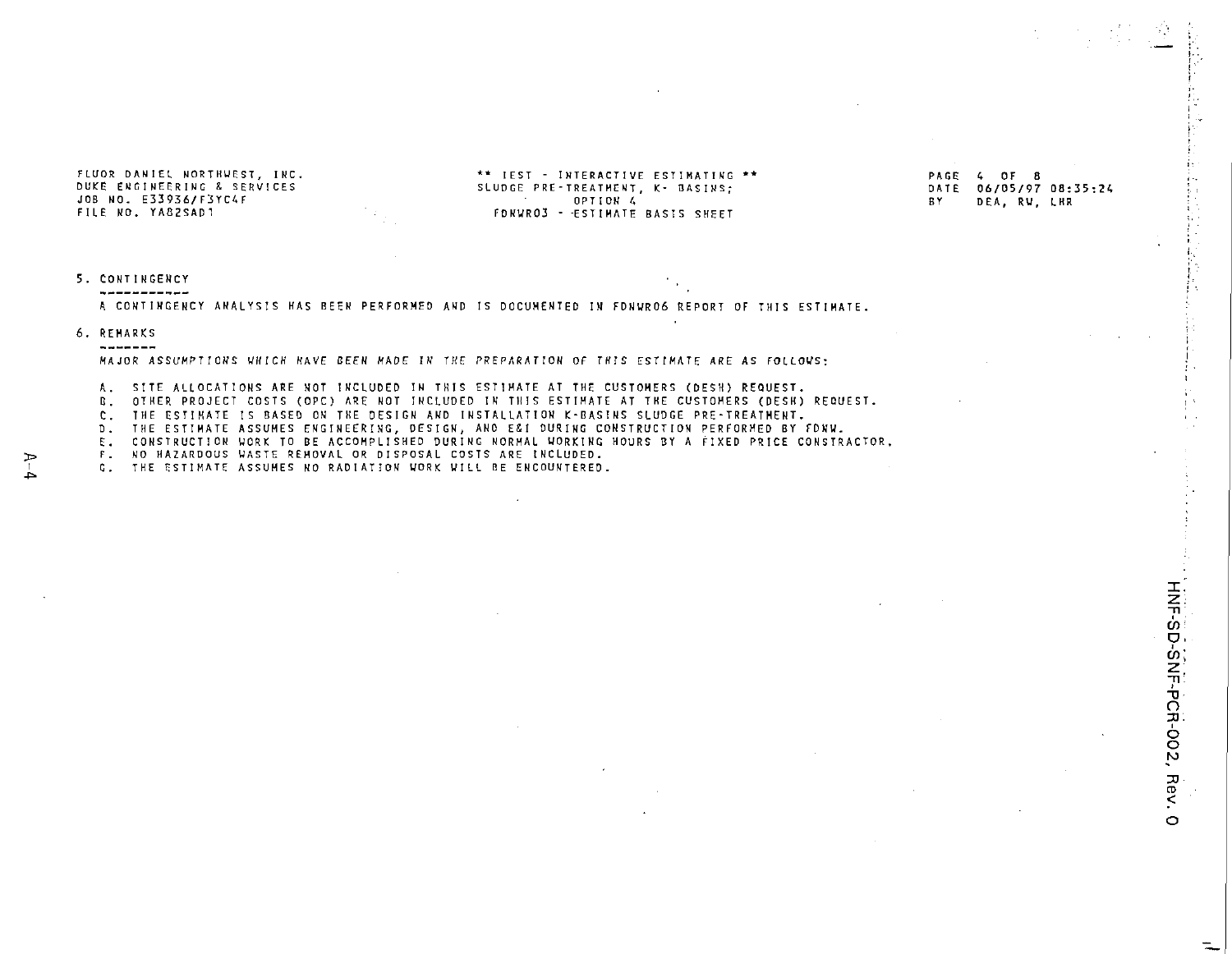JOB NO. E33936/F3YC4F<br>FILE NO. YA82SAD1

FLUO R DANIE L NORTHWEST , INC . " IES T - INTERACTIV E ESTIMATIN G •\* PAG E 4 O F 8 SLUDGE PRE-TREATHENT, K- BASINS;<br>
OPTION 4<br>
BY DEA, RW, LHR FONWRO3 - ESTIMATE BASIS SHEET

#### 5 . CONTIWGEHC Y -----------

A CONTINGENCY ANALYSIS HAS BEEN PERFORMED AND IS DOCUMENTED IN FDNWRO6 REPORT OF THIS ESTIMATE.

#### 6 . REMARK S --------

MAJOR ASSUMPTIONS WHICH HAVE BEEN MADE IN THE PREPARATION OF THIS ESTIMATE ARE AS FOLLOWS:

A. SITE ALLOCATIONS ARE NOT INCLUDED IN THIS ESTIMATE AT THE CUSTOMERS (DESH) REQUEST.

B. OTHER PROJECT COSTS (OPC) ARE NOT INCLUDED IN THIS ESTIMATE AT THE CUSTOMERS (DESH) REQUEST.

C. THE ESTIMATE IS BASED ON THE DESIGN AND INSTALLATION K-BASINS SLUDGE PRE-TREATMENT.

D. THE ESTIMATE ASSUMES ENGINEERING, DESIGN, AND E&I DURING CONSTRUCTION PERFORMED BY FDNW.

E. CONSTRUCTION WORK TO BE ACCOMPLISHED DURING NORMAL WORKING HOURS BY A FIXED PRICE CONSTRACTOR.

F. NO HAZARDOUS WASTE REMOVAL OR DISPOSAL COSTS ARE INCLUDED.

G. THE ESTIMATE ASSUMES NO RADIATION WORK WILL BE ENCOUNTERED.

 $\circ$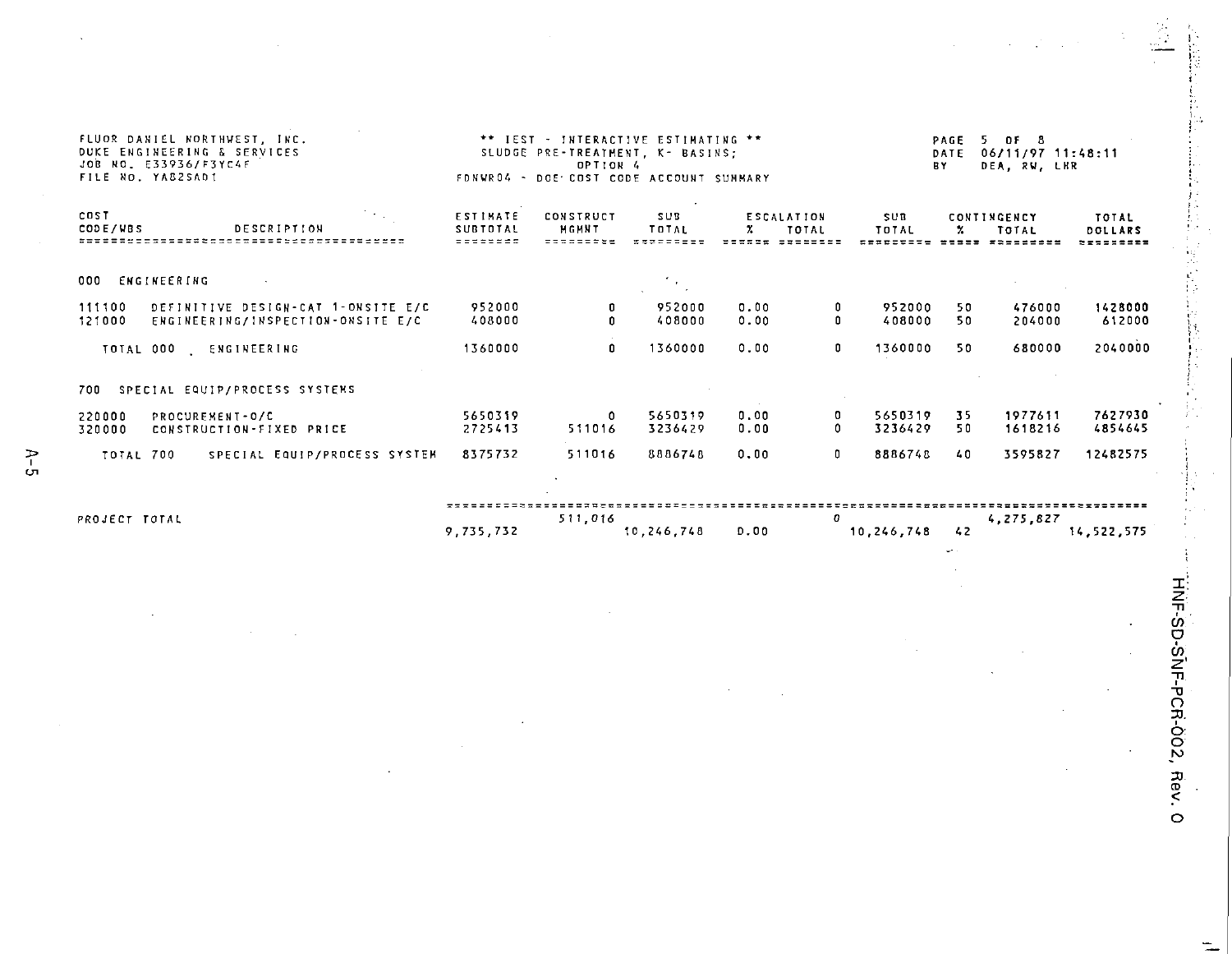| FLUOR DANIEL NORTHWEST. INC.<br><b>DUKE ENGINEERING &amp; SERVICES</b><br>JOB NO. E33936/F3YC4F<br>FILE NO. YA82SAD1 | ** IEST - INTERACTIVE ESTIMATING **<br>SLUDGE PRE-TREATMENT, K- BASINS;<br>FDNWR04 - DOE COST CODE ACCOUNT SUMMARY | PAGE<br>5.<br><b>OF 8</b><br>06/11/97 11:48:11<br>DATE<br><b>BY</b><br>DEA, RV, LHR |                    |              |                            |                     |           |                             |                                              |
|----------------------------------------------------------------------------------------------------------------------|--------------------------------------------------------------------------------------------------------------------|-------------------------------------------------------------------------------------|--------------------|--------------|----------------------------|---------------------|-----------|-----------------------------|----------------------------------------------|
| COST<br>CODE/VBS<br><b>DESCRIPTION</b>                                                                               | <b>ESTIMATE</b><br>SUBTOTAL<br>--------                                                                            | CONSTRUCT<br>MGMNT                                                                  | SUB<br>TOTAL       | z.           | <b>ESCALATION</b><br>TOTAL | <b>SUB</b><br>TOTAL | x.        | <b>CONTINGENCY</b><br>TOTAL | TOTAL<br>DOLLARS<br>, , , , , <b>, , , ,</b> |
| 000 ENGINEERING                                                                                                      |                                                                                                                    |                                                                                     |                    |              |                            |                     |           |                             |                                              |
| 111100<br>DEFINITIVE DESIGN-CAT 1-ONSITE E/C<br>121000<br>ENGINEERING/INSPECTION-ONSITE E/C                          | 952000<br>408000                                                                                                   |                                                                                     | 952000<br>408000   | 0.00<br>0.00 | 0<br>0                     | 952000<br>408000    | 50<br>50  | 476000<br>204000            | 1428000<br>612000                            |
| TOTAL 000<br>ENGINEERING                                                                                             | 1360000                                                                                                            | 0                                                                                   | 1360000            | 0.00         | 0                          | 1360000             | 50        | 680000                      | 2040000                                      |
| 700 SPECIAL EQUIP/PROCESS SYSTEMS                                                                                    |                                                                                                                    |                                                                                     |                    |              |                            |                     |           |                             |                                              |
| 220000<br>PROCURFMENT-0/C<br>320000<br>CONSTRUCTION-FIXED PRICE                                                      | 5650319<br>2725413                                                                                                 | 0<br>511016                                                                         | 5650319<br>3236429 | 0.00<br>0.00 | 0<br>0                     | 5650319<br>3236429  | 35.<br>50 | 1977611<br>1618216          | 7627930<br>4854645                           |
| <b>TOTAL 700</b><br>SPECIAL EQUIP/PROCESS SYSTEM                                                                     | 8375732                                                                                                            | 511016                                                                              | 8886748            | 0.00         | 0                          | 8886748             | $40 -$    | 3595827                     | 12482575                                     |
|                                                                                                                      |                                                                                                                    |                                                                                     |                    |              | 0                          |                     |           |                             |                                              |
| PROJECT TOTAL                                                                                                        | 9,735,732                                                                                                          | 511.016                                                                             | 10.246.748         | D.00         |                            | 10,246,748          | 42        | 4,275,827                   | 14,522,575                                   |

V.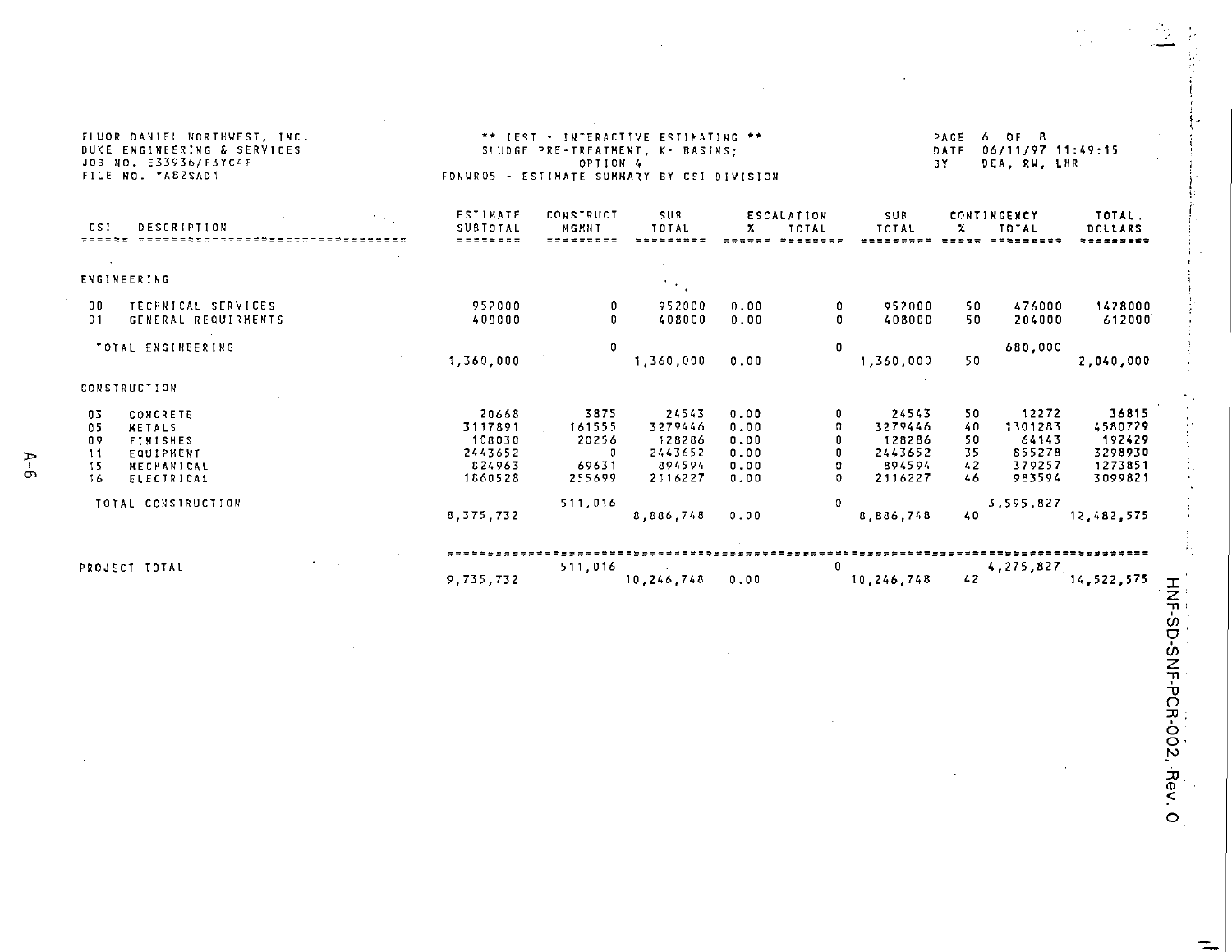| FLUOR DANIEL NORTHWEST, INC.<br>DUKE ENGINEERING & SERVICES<br>JOB NO. E33936/F3YC4F<br>FILE NO. YAB2SAD1                        | ** IEST - INTERACTIVE ESTIMATING **<br>SLUDGE PRE-TREATMENT, K- BASINS:<br>OPTION 4<br>FONUROS - ESTIMATE SUMMARY BY CSI DIVISION |                                                        |                                                            |                                              |                              |                                                            | PAGE<br>6 OF 8<br>06/11/97 11:49:15<br>DATE<br>DEA, RV, LKR<br><b>BY</b> |                                                         |                                                             |  |
|----------------------------------------------------------------------------------------------------------------------------------|-----------------------------------------------------------------------------------------------------------------------------------|--------------------------------------------------------|------------------------------------------------------------|----------------------------------------------|------------------------------|------------------------------------------------------------|--------------------------------------------------------------------------|---------------------------------------------------------|-------------------------------------------------------------|--|
| CS I<br><b>DESCRIPTION</b>                                                                                                       | ESTINATE<br><b>SUSTOTAL</b><br>=======                                                                                            | <b>CONSTRUCT</b><br>MCMNT                              | <b>SUB</b><br>TOTAL                                        | x.                                           | <b>ESCALATION</b><br>TOTAL   | SUB<br>TOTAL                                               | Y.                                                                       | CONTINGENCY<br>TOTAL                                    | TOTAL.<br>DOLLARS<br>=======                                |  |
| <b>ENGINEERING</b>                                                                                                               |                                                                                                                                   |                                                        |                                                            |                                              |                              |                                                            |                                                                          |                                                         |                                                             |  |
| TECHNICAL SERVICES<br>00<br>01<br>GENERAL REQUIRMENTS                                                                            | 952000<br>408000                                                                                                                  | 0<br>n                                                 | 952000<br>408000                                           | 0.00<br>0.00                                 | 0<br>$\mathbf{0}$            | 952000<br>408000                                           | 50<br>50                                                                 | 476000<br>204000                                        | 1428000<br>612000                                           |  |
| TOTAL ENGINEERING                                                                                                                | 1,360,000                                                                                                                         | 0                                                      | 1.360.000                                                  | 0.00                                         | $\circ$                      | 1,360,000                                                  | 50                                                                       | 680,000                                                 | 2,040,000                                                   |  |
| CONSTRUCTION                                                                                                                     |                                                                                                                                   |                                                        |                                                            |                                              |                              |                                                            |                                                                          |                                                         |                                                             |  |
| 03<br>CONCRETE<br>05<br><b>NETALS</b><br>09<br><b>FINISHES</b><br>11<br><b>EQUIPHENT</b><br>15<br>MECHANICAL<br>16<br>ELECTRICAL | 20668<br>3117891<br>108030<br>2443652<br>824963<br>1860528                                                                        | 3875<br>161555<br>20256<br>$\Omega$<br>69631<br>255699 | 24543<br>3279446<br>128286<br>2443652<br>894594<br>2116227 | 0.00<br>0.00<br>0.00<br>0.00<br>0.00<br>0.00 | 0<br>o<br>n<br>o<br>$\Omega$ | 24543<br>3279446<br>128286<br>2443652<br>894594<br>2116227 | 50<br>40<br>50<br>35<br>42<br>46                                         | 12272<br>1301283<br>64143<br>855278<br>379257<br>983594 | 36815<br>4580729<br>192429<br>3298930<br>1273851<br>3099821 |  |
| TOTAL CONSTRUCTION                                                                                                               | 8.375.732                                                                                                                         | 511,016                                                | 8.886.748                                                  | 0.00                                         | $^{\circ}$                   | 8.886.748                                                  | 40                                                                       | 3.595.827                                               | 12.482.575                                                  |  |
| PROJECT TOTAL                                                                                                                    | 9,735.732                                                                                                                         | 511,016                                                | 10,246,748                                                 | 0.00                                         | 0                            | 10,246,748                                                 | 42                                                                       |                                                         | $4, 275, 827$<br>14,522,575                                 |  |

**D** CR-002,

 $\label{eq:2.1} \begin{array}{ccc} \mathbb{E} \mathcal{E} & \mathbb{E} \left[ \mathcal{E} \right] & \mathbb{E} \left[ \mathcal{E} \right] \\ \mathbb{E} \left[ \mathcal{E} \right] & \mathbb{E} \left[ \mathcal{E} \right] & \mathbb{E} \left[ \mathcal{E} \right] \\ \mathbb{E} \left[ \mathcal{E} \right] & \mathbb{E} \left[ \mathcal{E} \right] & \mathbb{E} \left[ \mathcal{E} \right] \\ \mathbb{E} \left[ \mathcal{E} \right] & \mathbb{E} \left[ \mathcal{E} \right] & \$ 

 $\sim$ 

 $A - 6$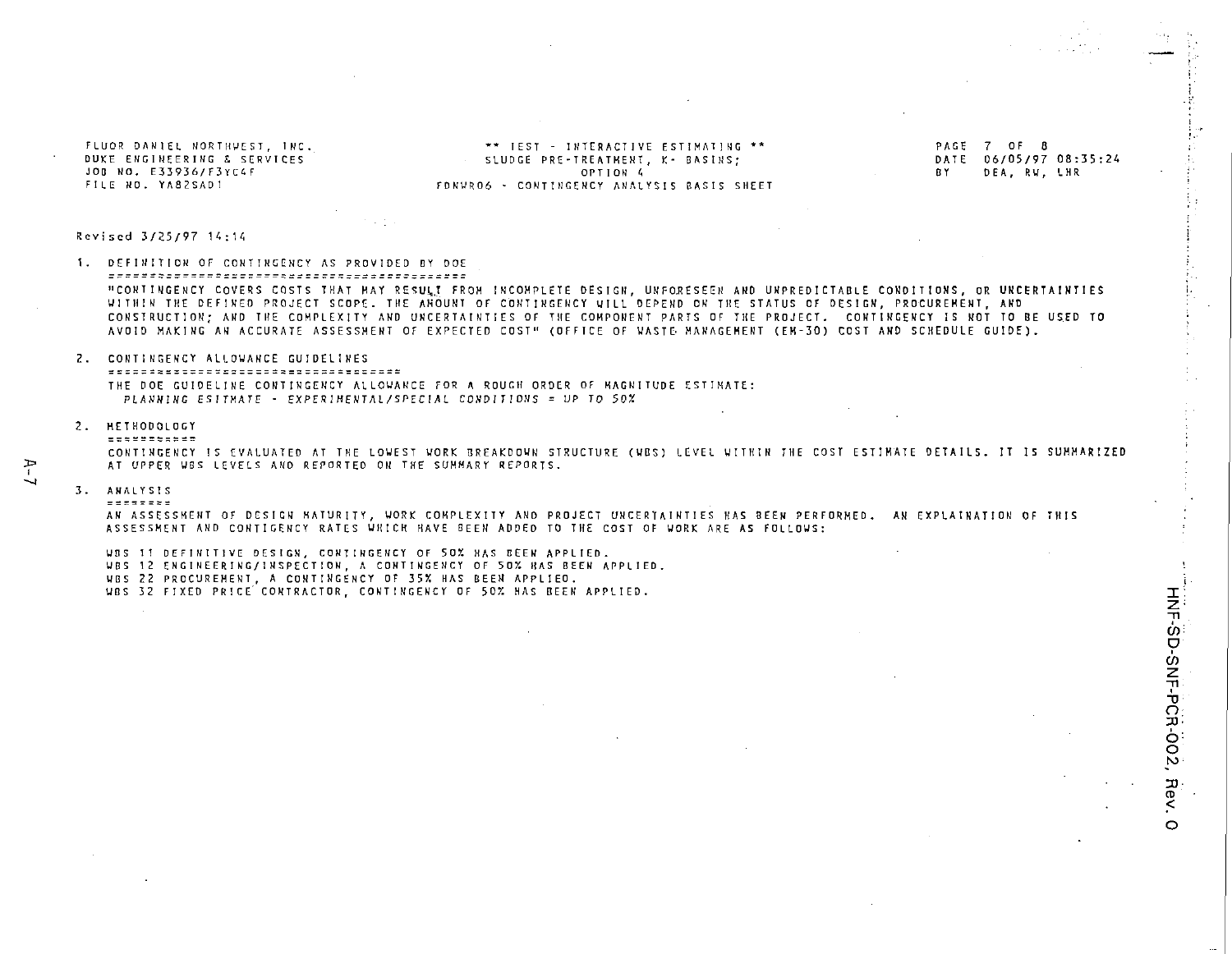FLUOR DANIEL NORTHWEST, INC. DUKE ENGINEERING & SERVICES JOR NO. F33936/F3YC4F FILE NO. YA82SAD1

\*\* TEST - INTERACTIVE ESTIMATING \*\* SLUDGE PRE-TREATMENT, K- BASINS; OPTION 4 FONUROG - CONTINGENCY ANALYSIS RASIS SHEET PAGE 7 OF 8 DATE 06/05/97 08:35:24 RY. DEA. RV. LHR

#### Revised 3/25/97 14:14

1. DEFINITION OF CONTINGENCY AS PROVIDED BY DOE "CONTINGENCY COVERS COSTS THAT HAY RESULT FROM INCOMPLETE DESIGN, UNFORESEEN AND UNPREDICTABLE CONDITIONS, OR UNCERTAINTIES WITHIN THE DEFINED PROJECT SCOPE. THE ANOUNT OF CONTINGENCY WILL DEPEND ON THE STATUS OF DESIGN. PROCURENENT, AND CONSTRUCTION: AND THE COMPLEXITY AND UNCERTAINTIES OF THE COMPONENT PARTS OF THE PROJECT. CONTINGENCY IS NOT TO BE USED TO AVOID MAKING AN ACCURATE ASSESSMENT OF EXPECTED COST" (OFFICE OF WASTE MANAGEMENT (EM-30) COST AND SCHEDULE GUIDE).

2. CONTINGENCY ALLOWANCE GUIDELINES THE DOE GUIDELINE CONTINGENCY ALLOWANCE FOR A ROUGH ORDER OF MAGNITUDE ESTIMATE: PLANNING ESITMATE - EXPERIMENTAL/SPECIAL CONDITIONS = UP TO 50%

#### 2. HETHODOLOGY

#### **ECSEPTORES**

CONTINGENCY IS EVALUATED AT THE LOWEST WORK BREAKDOWN STRUCTURE (WBS) LEVEL WITHIN THE COST ESTIMATE DETAILS. IT IS SUMMARIZED AT UPPER WBS LEVELS AND REPORTED ON THE SUMMARY REPORTS.

#### 3. ANALYSIS *<u><u>---------</u>***</u>**

AN ASSESSMENT OF DESIGN MATURITY, WORK COMPLEXITY AND PROJECT UNCERTAINTIES HAS BEEN PERFORMED. AN EXPLAINATION OF THIS ASSESSMENT AND CONTIGENCY RATES WHICH HAVE BEEN ADDED TO THE COST OF WORK ARE AS FOLLDWS:

WES II DEFINITIVE DESIGN, CONTINGENCY OF 50% HAS BEEN APPLIED.

- WBS 12 ENGINEERING/INSPECTION, A CONTINGENCY OF 50% HAS BEEN APPLIED.
- VBS 22 PROCUREMENT, A CONTINGENCY OF 35% HAS BEEN APPLIED.

WBS 32 FIXED PRICE CONTRACTOR, CONTINGENCY OF 50% HAS BEEN APPLIED.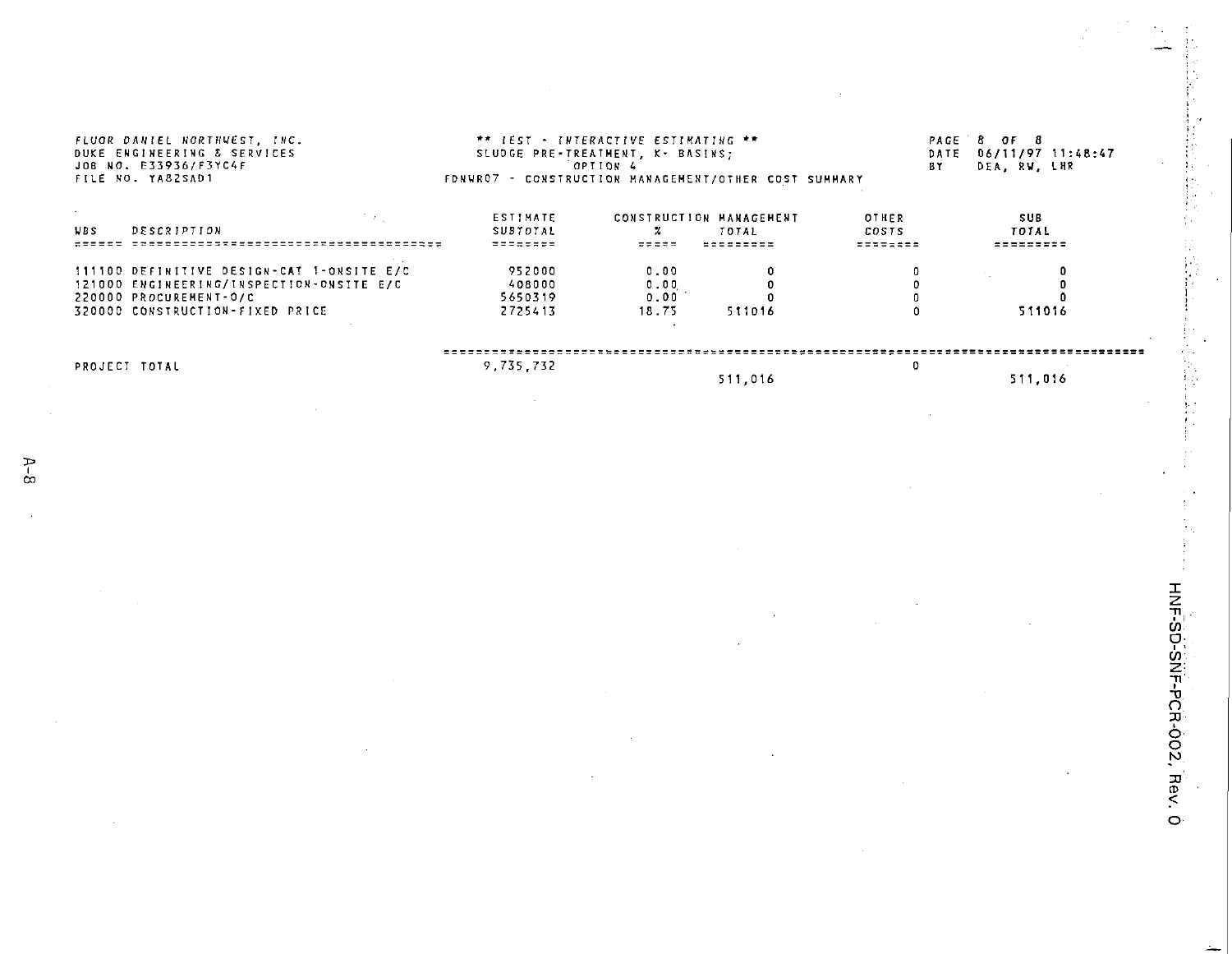| FLUOR DANIEL NORTHWEST, INC.<br>DUKE ENGINEERING & SERVICES<br>JOB NO. E33936/F3YC4F<br>FILE NO. YASZSAD1                                          | FDNWR07 - CONSTRUCTION HANAGEMENT/OTHER COST SUMMARY | ** IEST - INTERACTIVE ESTIMATING **<br>SLUDGE PRE-TREATHENT, K- BASINS;<br>OPTION 4 |                                               | DATE<br><b>BY</b>                        | PAGE 8 OF 8<br>06/11/97 11:48:47<br>DEA. RW. LHR |
|----------------------------------------------------------------------------------------------------------------------------------------------------|------------------------------------------------------|-------------------------------------------------------------------------------------|-----------------------------------------------|------------------------------------------|--------------------------------------------------|
| <b>DESCRIPTION</b><br><b>NBS</b><br>********************************                                                                               | <b>ESTIMATE</b><br>SUBTOTAL<br>22222322              | =====                                                                               | CONSTRUCTION MANAGEMENT<br>TOTAL<br>********* | OTHER<br><b>COSTS</b><br><b>********</b> | SUB<br>TOTAL<br>---------                        |
| 111100 DEFINITIVE DESIGN-CAT 1-ONSITE E/C<br>121000 ENGINEERING/INSPECTION-ONSITE E/C<br>220000 PROCUREMENT-0/C<br>320000 CONSTRUCTION-FIXED PRICE | 952000<br>408000<br>5650319<br>2725413               | 0.00<br>0.00<br>0.00<br>18.75                                                       | 511016                                        |                                          | 511016                                           |
| PROJECT TOTAL                                                                                                                                      | 9,735.732                                            |                                                                                     | 511.016                                       |                                          | 511.016                                          |

J.

**z** -T1 •TJ **n6 o**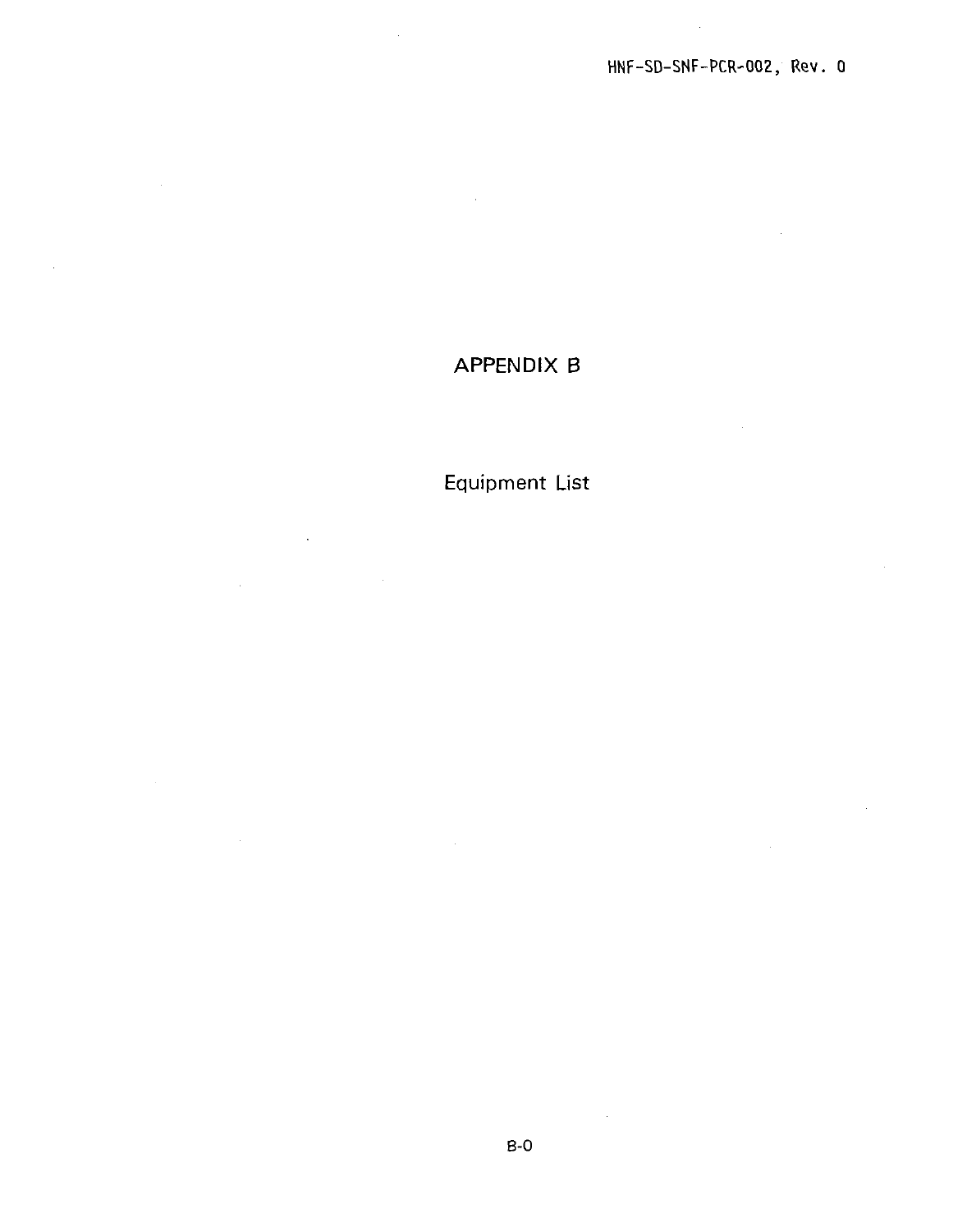## APPENDIX B

Equipment List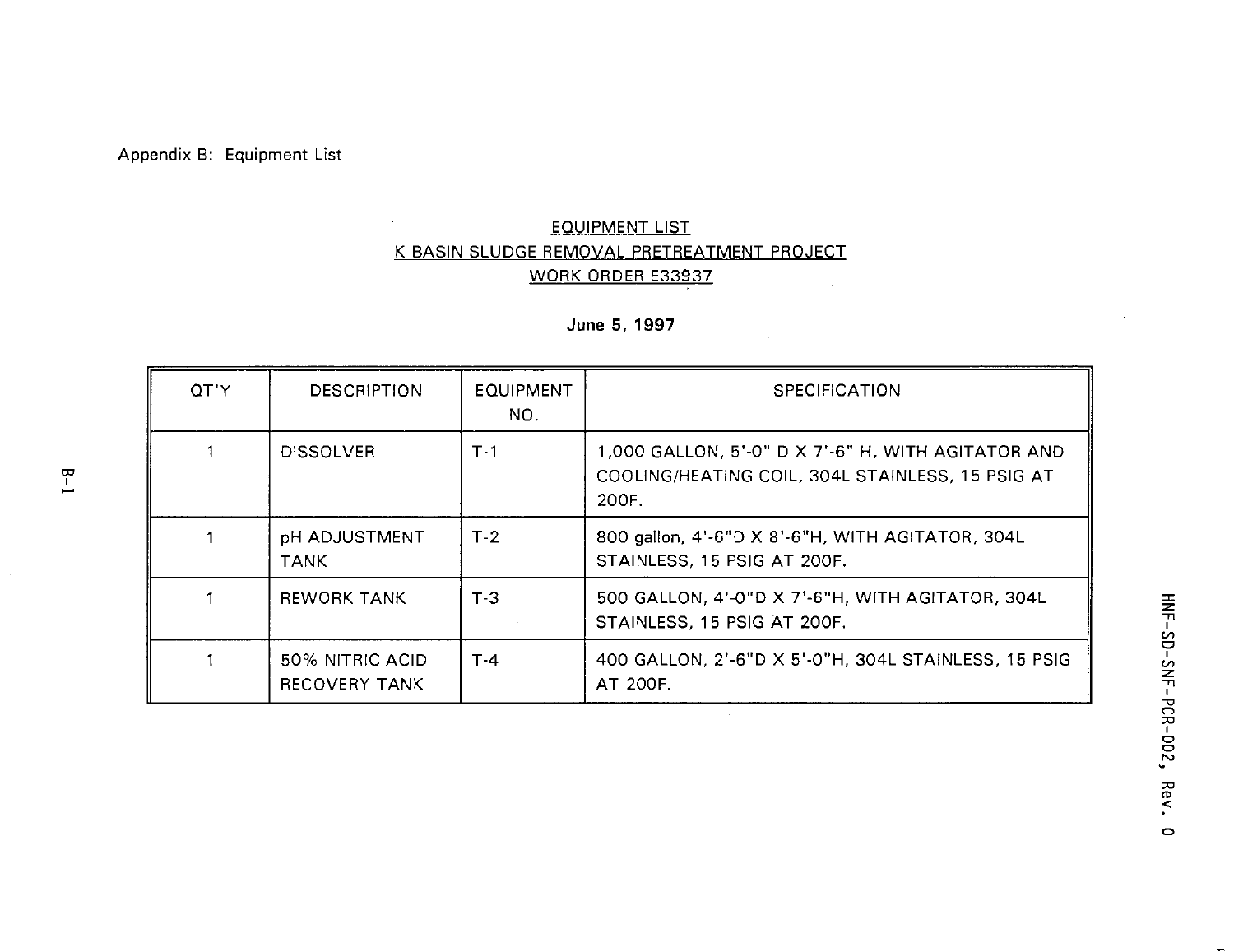### Appendix B: Equipment List

### EQUIPMENT LIST K BASIN SLUDGE REMOVAL PRETREATMENT PROJECT WORK ORDER E33937

**June 5. 1997**

| QT'Y | <b>DESCRIPTION</b>               | EQUIPMENT<br>NO. | <b>SPECIFICATION</b>                                                                                            |
|------|----------------------------------|------------------|-----------------------------------------------------------------------------------------------------------------|
|      | <b>DISSOLVER</b>                 | $T-1$            | 1,000 GALLON, 5'-0" D X 7'-6" H, WITH AGITATOR AND<br>COOLING/HEATING COIL, 304L STAINLESS, 15 PSIG AT<br>200F. |
|      | pH ADJUSTMENT<br><b>TANK</b>     | $T-2$            | 800 gallon, 4'-6"D X 8'-6"H, WITH AGITATOR, 304L<br>STAINLESS, 15 PSIG AT 200F.                                 |
|      | <b>REWORK TANK</b>               | $T-3$            | 500 GALLON, 4'-0"D X 7'-6"H, WITH AGITATOR, 304L<br>STAINLESS, 15 PSIG AT 200F.                                 |
|      | 50% NITRIC ACID<br>RECOVERY TANK | $T - 4$          | 400 GALLON, 2'-6"D X 5'-0"H, 304L STAINLESS, 15 PSIG<br>AT 200F.                                                |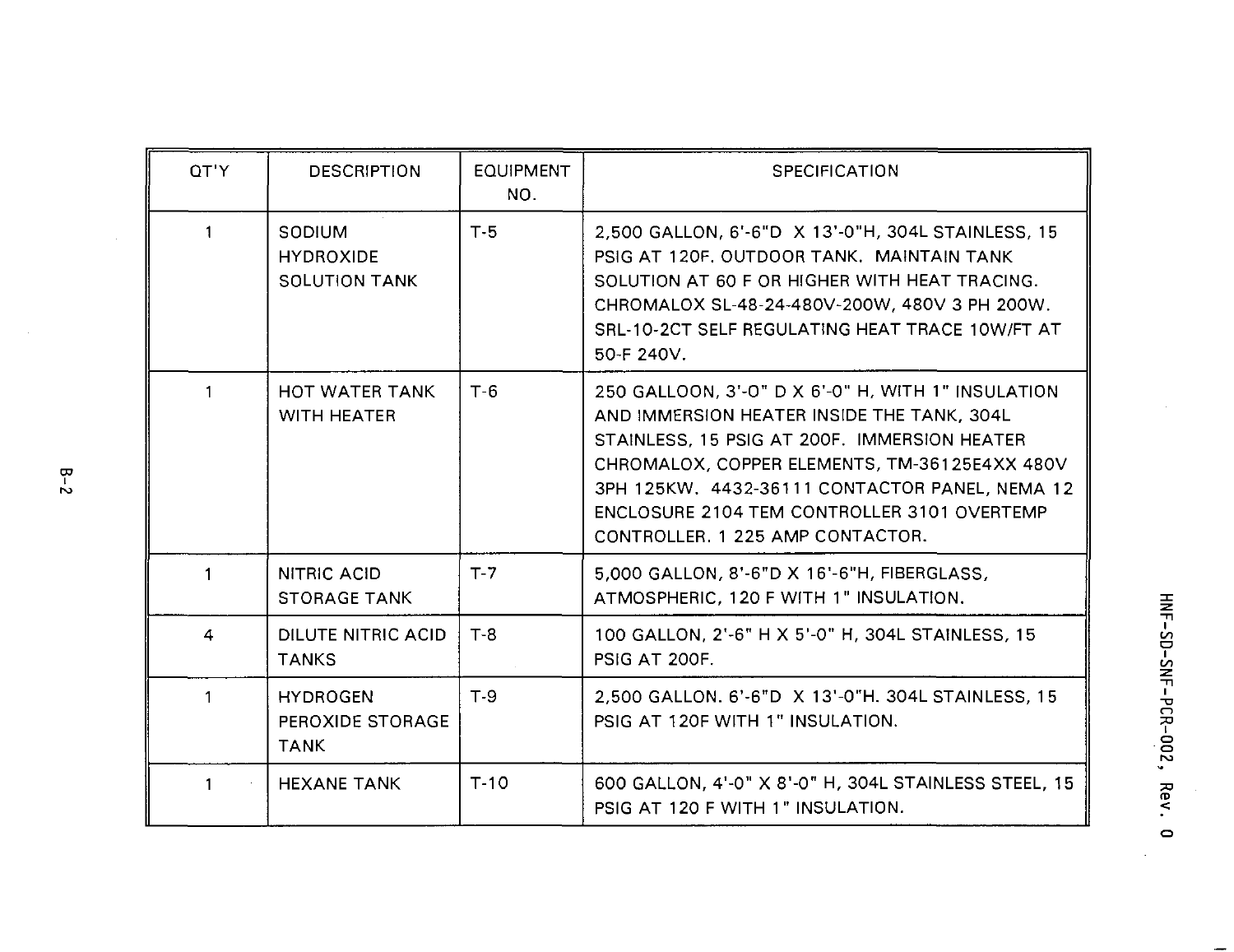| OT'Y         | <b>DESCRIPTION</b>                                 | <b>EQUIPMENT</b><br>NO. | <b>SPECIFICATION</b>                                                                                                                                                                                                                                                                                                                   |
|--------------|----------------------------------------------------|-------------------------|----------------------------------------------------------------------------------------------------------------------------------------------------------------------------------------------------------------------------------------------------------------------------------------------------------------------------------------|
| 1            | SODIUM<br><b>HYDROXIDE</b><br><b>SOLUTION TANK</b> | $T-5$                   | 2,500 GALLON, 6'-6"D X 13'-0"H, 304L STAINLESS, 15<br>PSIG AT 120F, OUTDOOR TANK. MAINTAIN TANK<br>SOLUTION AT 60 F OR HIGHER WITH HEAT TRACING.<br>CHROMALOX SL-48-24-480V-200W, 480V 3 PH 200W.<br>SRL-10-2CT SELF REGULATING HEAT TRACE 10W/FT AT<br>50-F 240V.                                                                     |
| $\mathbf{1}$ | HOT WATER TANK<br><b>WITH HEATER</b>               | $T-6$                   | 250 GALLOON, 3'-0" D X 6'-0" H, WITH 1" INSULATION<br>AND IMMERSION HEATER INSIDE THE TANK, 304L<br>STAINLESS, 15 PSIG AT 200F. IMMERSION HEATER<br>CHROMALOX, COPPER ELEMENTS, TM-36125E4XX 480V<br>3PH 125KW, 4432-36111 CONTACTOR PANEL, NEMA 12<br>ENCLOSURE 2104 TEM CONTROLLER 3101 OVERTEMP<br>CONTROLLER, 1 225 AMP CONTACTOR. |
| $\mathbf{1}$ | NITRIC ACID<br><b>STORAGE TANK</b>                 | $T-7$                   | 5,000 GALLON, 8'-6"D X 16'-6"H, FIBERGLASS,<br>ATMOSPHERIC, 120 F WITH 1" INSULATION.                                                                                                                                                                                                                                                  |
| 4            | DILUTE NITRIC ACID<br><b>TANKS</b>                 | $T-8$                   | 100 GALLON, 2'-6" H X 5'-0" H, 304L STAINLESS, 15<br><b>PSIG AT 200F.</b>                                                                                                                                                                                                                                                              |
| $\mathbf{1}$ | <b>HYDROGEN</b><br>PEROXIDE STORAGE<br><b>TANK</b> | $T-9$                   | 2.500 GALLON, 6'-6"D X 13'-0"H, 304L STAINLESS, 15<br>PSIG AT 120F WITH 1" INSULATION.                                                                                                                                                                                                                                                 |
| 1            | <b>HEXANE TANK</b>                                 | $T-10$                  | 600 GALLON, 4'-0" X 8'-0" H, 304L STAINLESS STEEL, 15<br>PSIG AT 120 F WITH 1" INSULATION.                                                                                                                                                                                                                                             |

HNF-SD-SNF-PCR-002, Rev. 0

 $\equiv$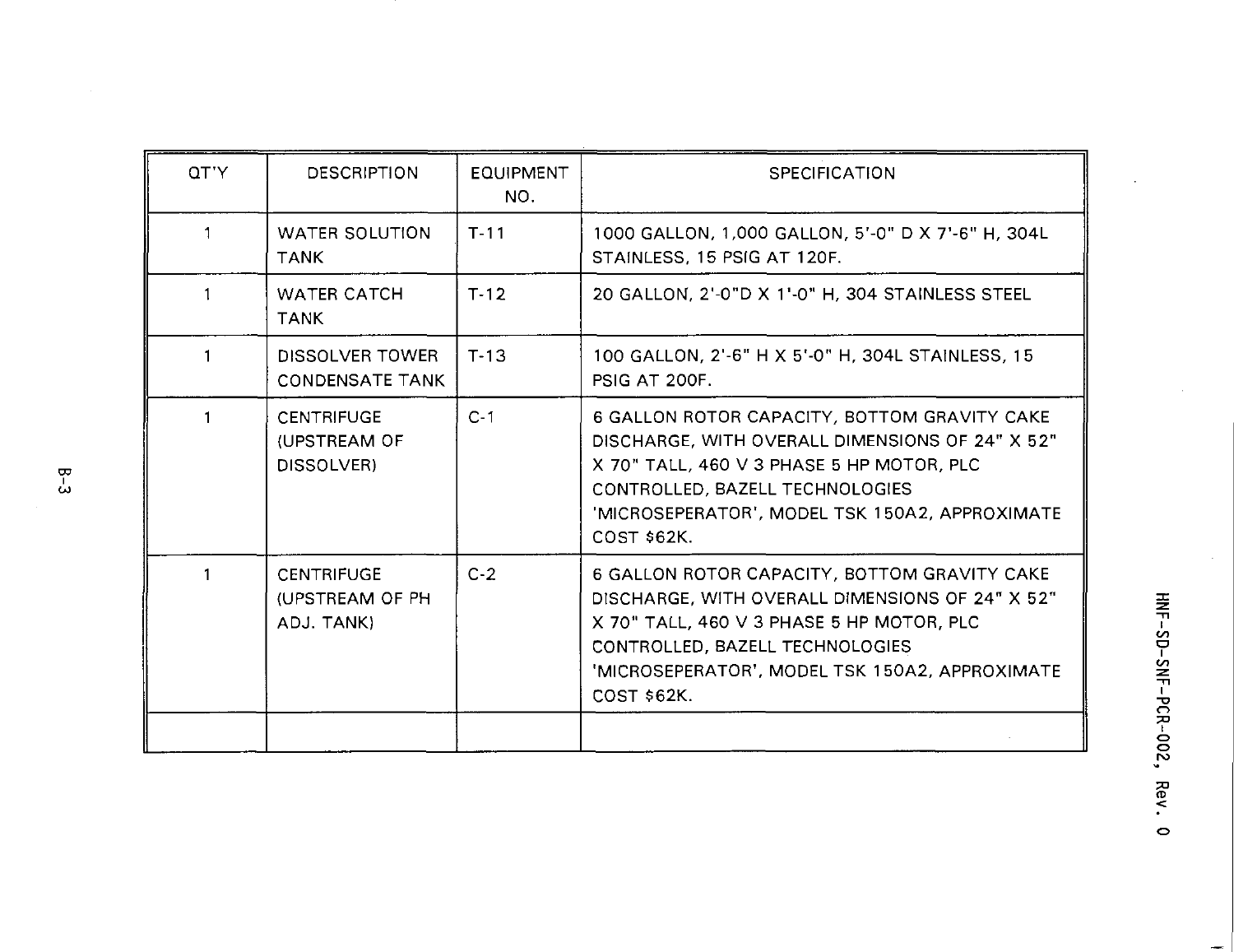| OT'Y | <b>DESCRIPTION</b>                                 | <b>EQUIPMENT</b><br>NO. | <b>SPECIFICATION</b>                                                                                                                                                                                                                                    |
|------|----------------------------------------------------|-------------------------|---------------------------------------------------------------------------------------------------------------------------------------------------------------------------------------------------------------------------------------------------------|
| 1    | <b>WATER SOLUTION</b><br><b>TANK</b>               | $T - 11$                | 1000 GALLON, 1,000 GALLON, 5'-0" D X 7'-6" H, 304L<br>STAINLESS, 15 PSIG AT 120F.                                                                                                                                                                       |
| -1   | <b>WATER CATCH</b><br><b>TANK</b>                  | $T-12$                  | 20 GALLON, 2'-0"D X 1'-0" H, 304 STAINLESS STEEL                                                                                                                                                                                                        |
|      | DISSOLVER TOWER<br><b>CONDENSATE TANK</b>          | $T-13$                  | 100 GALLON, 2'-6" H X 5'-0" H, 304L STAINLESS, 15<br>PSIG AT 200F.                                                                                                                                                                                      |
|      | <b>CENTRIFUGE</b><br>(UPSTREAM OF<br>DISSOLVER)    | $C-1$                   | 6 GALLON ROTOR CAPACITY, BOTTOM GRAVITY CAKE<br>DISCHARGE, WITH OVERALL DIMENSIONS OF 24" X 52"<br>X 70" TALL, 460 V 3 PHASE 5 HP MOTOR, PLC<br>CONTROLLED, BAZELL TECHNOLOGIES<br>'MICROSEPERATOR', MODEL TSK 150A2, APPROXIMATE<br><b>COST \$62K.</b> |
|      | <b>CENTRIFUGE</b><br>(UPSTREAM OF PH<br>ADJ. TANK) | $C-2$                   | 6 GALLON ROTOR CAPACITY, BOTTOM GRAVITY CAKE<br>DISCHARGE, WITH OVERALL DIMENSIONS OF 24" X 52"<br>X 70" TALL, 460 V 3 PHASE 5 HP MOTOR, PLC<br>CONTROLLED, BAZELL TECHNOLOGIES<br>'MICROSEPERATOR', MODEL TSK 150A2, APPROXIMATE<br>COST \$62K.        |
|      |                                                    |                         |                                                                                                                                                                                                                                                         |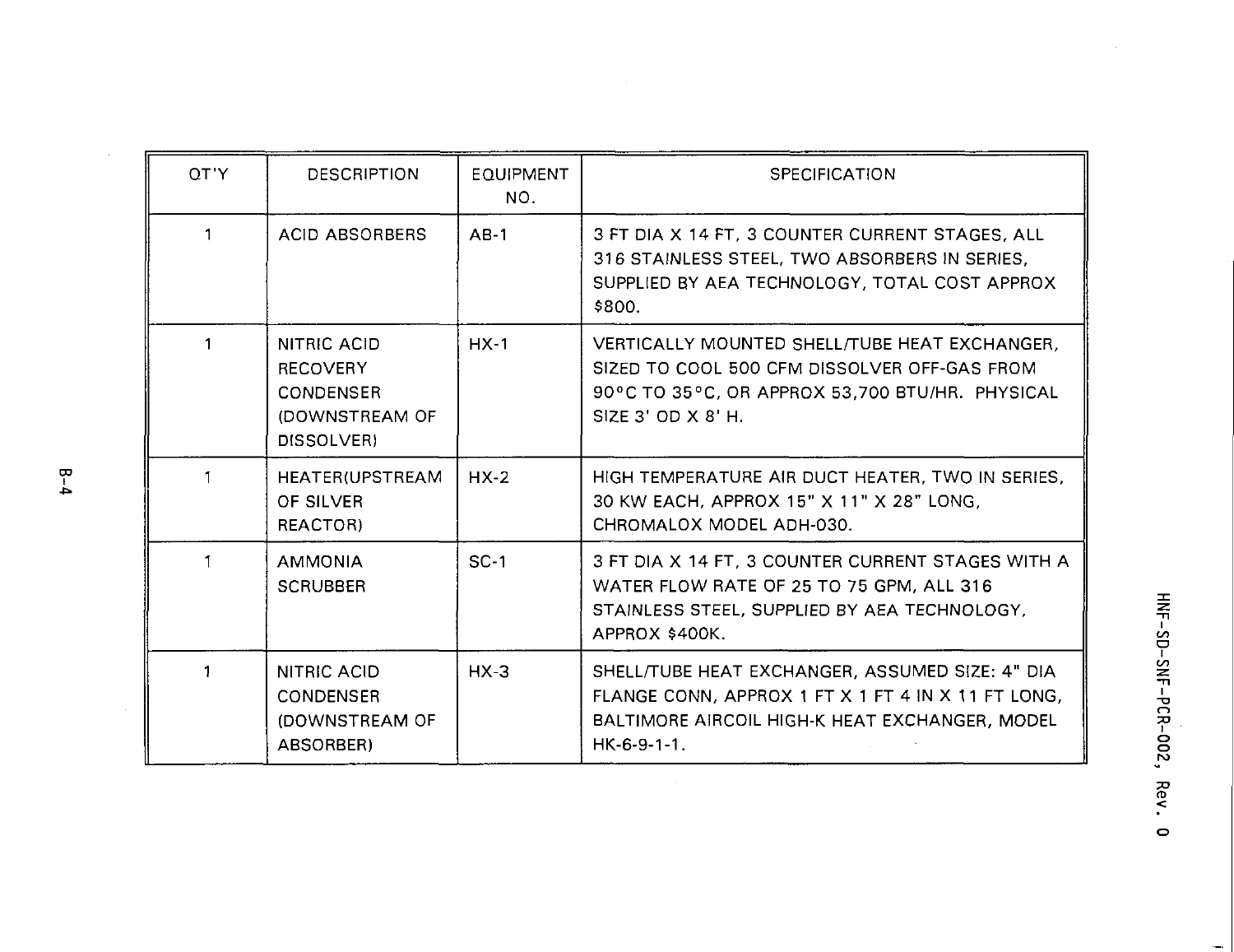| QT'Y | <b>DESCRIPTION</b>                                                                 | <b>EQUIPMENT</b><br>NO. | <b>SPECIFICATION</b>                                                                                                                                                     |
|------|------------------------------------------------------------------------------------|-------------------------|--------------------------------------------------------------------------------------------------------------------------------------------------------------------------|
| 1    | <b>ACID ABSORBERS</b>                                                              | $AB-1$                  | 3 FT DIA X 14 FT, 3 COUNTER CURRENT STAGES, ALL<br>316 STAINLESS STEEL, TWO ABSORBERS IN SERIES,<br>SUPPLIED BY AEA TECHNOLOGY, TOTAL COST APPROX<br>\$800.              |
|      | NITRIC ACID<br><b>RECOVERY</b><br><b>CONDENSER</b><br>(DOWNSTREAM OF<br>DISSOLVER) | $HX-1$                  | VERTICALLY MOUNTED SHELL/TUBE HEAT EXCHANGER.<br>SIZED TO COOL 500 CFM DISSOLVER OFF-GAS FROM<br>90°C TO 35°C, OR APPROX 53,700 BTU/HR. PHYSICAL<br>SIZE 3' OD X 8' H.   |
| 1    | HEATER(UPSTREAM<br>OF SILVER<br>REACTOR)                                           | $HX-2$                  | HIGH TEMPERATURE AIR DUCT HEATER, TWO IN SERIES,<br>30 KW EACH, APPROX 15" X 11" X 28" LONG,<br>CHROMALOX MODEL ADH-030.                                                 |
|      | <b>AMMONIA</b><br><b>SCRUBBER</b>                                                  | $SC-1$                  | 3 FT DIA X 14 FT, 3 COUNTER CURRENT STAGES WITH A<br>WATER FLOW RATE OF 25 TO 75 GPM, ALL 316<br>STAINLESS STEEL, SUPPLIED BY AEA TECHNOLOGY.<br>APPROX \$400K.          |
| 1    | NITRIC ACID<br>CONDENSER<br>(DOWNSTREAM OF<br>ABSORBER)                            | $HX-3$                  | SHELL/TUBE HEAT EXCHANGER, ASSUMED SIZE: 4" DIA<br>FLANGE CONN, APPROX 1 FT X 1 FT 4 IN X 11 FT LONG,<br>BALTIMORE AIRCOIL HIGH-K HEAT EXCHANGER, MODEL<br>$HK-6-9-1-1.$ |

÷,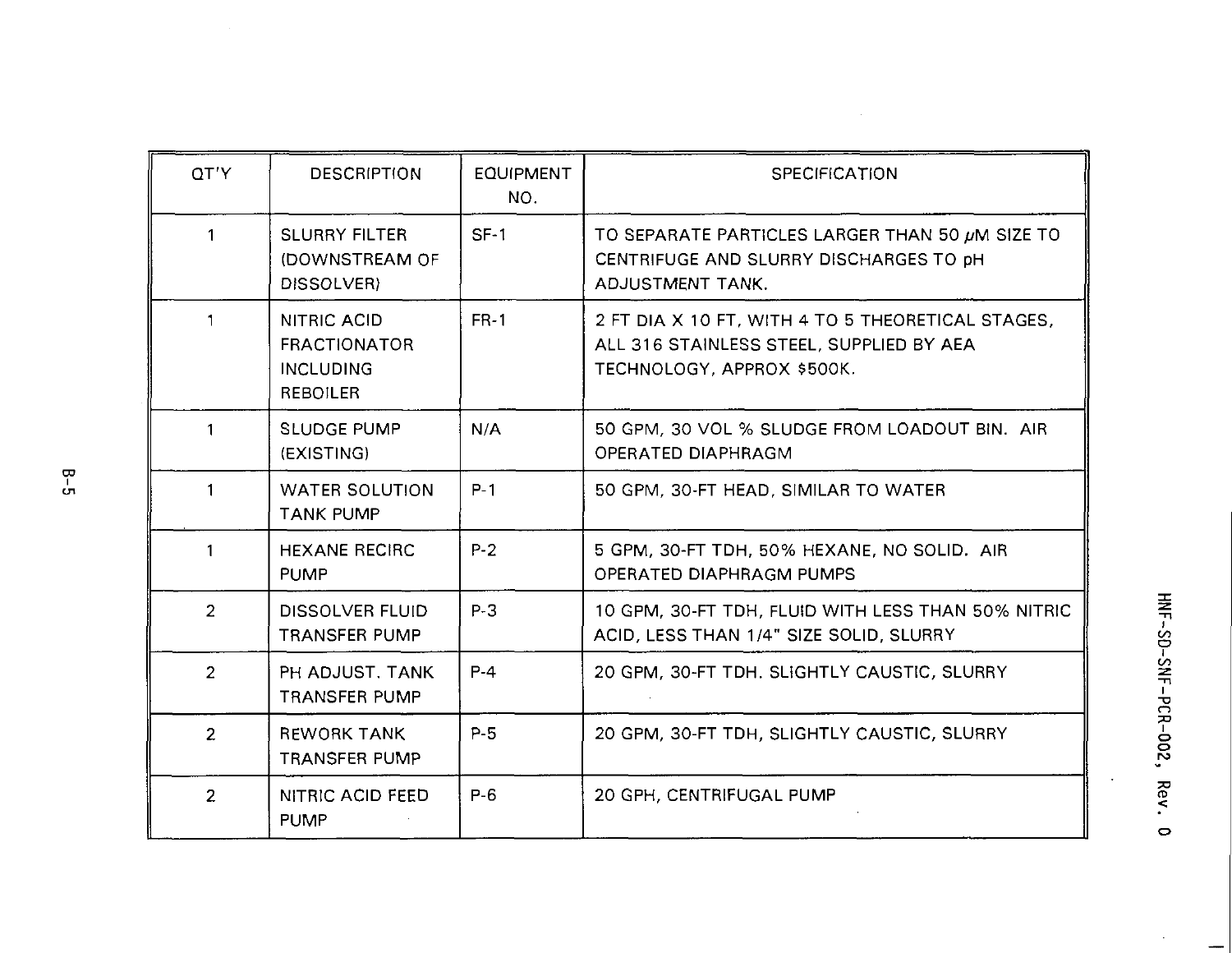| OT'Y           | <b>DESCRIPTION</b>                                                        | <b>EQUIPMENT</b><br>NO. | <b>SPECIFICATION</b>                                                                                                        |
|----------------|---------------------------------------------------------------------------|-------------------------|-----------------------------------------------------------------------------------------------------------------------------|
| 1              | <b>SLURRY FILTER</b><br>(DOWNSTREAM OF<br>DISSOLVER)                      | $SF-1$                  | TO SEPARATE PARTICLES LARGER THAN 50 µM SIZE TO<br>CENTRIFUGE AND SLURRY DISCHARGES TO DH<br>ADJUSTMENT TANK.               |
| 1              | NITRIC ACID<br><b>FRACTIONATOR</b><br><b>INCLUDING</b><br><b>REBOILER</b> | <b>FR-1</b>             | 2 FT DIA X 10 FT, WITH 4 TO 5 THEORETICAL STAGES.<br>ALL 316 STAINLESS STEEL, SUPPLIED BY AEA<br>TECHNOLOGY, APPROX \$500K. |
| 1              | <b>SLUDGE PUMP</b><br>(EXISTING)                                          | N/A                     | 50 GPM, 30 VOL % SLUDGE FROM LOADOUT BIN. AIR<br>OPERATED DIAPHRAGM                                                         |
| 1              | <b>WATER SOLUTION</b><br><b>TANK PUMP</b>                                 | $P-1$                   | 50 GPM, 30-FT HEAD, SIMILAR TO WATER                                                                                        |
| 1              | <b>HEXANE RECIRC</b><br><b>PUMP</b>                                       | $P-2$                   | 5 GPM, 30-FT TDH, 50% HEXANE, NO SOLID. AIR<br>OPERATED DIAPHRAGM PUMPS                                                     |
| $\overline{2}$ | <b>DISSOLVER FLUID</b><br><b>TRANSFER PUMP</b>                            | $P-3$                   | 10 GPM, 30-FT TDH, FLUID WITH LESS THAN 50% NITRIC<br>ACID, LESS THAN 1/4" SIZE SOLID, SLURRY                               |
| $\overline{2}$ | PH ADJUST, TANK<br><b>TRANSFER PUMP</b>                                   | $P-4$                   | 20 GPM, 30-FT TDH, SLIGHTLY CAUSTIC, SLURRY                                                                                 |
| $\overline{2}$ | <b>REWORK TANK</b><br><b>TRANSFER PUMP</b>                                | $P-5$                   | 20 GPM, 30-FT TDH, SLIGHTLY CAUSTIC, SLURRY                                                                                 |
| $\overline{2}$ | NITRIC ACID FEED<br><b>PUMP</b>                                           | $P-6$                   | 20 GPH, CENTRIFUGAL PUMP                                                                                                    |

 $\overline{\phantom{a}}$ 

 $\ddot{\phantom{0}}$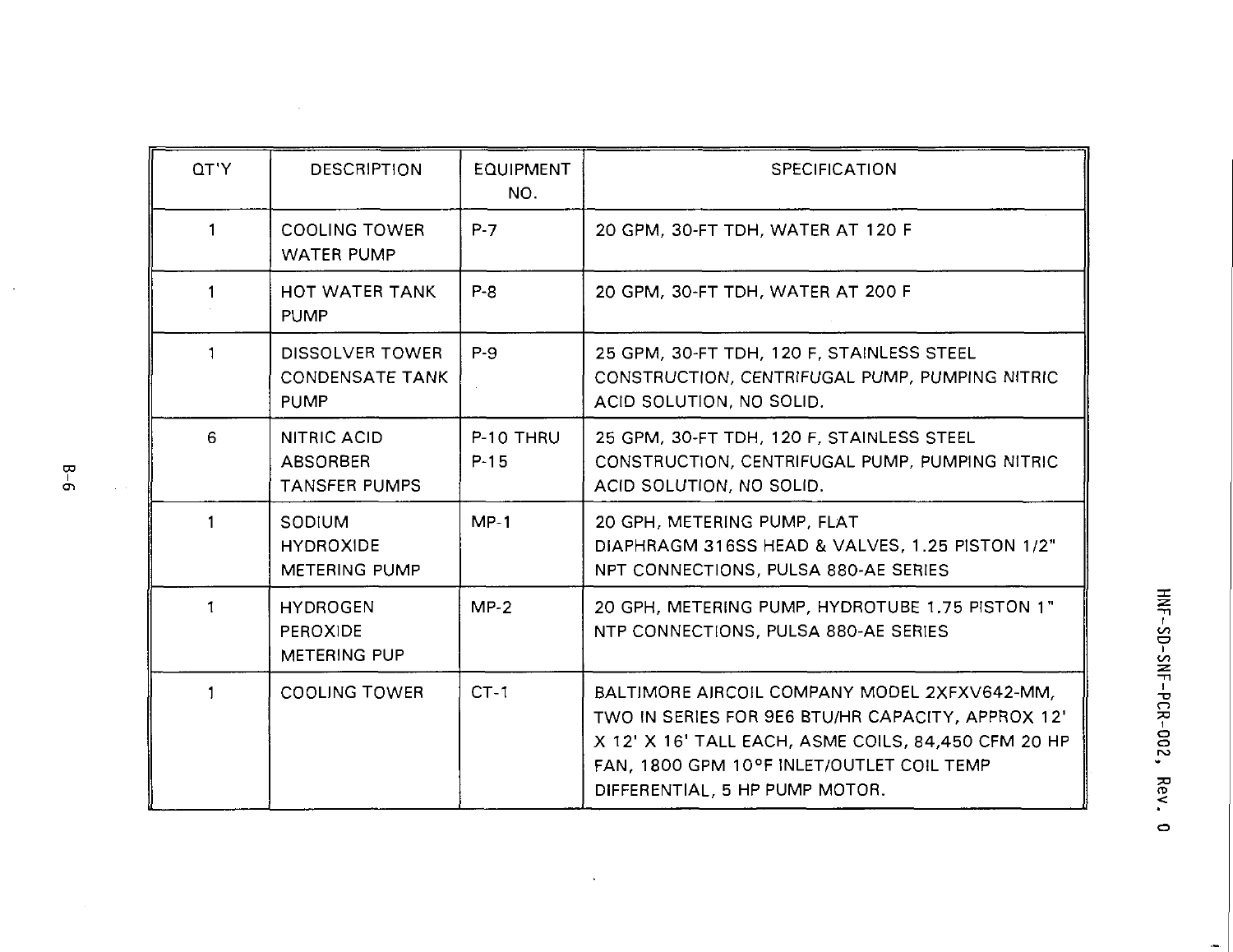| OT'Y | <b>DESCRIPTION</b>                                       | <b>EQUIPMENT</b><br>NO. | <b>SPECIFICATION</b>                                                                                                                                                                                                                    |
|------|----------------------------------------------------------|-------------------------|-----------------------------------------------------------------------------------------------------------------------------------------------------------------------------------------------------------------------------------------|
| 1    | <b>COOLING TOWER</b><br><b>WATER PUMP</b>                | $P-7$                   | 20 GPM, 30-FT TDH, WATER AT 120 F                                                                                                                                                                                                       |
| 1    | HOT WATER TANK<br><b>PUMP</b>                            | $P - B$                 | 20 GPM, 30-FT TDH, WATER AT 200 F                                                                                                                                                                                                       |
|      | DISSOLVER TOWER<br><b>CONDENSATE TANK</b><br><b>PUMP</b> | P-9                     | 25 GPM, 30-FT TDH, 120 F, STAINLESS STEEL<br>CONSTRUCTION, CENTRIFUGAL PUMP, PUMPING NITRIC<br>ACID SOLUTION, NO SOLID.                                                                                                                 |
| 6    | NITRIC ACID<br>ABSORBER<br><b>TANSFER PUMPS</b>          | P-10 THRU<br>$P-15$     | 25 GPM, 30-FT TDH, 120 F, STAINLESS STEEL<br>CONSTRUCTION, CENTRIFUGAL PUMP, PUMPING NITRIC<br>ACID SOLUTION, NO SOLID.                                                                                                                 |
| 1    | SODIUM<br><b>HYDROXIDE</b><br>METERING PUMP              | $MP-1$                  | 20 GPH, METERING PUMP, FLAT<br>DIAPHRAGM 316SS HEAD & VALVES, 1.25 PISTON 1/2"<br>NPT CONNECTIONS, PULSA 880-AE SERIES                                                                                                                  |
| 1    | <b>HYDROGEN</b><br>PEROXIDE<br>METERING PUP              | $MP-2$                  | 20 GPH, METERING PUMP, HYDROTUBE 1.75 PISTON 1"<br>NTP CONNECTIONS, PULSA 880-AE SERIES                                                                                                                                                 |
| 1    | <b>COOLING TOWER</b>                                     | $CT-1$                  | BALTIMORE AIRCOIL COMPANY MODEL 2XFXV642-MM,<br>TWO IN SERIES FOR 9E6 BTU/HR CAPACITY, APPROX 12'<br>X 12' X 16' TALL EACH, ASME COILS, 84,450 CFM 20 HP<br>FAN, 1800 GPM 10°F INLET/OUTLET COIL TEMP<br>DIFFERENTIAL, 5 HP PUMP MOTOR. |

 $\sim$   $\sim$ 

HNF-SD-SNF-PCR-002, Rev. 0

 $\bar{z}$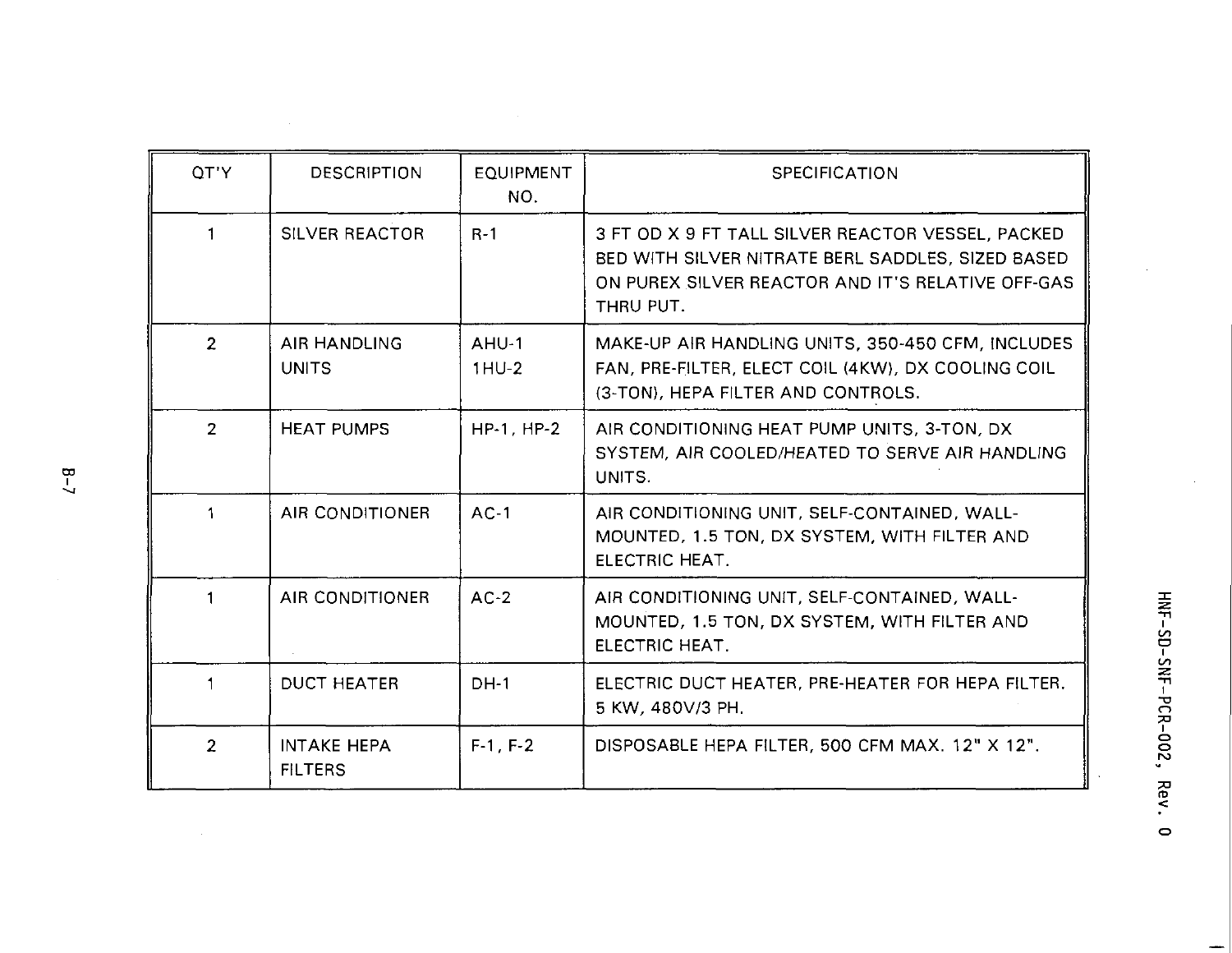| OT'Y           | <b>DESCRIPTION</b>                   | <b>EQUIPMENT</b><br>NO. | <b>SPECIFICATION</b>                                                                                                                                                     |
|----------------|--------------------------------------|-------------------------|--------------------------------------------------------------------------------------------------------------------------------------------------------------------------|
| 1              | <b>SILVER REACTOR</b>                | $R-1$                   | 3 FT OD X 9 FT TALL SILVER REACTOR VESSEL, PACKED<br>BED WITH SILVER NITRATE BERL SADDLES. SIZED BASED<br>ON PUREX SILVER REACTOR AND IT'S RELATIVE OFF-GAS<br>THRU PUT. |
| $\mathfrak{p}$ | AIR HANDLING<br><b>UNITS</b>         | AHU-1<br>$1HU-2$        | MAKE-UP AIR HANDLING UNITS, 350-450 CFM, INCLUDES<br>FAN, PRE-FILTER, ELECT COIL (4KW), DX COOLING COIL<br>(3-TON), HEPA FILTER AND CONTROLS.                            |
| $\overline{2}$ | <b>HEAT PUMPS</b>                    | HP-1, HP-2              | AIR CONDITIONING HEAT PUMP UNITS, 3-TON, DX<br>SYSTEM, AIR COOLED/HEATED TO SERVE AIR HANDLING<br>UNITS.                                                                 |
| 1              | AIR CONDITIONER                      | $AC-1$                  | AIR CONDITIONING UNIT, SELF-CONTAINED, WALL-<br>MOUNTED, 1.5 TON, DX SYSTEM, WITH FILTER AND<br><b>FLECTRIC HEAT.</b>                                                    |
| 1              | AIR CONDITIONER                      | $AC-2$                  | AIR CONDITIONING UNIT, SELF-CONTAINED, WALL-<br>MOUNTED, 1.5 TON, DX SYSTEM, WITH FILTER AND<br>ELECTRIC HEAT.                                                           |
|                | <b>DUCT HEATER</b>                   | $DH-1$                  | ELECTRIC DUCT HEATER, PRE-HEATER FOR HEPA FILTER.<br>5 KW, 480V/3 PH.                                                                                                    |
| $\overline{2}$ | <b>INTAKE HEPA</b><br><b>FILTERS</b> | $F-1, F-2$              | DISPOSABLE HEPA FILTER, 500 CFM MAX, 12" X 12".                                                                                                                          |

 $\bar{\omega}$ 

 $\mathfrak{g}-7$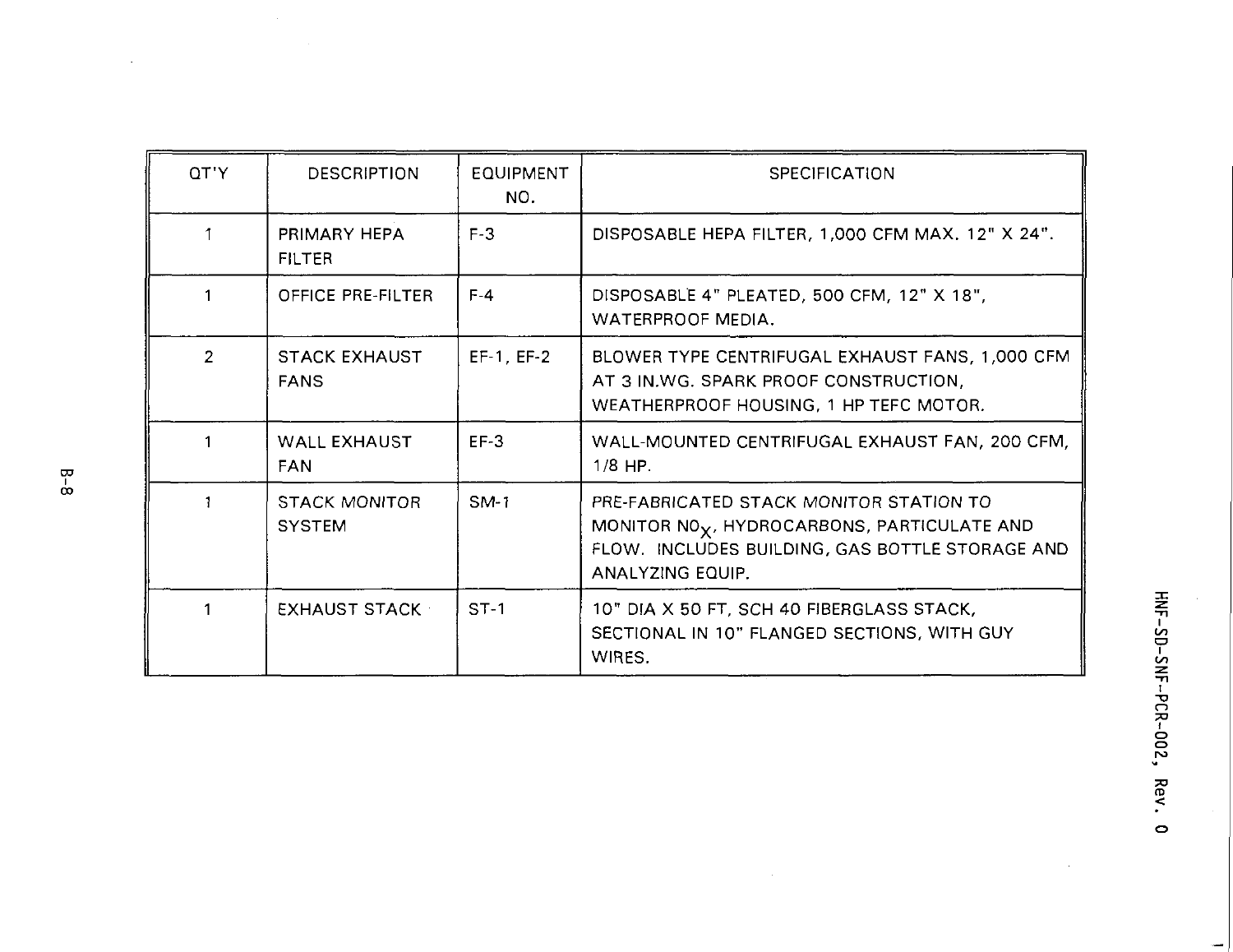| OT'Y          | DESCRIPTION                           | <b>EQUIPMENT</b><br>NO. | <b>SPECIFICATION</b>                                                                                                                                                      |
|---------------|---------------------------------------|-------------------------|---------------------------------------------------------------------------------------------------------------------------------------------------------------------------|
|               | PRIMARY HEPA<br><b>FILTER</b>         | $F-3$                   | DISPOSABLE HEPA FILTER, 1,000 CFM MAX. 12" X 24".                                                                                                                         |
|               | OFFICE PRE-FILTER                     | $F-4$                   | DISPOSABLE 4" PLEATED, 500 CFM, 12" X 18",<br>WATERPROOF MEDIA.                                                                                                           |
| $\mathcal{P}$ | <b>STACK EXHAUST</b><br><b>FANS</b>   | EF-1, EF-2              | BLOWER TYPE CENTRIFUGAL EXHAUST FANS, 1,000 CFM<br>AT 3 IN.WG. SPARK PROOF CONSTRUCTION,<br>WEATHERPROOF HOUSING, 1 HP TEFC MOTOR.                                        |
|               | WALL EXHAUST<br><b>FAN</b>            | $EF-3$                  | WALL-MOUNTED CENTRIFUGAL EXHAUST FAN, 200 CFM,<br>$1/8$ HP.                                                                                                               |
|               | <b>STACK MONITOR</b><br><b>SYSTEM</b> | $SM-1$                  | PRE-FABRICATED STACK MONITOR STATION TO<br>MONITOR NO <sub>X</sub> , HYDROCARBONS, PARTICULATE AND<br>FLOW. INCLUDES BUILDING, GAS BOTTLE STORAGE AND<br>ANALYZING EQUIP. |
|               | EXHAUST STACK                         | $ST-1$                  | 10" DIA X 50 FT, SCH 40 FIBERGLASS STACK,<br>SECTIONAL IN 10" FLANGED SECTIONS, WITH GUY<br>WIRES.                                                                        |

-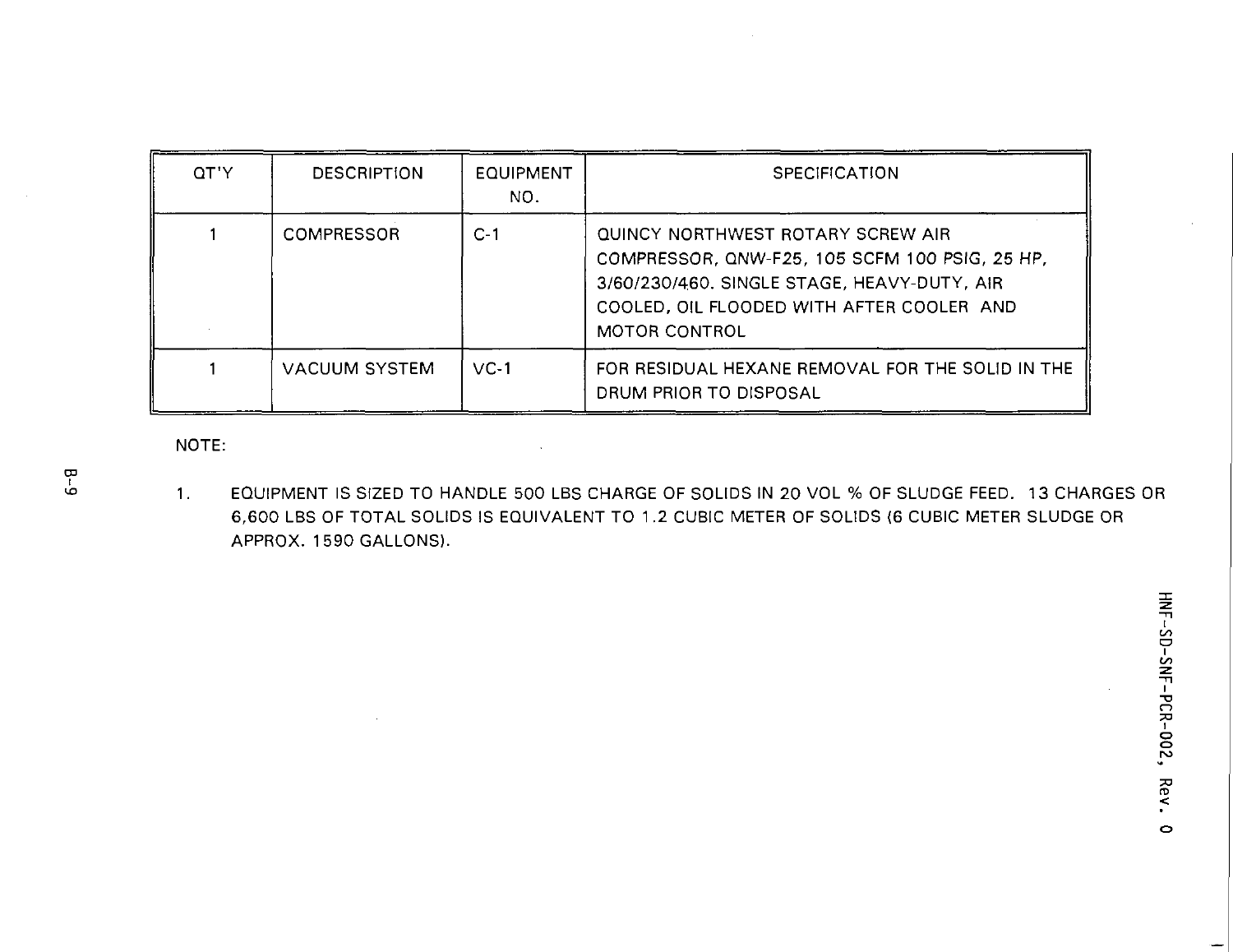| QT'Y | <b>DESCRIPTION</b>   | <b>EQUIPMENT</b><br>NO. | <b>SPECIFICATION</b>                                                                                                                                                                                    |
|------|----------------------|-------------------------|---------------------------------------------------------------------------------------------------------------------------------------------------------------------------------------------------------|
|      | COMPRESSOR           | $C-1$                   | QUINCY NORTHWEST ROTARY SCREW AIR<br>COMPRESSOR, QNW-F25, 105 SCFM 100 PSIG, 25 HP,<br>3/60/230/460, SINGLE STAGE, HEAVY-DUTY, AIR<br>COOLED, OIL FLOODED WITH AFTER COOLER AND<br><b>MOTOR CONTROL</b> |
|      | <b>VACUUM SYSTEM</b> | $VC-1$                  | FOR RESIDUAL HEXANE REMOVAL FOR THE SOLID IN THE<br>DRUM PRIOR TO DISPOSAL                                                                                                                              |

NOTE:

 $1<sub>1</sub>$ EQUIPMENT IS SIZED TO HANDLE 500 LBS CHARGE OF SOLIDS IN 20 VOL % OF SLUDGE FEED. 13 CHARGES OR 6,600 LBS OF TOTAL SOLIDS IS EQUIVALENT TO 1.2 CUBIC METER OF SOLIDS (6 CUBIC METER SLUDGE OR APPROX. 1590 GALLONS).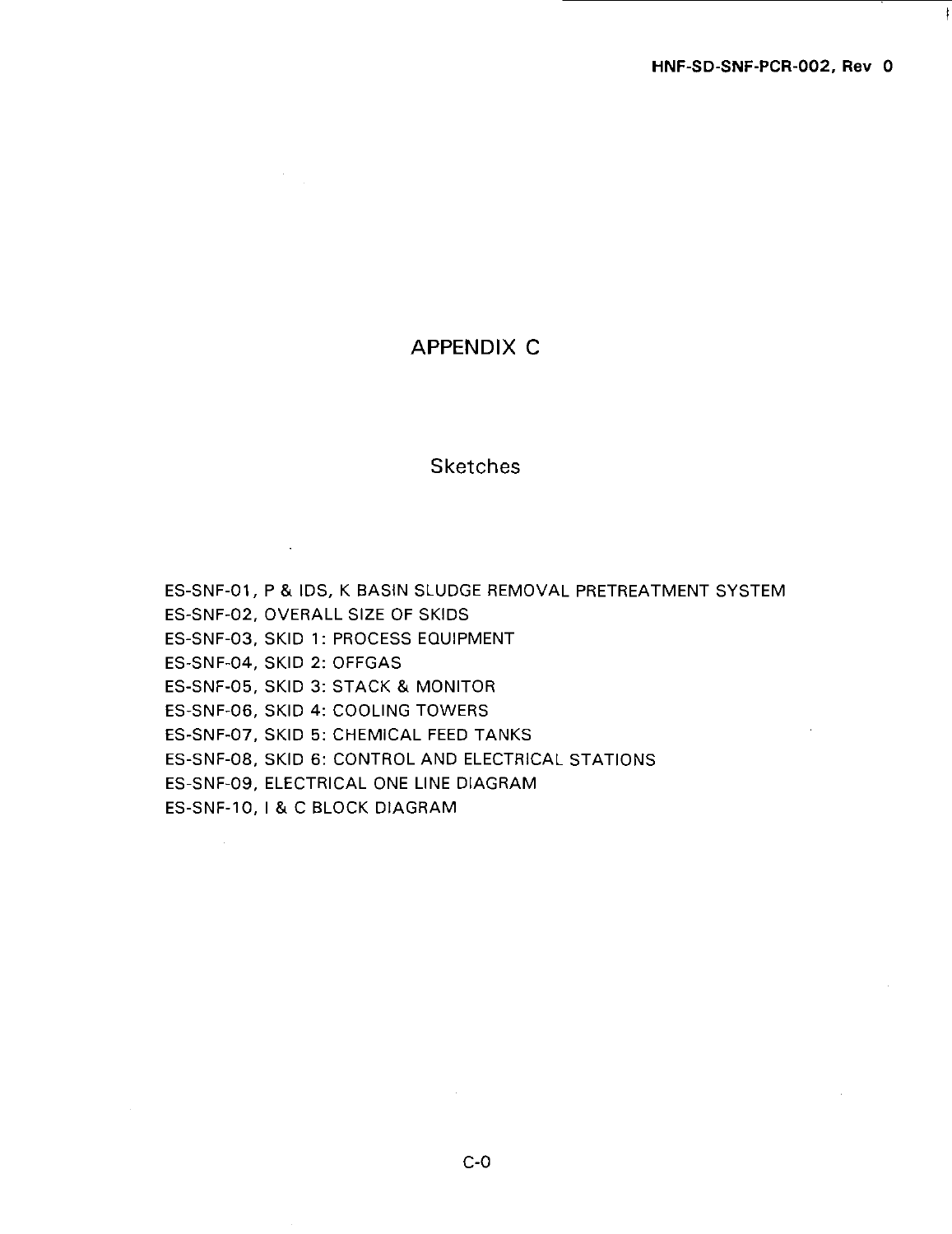### APPENDIX C

### **Sketches**

 $\mathbf{r}$ 

ES-SNF-01, P & IDS, K BASIN SLUDGE REMOVAL PRETREATMENT SYSTEM ES-SNF-02, OVERALL SIZE OF SKIDS ES-SNF-O3, SKID 1: PROCESS EQUIPMENT ES-SNF-04, SKID 2: OFFGAS ES-SNF-O5, SKID 3: STACK & MONITOR ES-SNF-O6, SKID 4: COOLING TOWERS ES-SNF-O7, SKID 5: CHEMICAL FEED TANKS ES-SNF-O8, SKID 6: CONTROL AND ELECTRICAL STATIONS ES-SNF-09, ELECTRICAL ONE LINE DIAGRAM ES-SNF-1O, I & C BLOCK DIAGRAM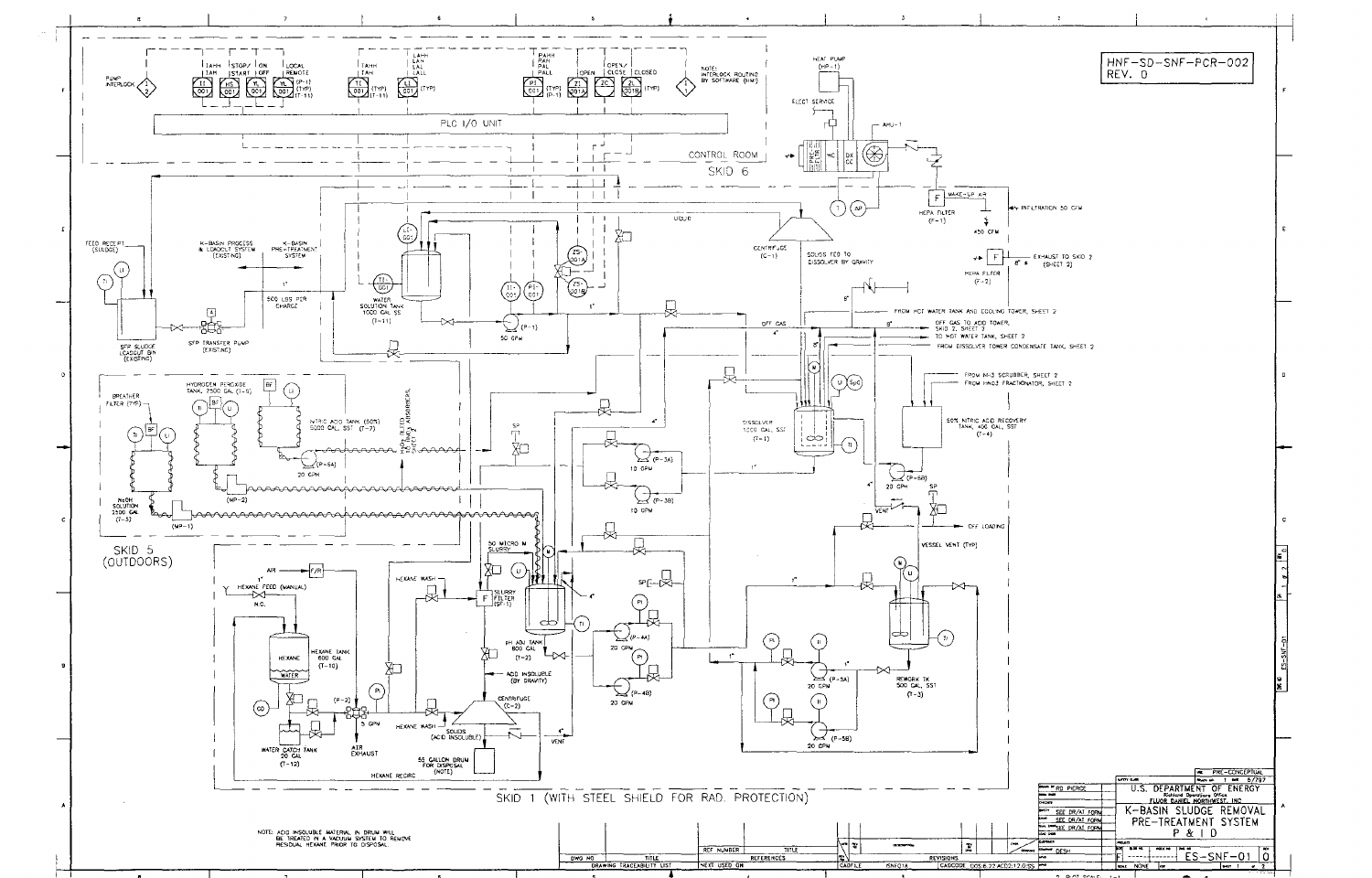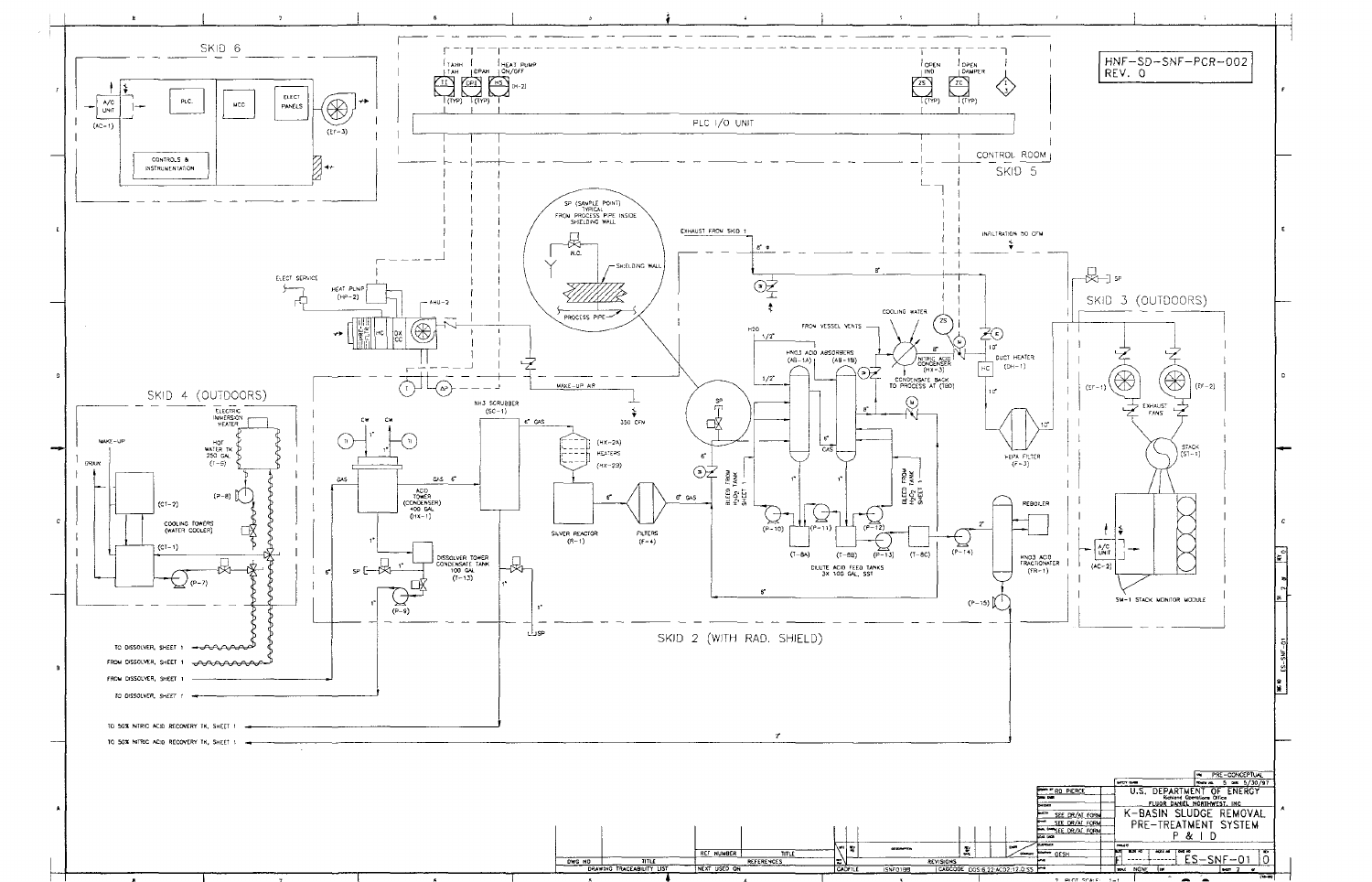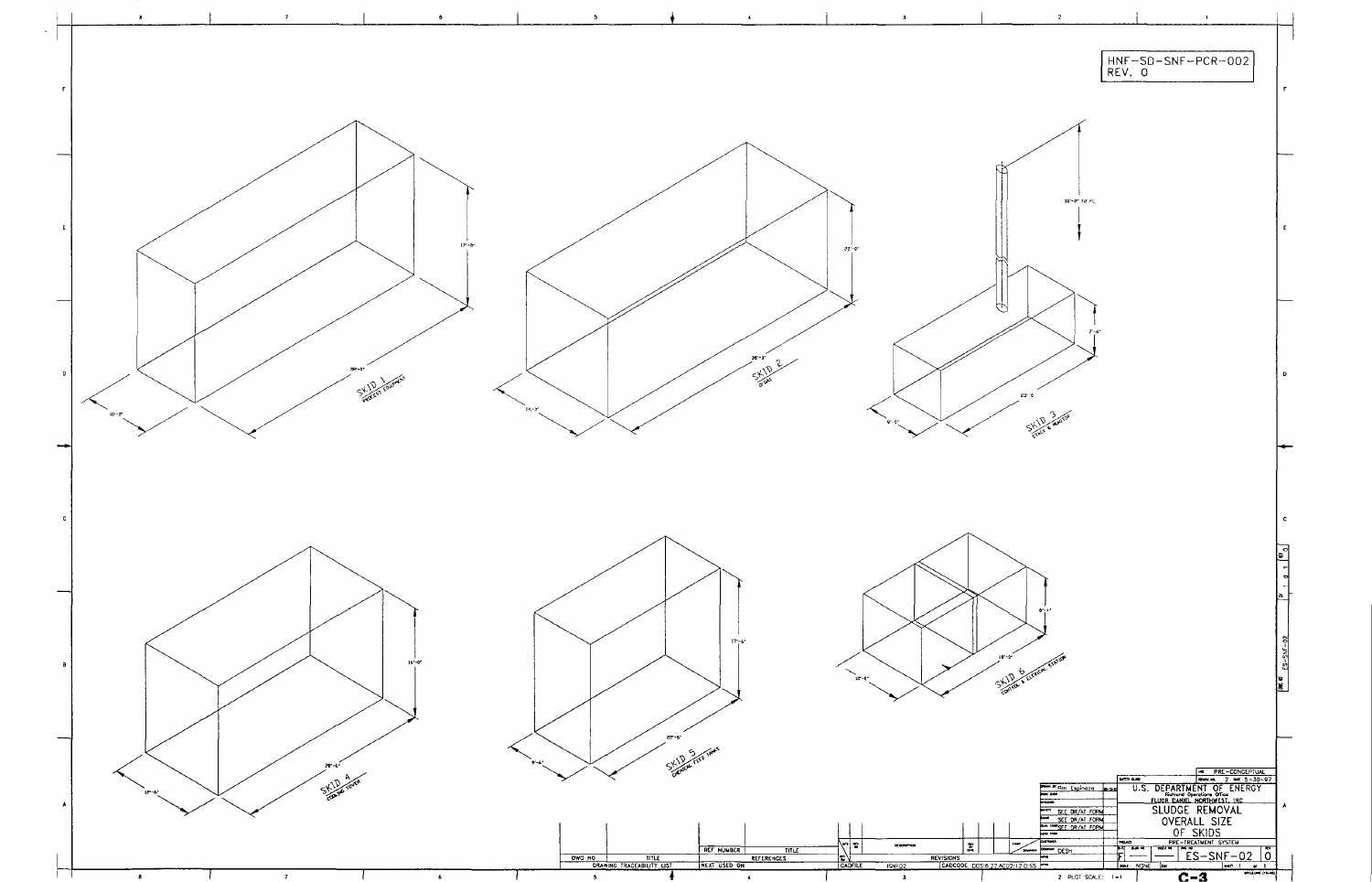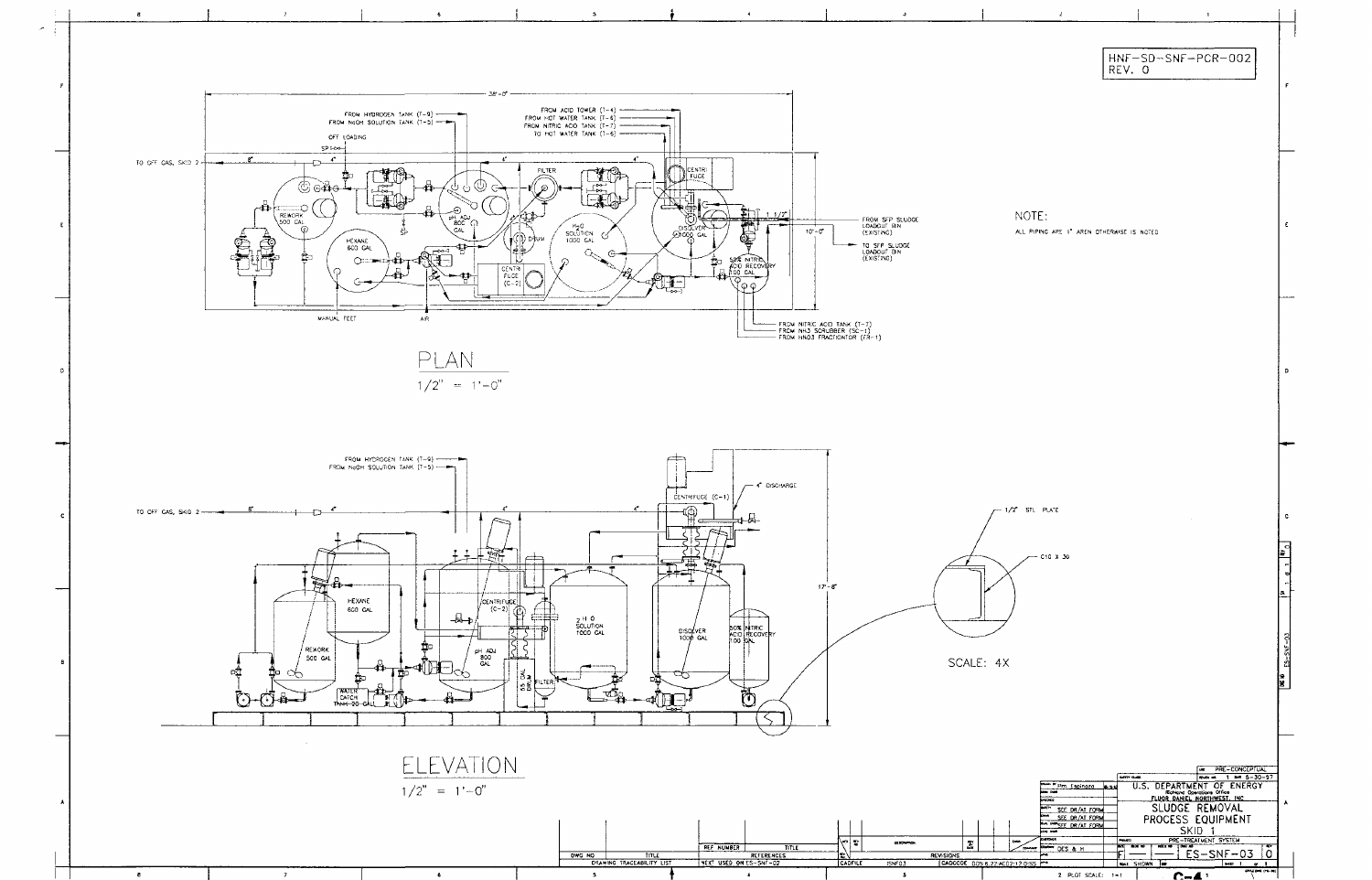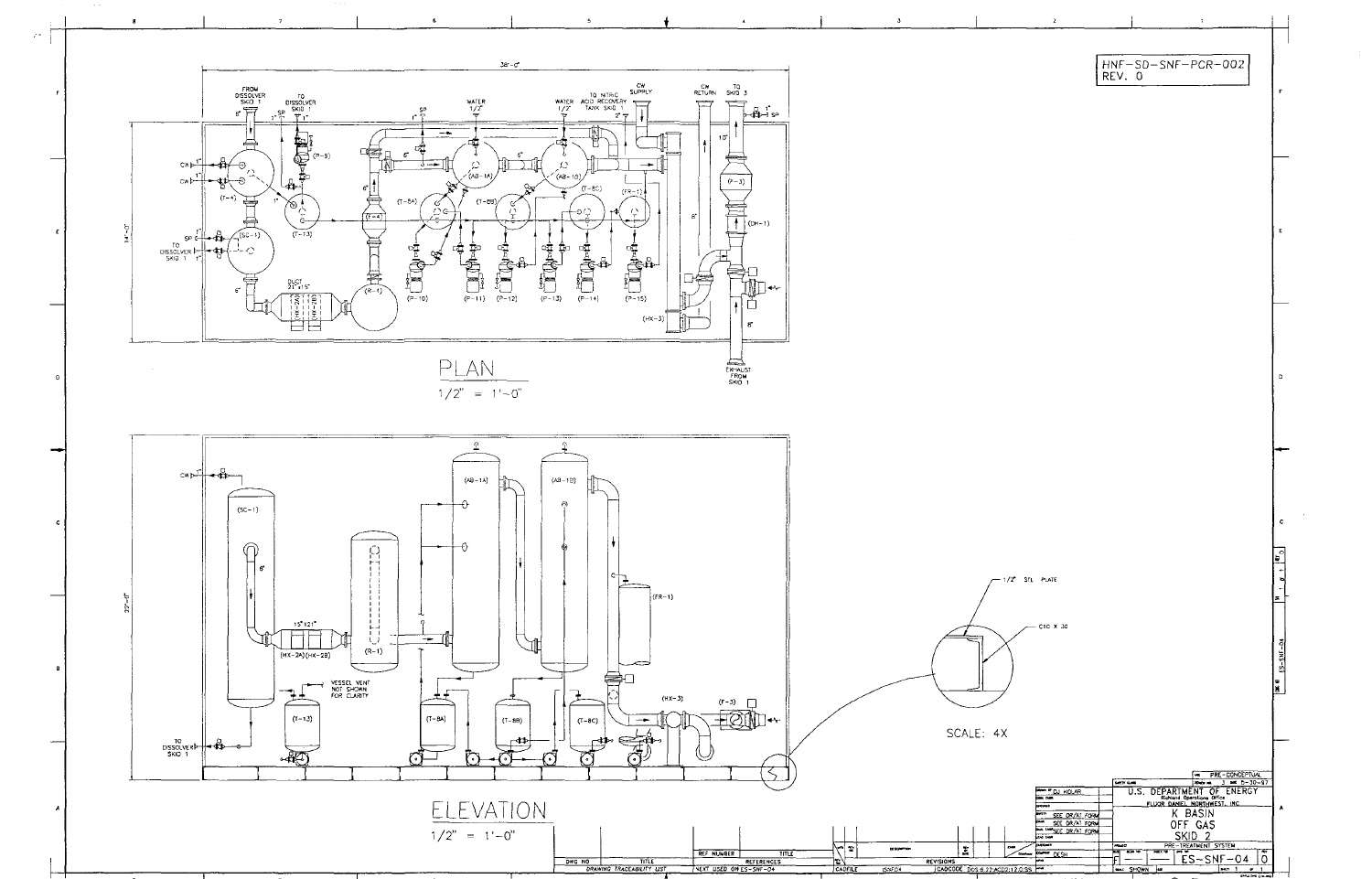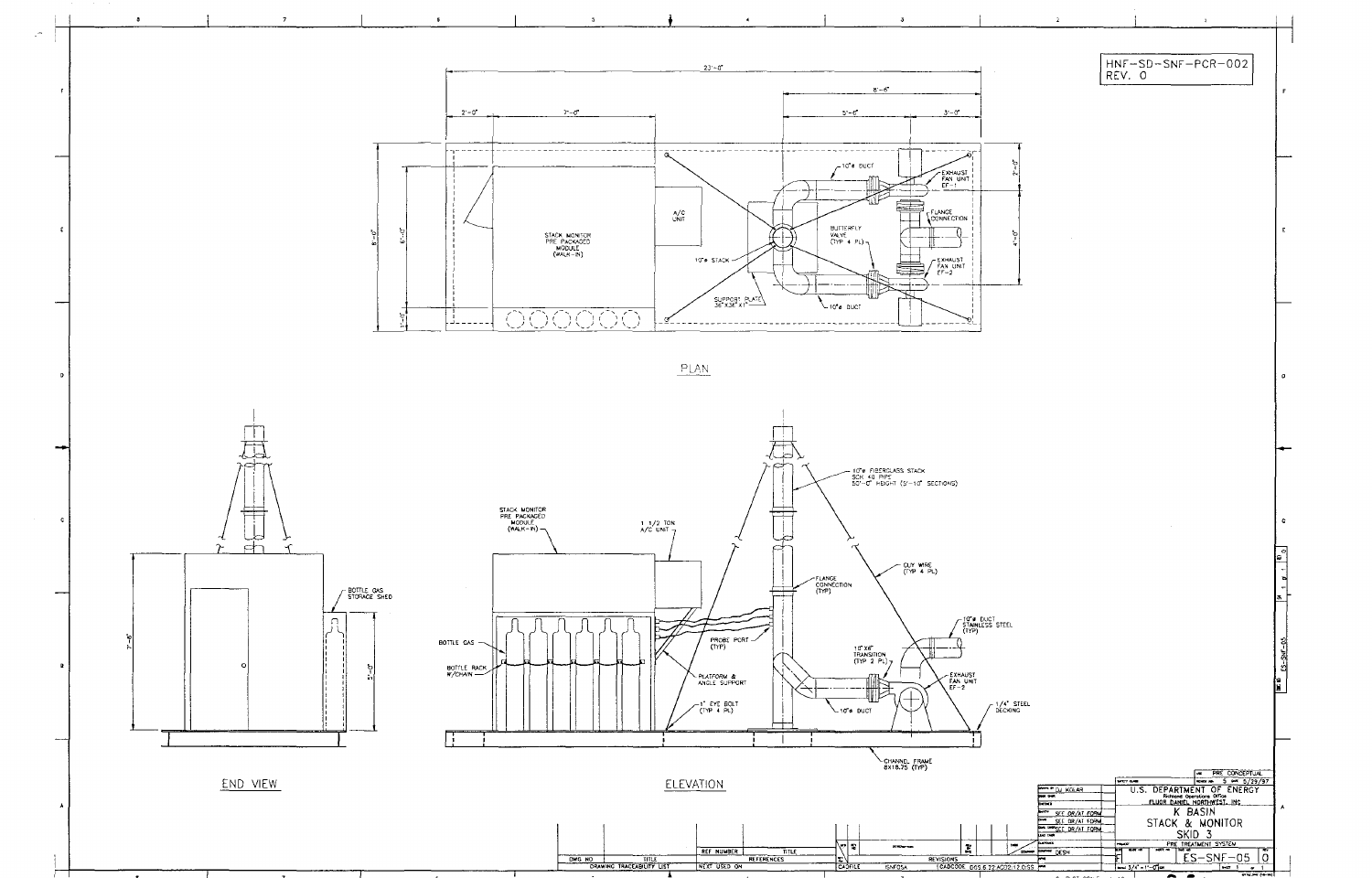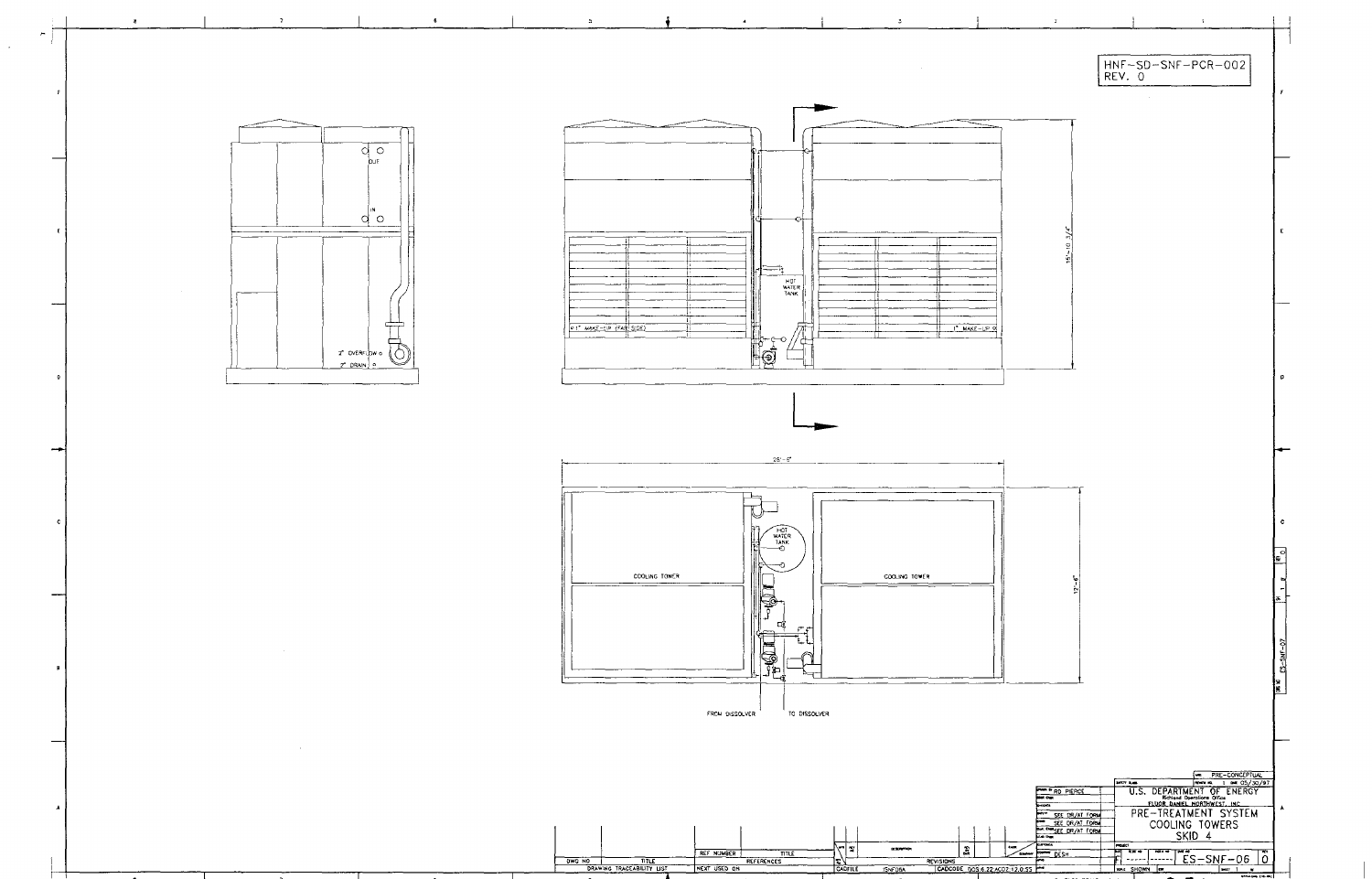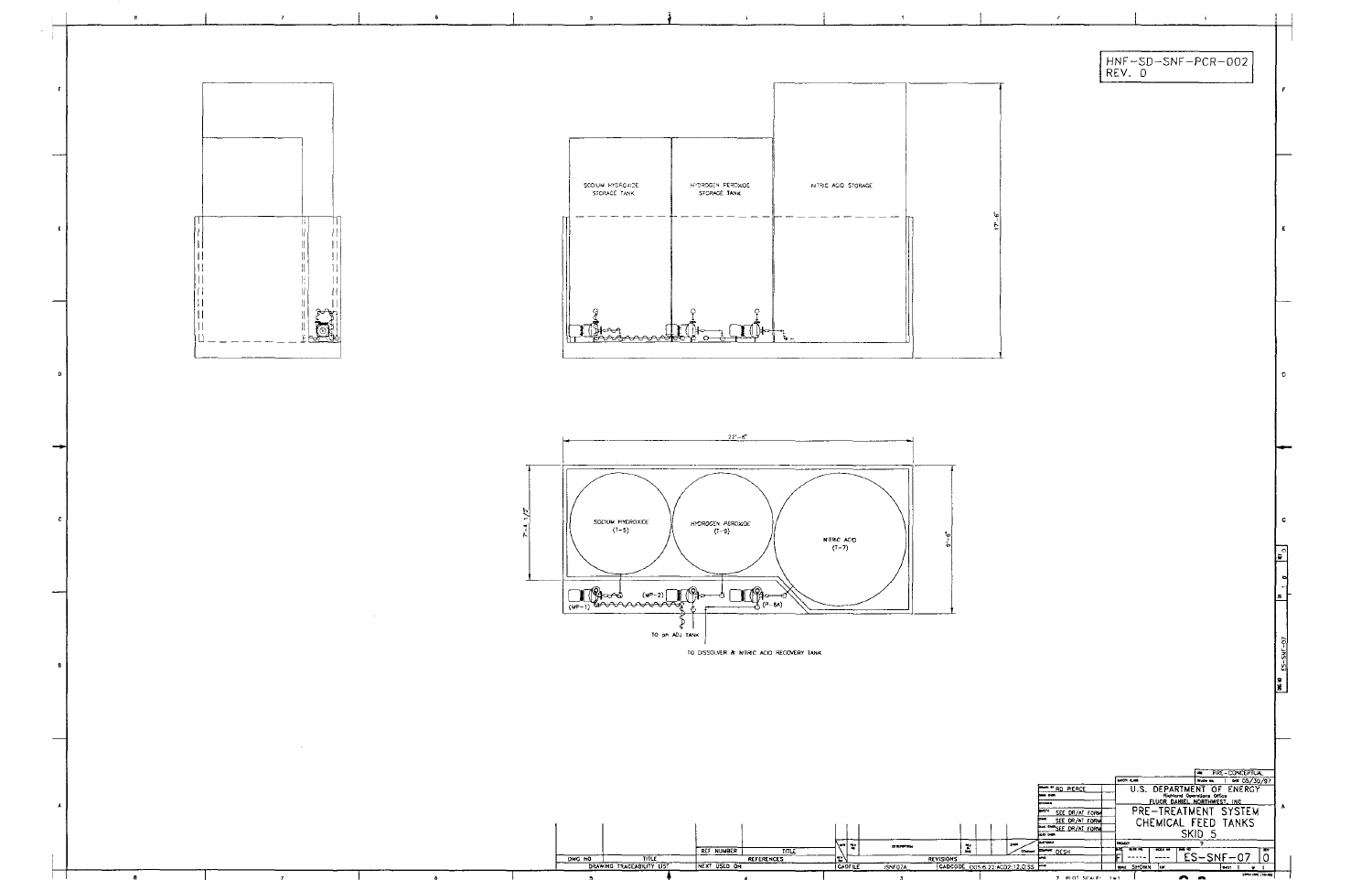![](_page_62_Figure_0.jpeg)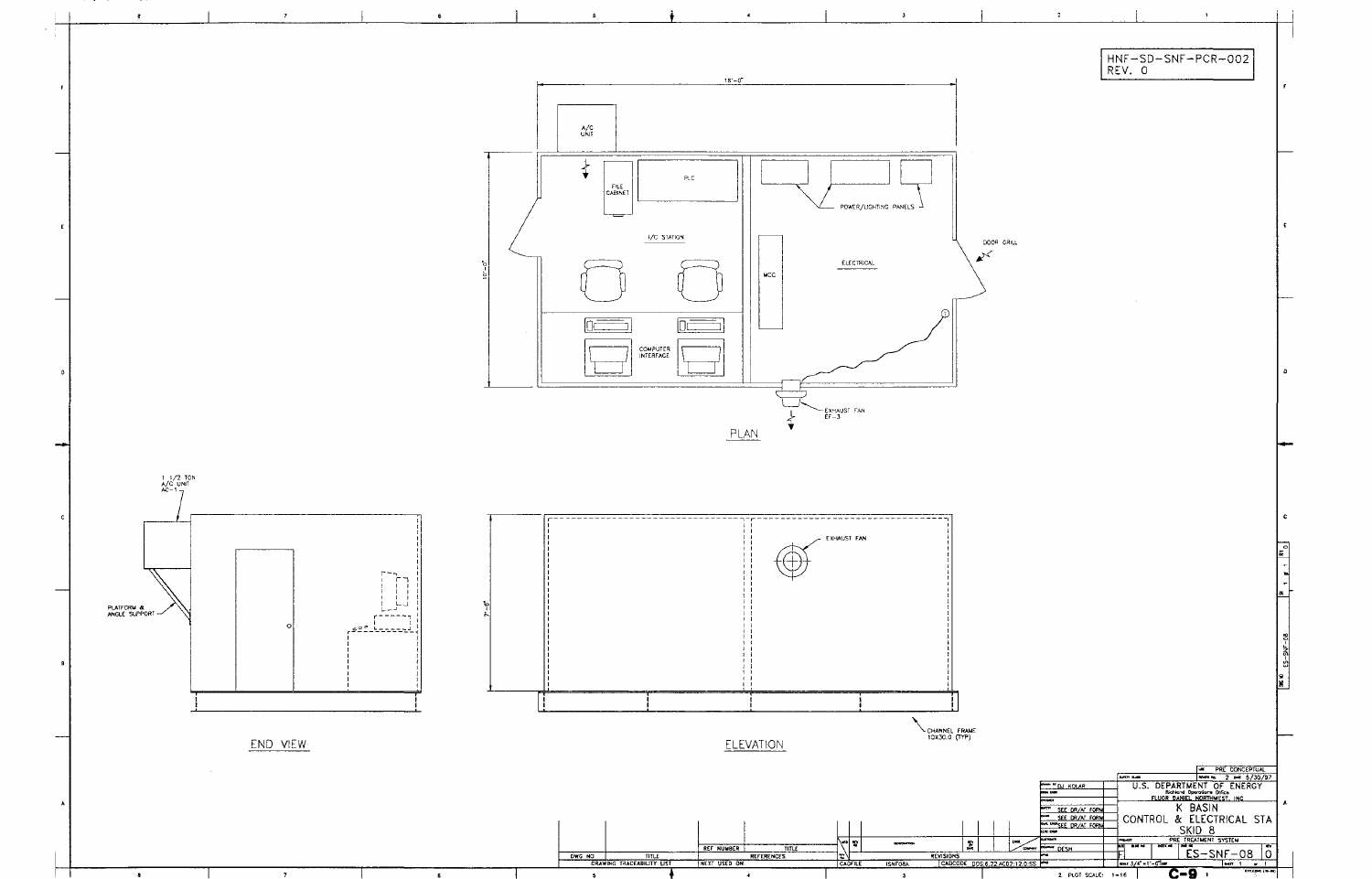![](_page_63_Figure_0.jpeg)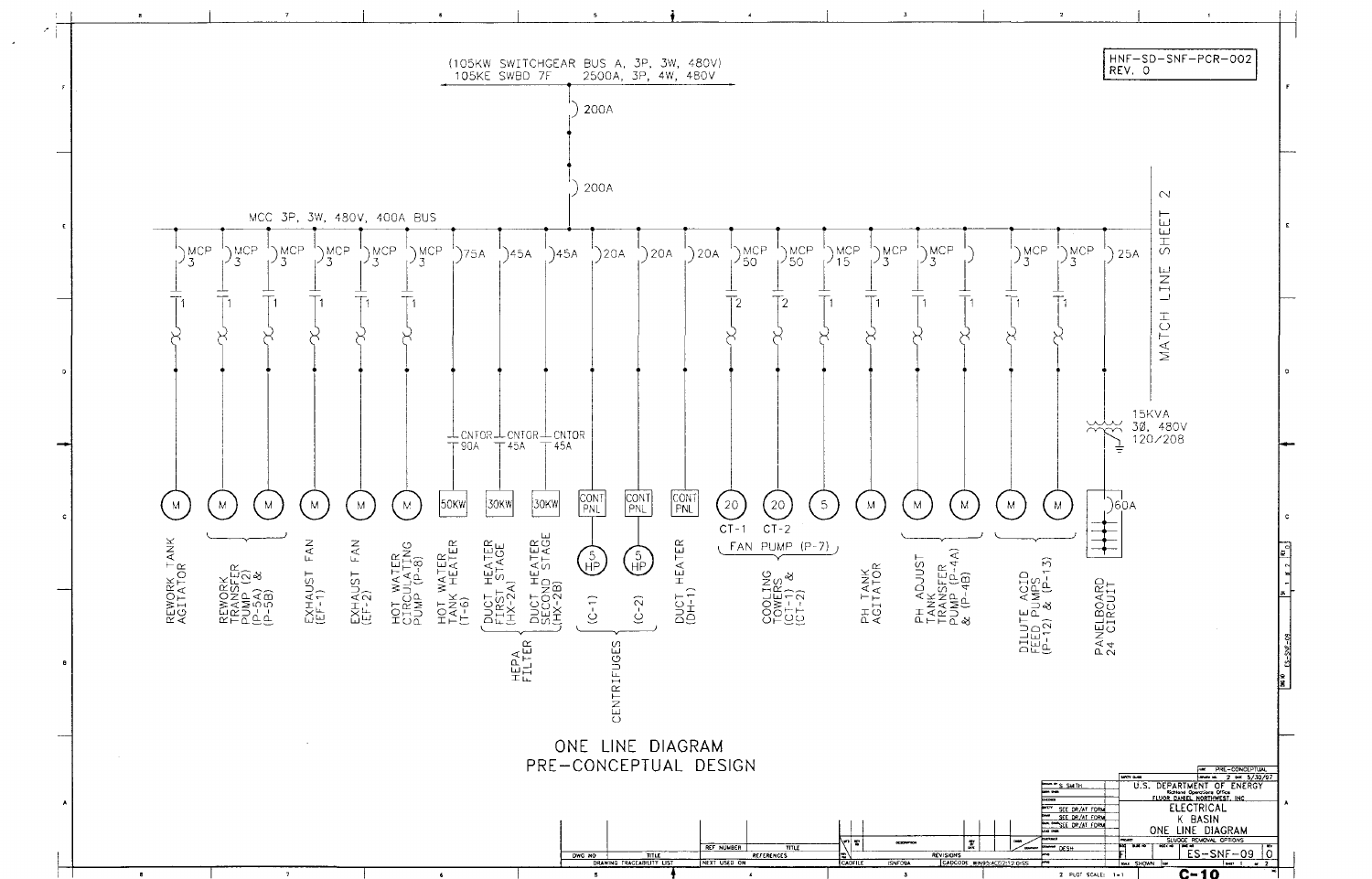![](_page_64_Figure_0.jpeg)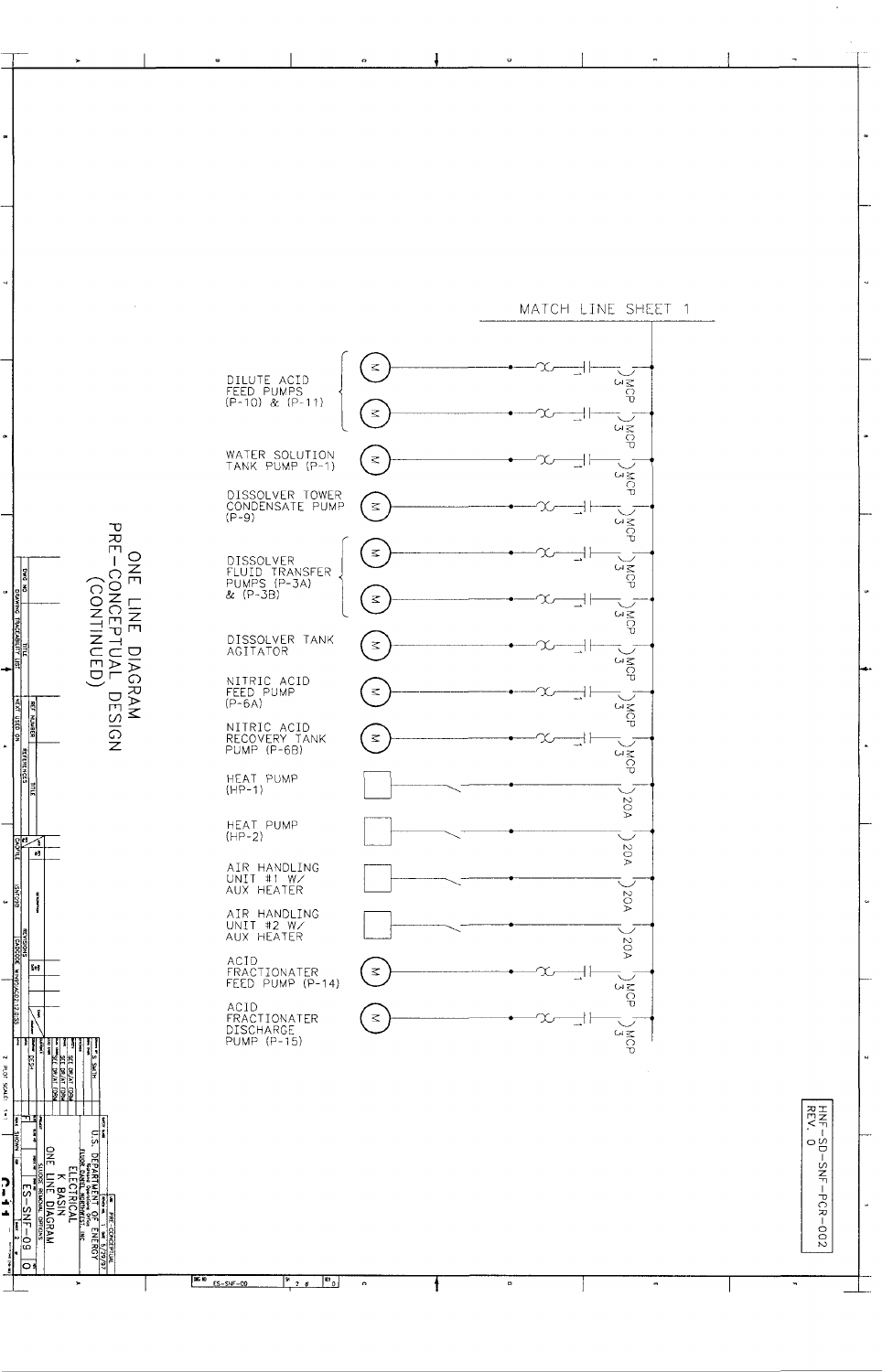![](_page_65_Figure_0.jpeg)